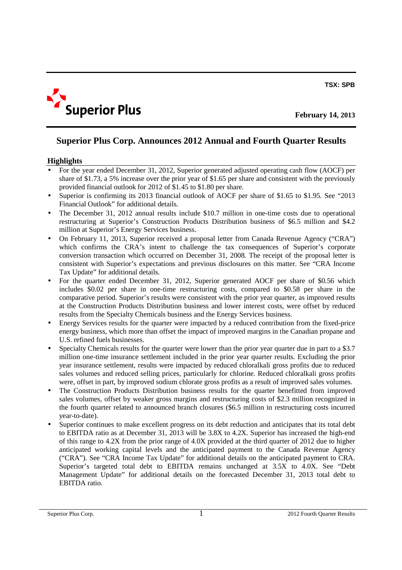

# **Superior Plus Corp. Announces 2012 Annual and Fourth Quarter Results**

## **Highlights**

- For the year ended December 31, 2012, Superior generated adjusted operating cash flow (AOCF) per share of \$1.73, a 5% increase over the prior year of \$1.65 per share and consistent with the previously provided financial outlook for 2012 of \$1.45 to \$1.80 per share.
- Superior is confirming its 2013 financial outlook of AOCF per share of \$1.65 to \$1.95. See "2013 Financial Outlook" for additional details.
- The December 31, 2012 annual results include \$10.7 million in one-time costs due to operational restructuring at Superior's Construction Products Distribution business of \$6.5 million and \$4.2 million at Superior's Energy Services business.
- On February 11, 2013, Superior received a proposal letter from Canada Revenue Agency ("CRA") which confirms the CRA's intent to challenge the tax consequences of Superior's corporate conversion transaction which occurred on December 31, 2008. The receipt of the proposal letter is consistent with Superior's expectations and previous disclosures on this matter. See "CRA Income Tax Update" for additional details.
- For the quarter ended December 31, 2012, Superior generated AOCF per share of \$0.56 which includes \$0.02 per share in one-time restructuring costs, compared to \$0.58 per share in the comparative period. Superior's results were consistent with the prior year quarter, as improved results at the Construction Products Distribution business and lower interest costs, were offset by reduced results from the Specialty Chemicals business and the Energy Services business.
- Energy Services results for the quarter were impacted by a reduced contribution from the fixed-price energy business, which more than offset the impact of improved margins in the Canadian propane and U.S. refined fuels businesses.
- Specialty Chemicals results for the quarter were lower than the prior year quarter due in part to a \$3.7 million one-time insurance settlement included in the prior year quarter results. Excluding the prior year insurance settlement, results were impacted by reduced chloralkali gross profits due to reduced sales volumes and reduced selling prices, particularly for chlorine. Reduced chloralkali gross profits were, offset in part, by improved sodium chlorate gross profits as a result of improved sales volumes.
- The Construction Products Distribution business results for the quarter benefitted from improved sales volumes, offset by weaker gross margins and restructuring costs of \$2.3 million recognized in the fourth quarter related to announced branch closures (\$6.5 million in restructuring costs incurred year-to-date).
- Superior continues to make excellent progress on its debt reduction and anticipates that its total debt to EBITDA ratio as at December 31, 2013 will be 3.8X to 4.2X. Superior has increased the high-end of this range to 4.2X from the prior range of 4.0X provided at the third quarter of 2012 due to higher anticipated working capital levels and the anticipated payment to the Canada Revenue Agency ("CRA"). See "CRA Income Tax Update" for additional details on the anticipated payment to CRA. Superior's targeted total debt to EBITDA remains unchanged at 3.5X to 4.0X. See "Debt Management Update" for additional details on the forecasted December 31, 2013 total debt to EBITDA ratio.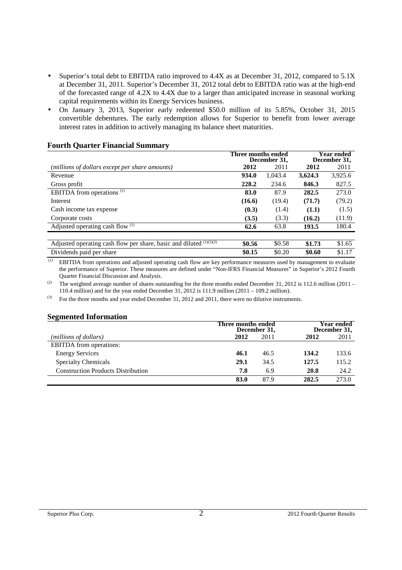- Superior's total debt to EBITDA ratio improved to 4.4X as at December 31, 2012, compared to 5.1X at December 31, 2011. Superior's December 31, 2012 total debt to EBITDA ratio was at the high-end of the forecasted range of 4.2X to 4.4X due to a larger than anticipated increase in seasonal working capital requirements within its Energy Services business.
- On January 3, 2013, Superior early redeemed \$50.0 million of its 5.85%, October 31, 2015 convertible debentures. The early redemption allows for Superior to benefit from lower average interest rates in addition to actively managing its balance sheet maturities.

## **Fourth Quarter Financial Summary**

|                                                                                                           | Three months ended | December 31, | Year ended<br>December 31, |         |  |
|-----------------------------------------------------------------------------------------------------------|--------------------|--------------|----------------------------|---------|--|
| (millions of dollars except per share amounts)                                                            | 2012               | 2011         | 2012                       | 2011    |  |
| Revenue                                                                                                   | 934.0              | 1,043.4      | 3,624.3                    | 3,925.6 |  |
| Gross profit                                                                                              | 228.2              | 234.6        | 846.3                      | 827.5   |  |
| EBITDA from operations <sup>(1)</sup>                                                                     | 83.0               | 87.9         | 282.5                      | 273.0   |  |
| Interest                                                                                                  | (16.6)             | (19.4)       | (71.7)                     | (79.2)  |  |
| Cash income tax expense                                                                                   | (0.3)              | (1.4)        | (1.1)                      | (1.5)   |  |
| Corporate costs                                                                                           | (3.5)              | (3.3)        | (16.2)                     | (11.9)  |  |
| Adjusted operating cash flow (1)                                                                          | 62.6               | 63.8         | 193.5                      | 180.4   |  |
|                                                                                                           |                    |              |                            |         |  |
| Adjusted operating cash flow per share, basic and diluted $\frac{\overline{(1)(2)(3)}}{\sqrt{(1)(2)(3)}}$ | \$0.56             | \$0.58       | \$1.73                     | \$1.65  |  |
| Dividends paid per share                                                                                  | \$0.15             | \$0.20       | \$0.60                     | \$1.17  |  |

 (1) EBITDA from operations and adjusted operating cash flow are key performance measures used by management to evaluate the performance of Superior. These measures are defined under "Non-IFRS Financial Measures" in Superior's 2012 Fourth Quarter Financial Discussion and Analysis.

<sup>(2)</sup> The weighted average number of shares outstanding for the three months ended December 31, 2012 is 112.6 million (2011 – 110.4 million) and for the year ended December 31, 2012 is 111.9 million (2011 – 109.2 million).

(3) For the three months and year ended December 31, 2012 and 2011, there were no dilutive instruments.

### **Segmented Information**

|                                           | Three months ended<br>December 31, | <b>Year ended</b><br>December 31, |       |       |
|-------------------------------------------|------------------------------------|-----------------------------------|-------|-------|
| (millions of dollars)                     | 2012                               | 2011                              | 2012  | 2011  |
| EBITDA from operations:                   |                                    |                                   |       |       |
| <b>Energy Services</b>                    | 46.1                               | 46.5                              | 134.2 | 133.6 |
| <b>Specialty Chemicals</b>                | 29.1                               | 34.5                              | 127.5 | 115.2 |
| <b>Construction Products Distribution</b> | 7.8                                | 6.9                               | 20.8  | 24.2  |
|                                           | 83.0                               | 87.9                              | 282.5 | 273.0 |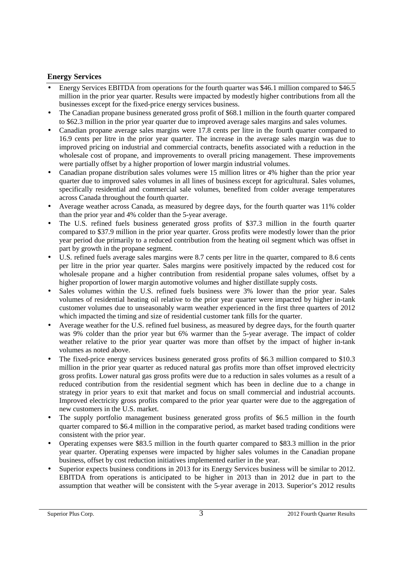## **Energy Services**

- Energy Services EBITDA from operations for the fourth quarter was \$46.1 million compared to \$46.5 million in the prior year quarter. Results were impacted by modestly higher contributions from all the businesses except for the fixed-price energy services business.
- The Canadian propane business generated gross profit of \$68.1 million in the fourth quarter compared to \$62.3 million in the prior year quarter due to improved average sales margins and sales volumes.
- Canadian propane average sales margins were 17.8 cents per litre in the fourth quarter compared to 16.9 cents per litre in the prior year quarter. The increase in the average sales margin was due to improved pricing on industrial and commercial contracts, benefits associated with a reduction in the wholesale cost of propane, and improvements to overall pricing management. These improvements were partially offset by a higher proportion of lower margin industrial volumes.
- Canadian propane distribution sales volumes were 15 million litres or 4% higher than the prior year quarter due to improved sales volumes in all lines of business except for agricultural. Sales volumes, specifically residential and commercial sale volumes, benefited from colder average temperatures across Canada throughout the fourth quarter.
- Average weather across Canada, as measured by degree days, for the fourth quarter was 11% colder than the prior year and 4% colder than the 5-year average.
- The U.S. refined fuels business generated gross profits of \$37.3 million in the fourth quarter compared to \$37.9 million in the prior year quarter. Gross profits were modestly lower than the prior year period due primarily to a reduced contribution from the heating oil segment which was offset in part by growth in the propane segment.
- U.S. refined fuels average sales margins were 8.7 cents per litre in the quarter, compared to 8.6 cents per litre in the prior year quarter. Sales margins were positively impacted by the reduced cost for wholesale propane and a higher contribution from residential propane sales volumes, offset by a higher proportion of lower margin automotive volumes and higher distillate supply costs.
- Sales volumes within the U.S. refined fuels business were 3% lower than the prior year. Sales volumes of residential heating oil relative to the prior year quarter were impacted by higher in-tank customer volumes due to unseasonably warm weather experienced in the first three quarters of 2012 which impacted the timing and size of residential customer tank fills for the quarter.
- Average weather for the U.S. refined fuel business, as measured by degree days, for the fourth quarter was 9% colder than the prior year but 6% warmer than the 5-year average. The impact of colder weather relative to the prior year quarter was more than offset by the impact of higher in-tank volumes as noted above.
- The fixed-price energy services business generated gross profits of \$6.3 million compared to \$10.3 million in the prior year quarter as reduced natural gas profits more than offset improved electricity gross profits. Lower natural gas gross profits were due to a reduction in sales volumes as a result of a reduced contribution from the residential segment which has been in decline due to a change in strategy in prior years to exit that market and focus on small commercial and industrial accounts. Improved electricity gross profits compared to the prior year quarter were due to the aggregation of new customers in the U.S. market.
- The supply portfolio management business generated gross profits of \$6.5 million in the fourth quarter compared to \$6.4 million in the comparative period, as market based trading conditions were consistent with the prior year.
- Operating expenses were \$83.5 million in the fourth quarter compared to \$83.3 million in the prior year quarter. Operating expenses were impacted by higher sales volumes in the Canadian propane business, offset by cost reduction initiatives implemented earlier in the year.
- Superior expects business conditions in 2013 for its Energy Services business will be similar to 2012. EBITDA from operations is anticipated to be higher in 2013 than in 2012 due in part to the assumption that weather will be consistent with the 5-year average in 2013. Superior's 2012 results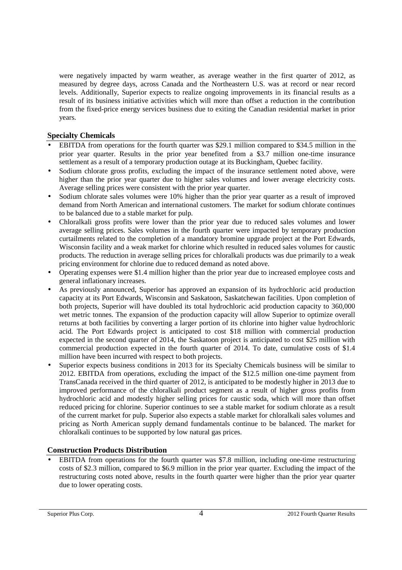were negatively impacted by warm weather, as average weather in the first quarter of 2012, as measured by degree days, across Canada and the Northeastern U.S. was at record or near record levels. Additionally, Superior expects to realize ongoing improvements in its financial results as a result of its business initiative activities which will more than offset a reduction in the contribution from the fixed-price energy services business due to exiting the Canadian residential market in prior years.

## **Specialty Chemicals**

- EBITDA from operations for the fourth quarter was \$29.1 million compared to \$34.5 million in the prior year quarter. Results in the prior year benefited from a \$3.7 million one-time insurance settlement as a result of a temporary production outage at its Buckingham, Quebec facility.
- Sodium chlorate gross profits, excluding the impact of the insurance settlement noted above, were higher than the prior year quarter due to higher sales volumes and lower average electricity costs. Average selling prices were consistent with the prior year quarter.
- Sodium chlorate sales volumes were 10% higher than the prior year quarter as a result of improved demand from North American and international customers. The market for sodium chlorate continues to be balanced due to a stable market for pulp.
- Chloralkali gross profits were lower than the prior year due to reduced sales volumes and lower average selling prices. Sales volumes in the fourth quarter were impacted by temporary production curtailments related to the completion of a mandatory bromine upgrade project at the Port Edwards, Wisconsin facility and a weak market for chlorine which resulted in reduced sales volumes for caustic products. The reduction in average selling prices for chloralkali products was due primarily to a weak pricing environment for chlorine due to reduced demand as noted above.
- Operating expenses were \$1.4 million higher than the prior year due to increased employee costs and general inflationary increases.
- As previously announced, Superior has approved an expansion of its hydrochloric acid production capacity at its Port Edwards, Wisconsin and Saskatoon, Saskatchewan facilities. Upon completion of both projects, Superior will have doubled its total hydrochloric acid production capacity to 360,000 wet metric tonnes. The expansion of the production capacity will allow Superior to optimize overall returns at both facilities by converting a larger portion of its chlorine into higher value hydrochloric acid. The Port Edwards project is anticipated to cost \$18 million with commercial production expected in the second quarter of 2014, the Saskatoon project is anticipated to cost \$25 million with commercial production expected in the fourth quarter of 2014. To date, cumulative costs of \$1.4 million have been incurred with respect to both projects.
- Superior expects business conditions in 2013 for its Specialty Chemicals business will be similar to 2012. EBITDA from operations, excluding the impact of the \$12.5 million one-time payment from TransCanada received in the third quarter of 2012, is anticipated to be modestly higher in 2013 due to improved performance of the chloralkali product segment as a result of higher gross profits from hydrochloric acid and modestly higher selling prices for caustic soda, which will more than offset reduced pricing for chlorine. Superior continues to see a stable market for sodium chlorate as a result of the current market for pulp. Superior also expects a stable market for chloralkali sales volumes and pricing as North American supply demand fundamentals continue to be balanced. The market for chloralkali continues to be supported by low natural gas prices.

## **Construction Products Distribution**

• EBITDA from operations for the fourth quarter was \$7.8 million, including one-time restructuring costs of \$2.3 million, compared to \$6.9 million in the prior year quarter. Excluding the impact of the restructuring costs noted above, results in the fourth quarter were higher than the prior year quarter due to lower operating costs.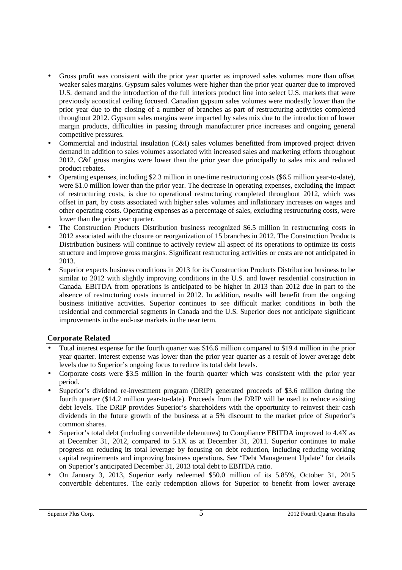- Gross profit was consistent with the prior year quarter as improved sales volumes more than offset weaker sales margins. Gypsum sales volumes were higher than the prior year quarter due to improved U.S. demand and the introduction of the full interiors product line into select U.S. markets that were previously acoustical ceiling focused. Canadian gypsum sales volumes were modestly lower than the prior year due to the closing of a number of branches as part of restructuring activities completed throughout 2012. Gypsum sales margins were impacted by sales mix due to the introduction of lower margin products, difficulties in passing through manufacturer price increases and ongoing general competitive pressures.
- Commercial and industrial insulation (C&I) sales volumes benefitted from improved project driven demand in addition to sales volumes associated with increased sales and marketing efforts throughout 2012. C&I gross margins were lower than the prior year due principally to sales mix and reduced product rebates.
- Operating expenses, including \$2.3 million in one-time restructuring costs (\$6.5 million year-to-date), were \$1.0 million lower than the prior year. The decrease in operating expenses, excluding the impact of restructuring costs, is due to operational restructuring completed throughout 2012, which was offset in part, by costs associated with higher sales volumes and inflationary increases on wages and other operating costs. Operating expenses as a percentage of sales, excluding restructuring costs, were lower than the prior year quarter.
- The Construction Products Distribution business recognized \$6.5 million in restructuring costs in 2012 associated with the closure or reorganization of 15 branches in 2012. The Construction Products Distribution business will continue to actively review all aspect of its operations to optimize its costs structure and improve gross margins. Significant restructuring activities or costs are not anticipated in 2013.
- Superior expects business conditions in 2013 for its Construction Products Distribution business to be similar to 2012 with slightly improving conditions in the U.S. and lower residential construction in Canada. EBITDA from operations is anticipated to be higher in 2013 than 2012 due in part to the absence of restructuring costs incurred in 2012. In addition, results will benefit from the ongoing business initiative activities. Superior continues to see difficult market conditions in both the residential and commercial segments in Canada and the U.S. Superior does not anticipate significant improvements in the end-use markets in the near term.

## **Corporate Related**

- Total interest expense for the fourth quarter was \$16.6 million compared to \$19.4 million in the prior year quarter. Interest expense was lower than the prior year quarter as a result of lower average debt levels due to Superior's ongoing focus to reduce its total debt levels.
- Corporate costs were \$3.5 million in the fourth quarter which was consistent with the prior year period.
- Superior's dividend re-investment program (DRIP) generated proceeds of \$3.6 million during the fourth quarter (\$14.2 million year-to-date). Proceeds from the DRIP will be used to reduce existing debt levels. The DRIP provides Superior's shareholders with the opportunity to reinvest their cash dividends in the future growth of the business at a 5% discount to the market price of Superior's common shares.
- Superior's total debt (including convertible debentures) to Compliance EBITDA improved to 4.4X as at December 31, 2012, compared to 5.1X as at December 31, 2011. Superior continues to make progress on reducing its total leverage by focusing on debt reduction, including reducing working capital requirements and improving business operations. See "Debt Management Update" for details on Superior's anticipated December 31, 2013 total debt to EBITDA ratio.
- On January 3, 2013, Superior early redeemed \$50.0 million of its 5.85%, October 31, 2015 convertible debentures. The early redemption allows for Superior to benefit from lower average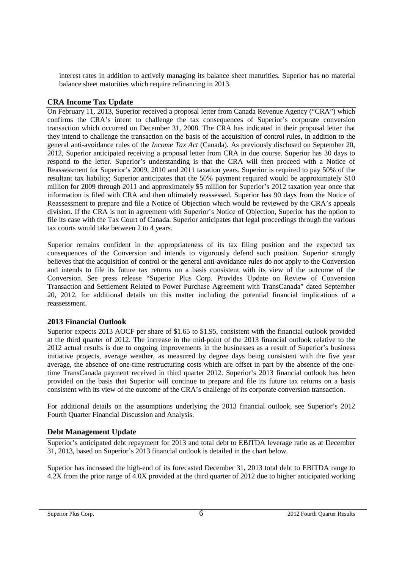interest rates in addition to actively managing its balance sheet maturities. Superior has no material balance sheet maturities which require refinancing in 2013.

## **CRA Income Tax Update**

On February 11, 2013, Superior received a proposal letter from Canada Revenue Agency ("CRA") which confirms the CRA's intent to challenge the tax consequences of Superior's corporate conversion transaction which occurred on December 31, 2008. The CRA has indicated in their proposal letter that they intend to challenge the transaction on the basis of the acquisition of control rules, in addition to the general anti-avoidance rules of the *Income Tax Act* (Canada). As previously disclosed on September 20, 2012, Superior anticipated receiving a proposal letter from CRA in due course. Superior has 30 days to respond to the letter. Superior's understanding is that the CRA will then proceed with a Notice of Reassessment for Superior's 2009, 2010 and 2011 taxation years. Superior is required to pay 50% of the resultant tax liability; Superior anticipates that the 50% payment required would be approximately \$10 million for 2009 through 2011 and approximately \$5 million for Superior's 2012 taxation year once that information is filed with CRA and then ultimately reassessed. Superior has 90 days from the Notice of Reassessment to prepare and file a Notice of Objection which would be reviewed by the CRA's appeals division. If the CRA is not in agreement with Superior's Notice of Objection, Superior has the option to file its case with the Tax Court of Canada. Superior anticipates that legal proceedings through the various tax courts would take between 2 to 4 years.

Superior remains confident in the appropriateness of its tax filing position and the expected tax consequences of the Conversion and intends to vigorously defend such position. Superior strongly believes that the acquisition of control or the general anti-avoidance rules do not apply to the Conversion and intends to file its future tax returns on a basis consistent with its view of the outcome of the Conversion. See press release "Superior Plus Corp. Provides Update on Review of Conversion Transaction and Settlement Related to Power Purchase Agreement with TransCanada" dated September 20, 2012, for additional details on this matter including the potential financial implications of a reassessment.

## **2013 Financial Outlook**

Superior expects 2013 AOCF per share of \$1.65 to \$1.95, consistent with the financial outlook provided at the third quarter of 2012. The increase in the mid-point of the 2013 financial outlook relative to the 2012 actual results is due to ongoing improvements in the businesses as a result of Superior's business initiative projects, average weather, as measured by degree days being consistent with the five year average, the absence of one-time restructuring costs which are offset in part by the absence of the onetime TransCanada payment received in third quarter 2012. Superior's 2013 financial outlook has been provided on the basis that Superior will continue to prepare and file its future tax returns on a basis consistent with its view of the outcome of the CRA's challenge of its corporate conversion transaction.

For additional details on the assumptions underlying the 2013 financial outlook, see Superior's 2012 Fourth Quarter Financial Discussion and Analysis.

## **Debt Management Update**

Superior's anticipated debt repayment for 2013 and total debt to EBITDA leverage ratio as at December 31, 2013, based on Superior's 2013 financial outlook is detailed in the chart below.

Superior has increased the high-end of its forecasted December 31, 2013 total debt to EBITDA range to 4.2X from the prior range of 4.0X provided at the third quarter of 2012 due to higher anticipated working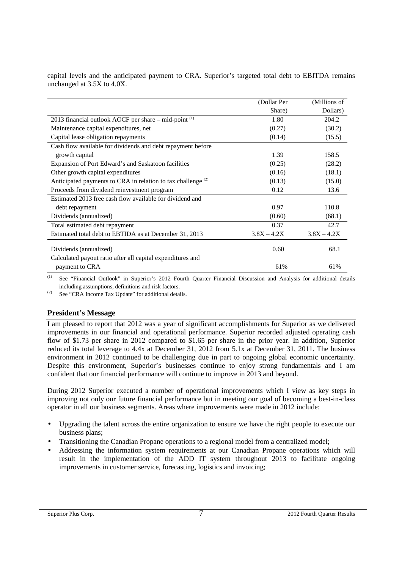|                                                                | (Dollar Per   | (Millions of  |
|----------------------------------------------------------------|---------------|---------------|
|                                                                | Share)        | Dollars)      |
| 2013 financial outlook AOCF per share – mid-point $(1)$        | 1.80          | 204.2         |
| Maintenance capital expenditures, net                          | (0.27)        | (30.2)        |
| Capital lease obligation repayments                            | (0.14)        | (15.5)        |
| Cash flow available for dividends and debt repayment before    |               |               |
| growth capital                                                 | 1.39          | 158.5         |
| Expansion of Port Edward's and Saskatoon facilities            | (0.25)        | (28.2)        |
| Other growth capital expenditures                              | (0.16)        | (18.1)        |
| Anticipated payments to CRA in relation to tax challenge $(2)$ | (0.13)        | (15.0)        |
| Proceeds from dividend reinvestment program                    | 0.12          | 13.6          |
| Estimated 2013 free cash flow available for dividend and       |               |               |
| debt repayment                                                 | 0.97          | 110.8         |
| Dividends (annualized)                                         | (0.60)        | (68.1)        |
| Total estimated debt repayment                                 | 0.37          | 42.7          |
| Estimated total debt to EBTIDA as at December 31, 2013         | $3.8X - 4.2X$ | $3.8X - 4.2X$ |
| Dividends (annualized)                                         | 0.60          | 68.1          |
| Calculated payout ratio after all capital expenditures and     |               |               |
| payment to CRA                                                 | 61%           | 61%           |

capital levels and the anticipated payment to CRA. Superior's targeted total debt to EBITDA remains unchanged at 3.5X to 4.0X.

(1) See "Financial Outlook" in Superior's 2012 Fourth Quarter Financial Discussion and Analysis for additional details including assumptions, definitions and risk factors.

(2) See "CRA Income Tax Update" for additional details.

## **President's Message**

I am pleased to report that 2012 was a year of significant accomplishments for Superior as we delivered improvements in our financial and operational performance. Superior recorded adjusted operating cash flow of \$1.73 per share in 2012 compared to \$1.65 per share in the prior year. In addition, Superior reduced its total leverage to 4.4x at December 31, 2012 from 5.1x at December 31, 2011. The business environment in 2012 continued to be challenging due in part to ongoing global economic uncertainty. Despite this environment, Superior's businesses continue to enjoy strong fundamentals and I am confident that our financial performance will continue to improve in 2013 and beyond.

During 2012 Superior executed a number of operational improvements which I view as key steps in improving not only our future financial performance but in meeting our goal of becoming a best-in-class operator in all our business segments. Areas where improvements were made in 2012 include:

- Upgrading the talent across the entire organization to ensure we have the right people to execute our business plans;
- Transitioning the Canadian Propane operations to a regional model from a centralized model;
- Addressing the information system requirements at our Canadian Propane operations which will result in the implementation of the ADD IT system throughout 2013 to facilitate ongoing improvements in customer service, forecasting, logistics and invoicing;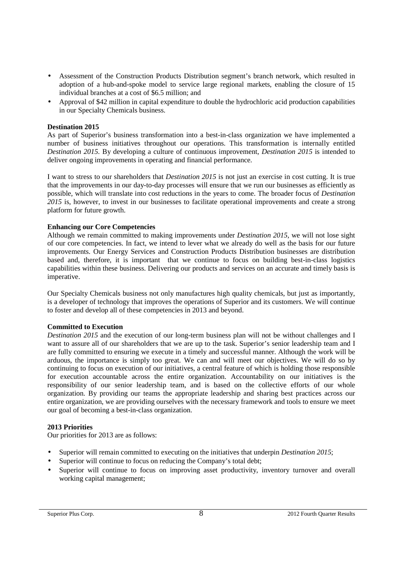- Assessment of the Construction Products Distribution segment's branch network, which resulted in adoption of a hub-and-spoke model to service large regional markets, enabling the closure of 15 individual branches at a cost of \$6.5 million; and
- Approval of \$42 million in capital expenditure to double the hydrochloric acid production capabilities in our Specialty Chemicals business.

### **Destination 2015**

As part of Superior's business transformation into a best-in-class organization we have implemented a number of business initiatives throughout our operations. This transformation is internally entitled *Destination 2015*. By developing a culture of continuous improvement, *Destination 2015* is intended to deliver ongoing improvements in operating and financial performance.

I want to stress to our shareholders that *Destination 2015* is not just an exercise in cost cutting. It is true that the improvements in our day-to-day processes will ensure that we run our businesses as efficiently as possible, which will translate into cost reductions in the years to come. The broader focus of *Destination 2015* is, however, to invest in our businesses to facilitate operational improvements and create a strong platform for future growth.

### **Enhancing our Core Competencies**

Although we remain committed to making improvements under *Destination 2015*, we will not lose sight of our core competencies. In fact, we intend to lever what we already do well as the basis for our future improvements. Our Energy Services and Construction Products Distribution businesses are distribution based and, therefore, it is important that we continue to focus on building best-in-class logistics capabilities within these business. Delivering our products and services on an accurate and timely basis is imperative.

Our Specialty Chemicals business not only manufactures high quality chemicals, but just as importantly, is a developer of technology that improves the operations of Superior and its customers. We will continue to foster and develop all of these competencies in 2013 and beyond.

### **Committed to Execution**

*Destination 2015* and the execution of our long-term business plan will not be without challenges and I want to assure all of our shareholders that we are up to the task. Superior's senior leadership team and I are fully committed to ensuring we execute in a timely and successful manner. Although the work will be arduous, the importance is simply too great. We can and will meet our objectives. We will do so by continuing to focus on execution of our initiatives, a central feature of which is holding those responsible for execution accountable across the entire organization. Accountability on our initiatives is the responsibility of our senior leadership team, and is based on the collective efforts of our whole organization. By providing our teams the appropriate leadership and sharing best practices across our entire organization, we are providing ourselves with the necessary framework and tools to ensure we meet our goal of becoming a best-in-class organization.

## **2013 Priorities**

Our priorities for 2013 are as follows:

- Superior will remain committed to executing on the initiatives that underpin *Destination 2015*;
- Superior will continue to focus on reducing the Company's total debt;
- Superior will continue to focus on improving asset productivity, inventory turnover and overall working capital management;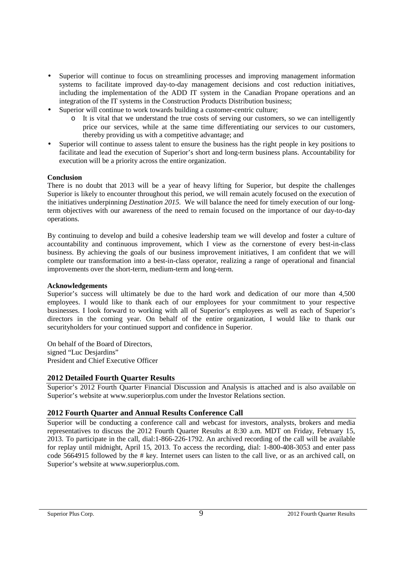- Superior will continue to focus on streamlining processes and improving management information systems to facilitate improved day-to-day management decisions and cost reduction initiatives, including the implementation of the ADD IT system in the Canadian Propane operations and an integration of the IT systems in the Construction Products Distribution business;
- Superior will continue to work towards building a customer-centric culture;
	- o It is vital that we understand the true costs of serving our customers, so we can intelligently price our services, while at the same time differentiating our services to our customers, thereby providing us with a competitive advantage; and
- Superior will continue to assess talent to ensure the business has the right people in key positions to facilitate and lead the execution of Superior's short and long-term business plans. Accountability for execution will be a priority across the entire organization.

### **Conclusion**

There is no doubt that 2013 will be a year of heavy lifting for Superior, but despite the challenges Superior is likely to encounter throughout this period, we will remain acutely focused on the execution of the initiatives underpinning *Destination 2015*. We will balance the need for timely execution of our longterm objectives with our awareness of the need to remain focused on the importance of our day-to-day operations.

By continuing to develop and build a cohesive leadership team we will develop and foster a culture of accountability and continuous improvement, which I view as the cornerstone of every best-in-class business. By achieving the goals of our business improvement initiatives, I am confident that we will complete our transformation into a best-in-class operator, realizing a range of operational and financial improvements over the short-term, medium-term and long-term.

### **Acknowledgements**

Superior's success will ultimately be due to the hard work and dedication of our more than 4,500 employees. I would like to thank each of our employees for your commitment to your respective businesses. I look forward to working with all of Superior's employees as well as each of Superior's directors in the coming year. On behalf of the entire organization, I would like to thank our securityholders for your continued support and confidence in Superior.

On behalf of the Board of Directors, signed "Luc Desjardins" President and Chief Executive Officer

## **2012 Detailed Fourth Quarter Results**

Superior's 2012 Fourth Quarter Financial Discussion and Analysis is attached and is also available on Superior's website at www.superiorplus.com under the Investor Relations section.

## **2012 Fourth Quarter and Annual Results Conference Call**

Superior will be conducting a conference call and webcast for investors, analysts, brokers and media representatives to discuss the 2012 Fourth Quarter Results at 8:30 a.m. MDT on Friday, February 15, 2013. To participate in the call, dial:1-866-226-1792. An archived recording of the call will be available for replay until midnight, April 15, 2013. To access the recording, dial: 1-800-408-3053 and enter pass code 5664915 followed by the # key. Internet users can listen to the call live, or as an archived call, on Superior's website at www.superiorplus.com.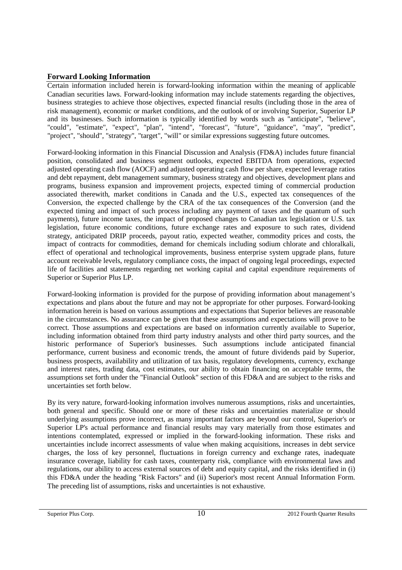## **Forward Looking Information**

Certain information included herein is forward-looking information within the meaning of applicable Canadian securities laws. Forward-looking information may include statements regarding the objectives, business strategies to achieve those objectives, expected financial results (including those in the area of risk management), economic or market conditions, and the outlook of or involving Superior, Superior LP and its businesses. Such information is typically identified by words such as "anticipate", "believe", "could", "estimate", "expect", "plan", "intend", "forecast", "future", "guidance", "may", "predict", "project", "should", "strategy", "target", "will" or similar expressions suggesting future outcomes.

Forward-looking information in this Financial Discussion and Analysis (FD&A) includes future financial position, consolidated and business segment outlooks, expected EBITDA from operations, expected adjusted operating cash flow (AOCF) and adjusted operating cash flow per share, expected leverage ratios and debt repayment, debt management summary, business strategy and objectives, development plans and programs, business expansion and improvement projects, expected timing of commercial production associated therewith, market conditions in Canada and the U.S., expected tax consequences of the Conversion, the expected challenge by the CRA of the tax consequences of the Conversion (and the expected timing and impact of such process including any payment of taxes and the quantum of such payments), future income taxes, the impact of proposed changes to Canadian tax legislation or U.S. tax legislation, future economic conditions, future exchange rates and exposure to such rates, dividend strategy, anticipated DRIP proceeds, payout ratio, expected weather, commodity prices and costs, the impact of contracts for commodities, demand for chemicals including sodium chlorate and chloralkali, effect of operational and technological improvements, business enterprise system upgrade plans, future account receivable levels, regulatory compliance costs, the impact of ongoing legal proceedings, expected life of facilities and statements regarding net working capital and capital expenditure requirements of Superior or Superior Plus LP.

Forward-looking information is provided for the purpose of providing information about management's expectations and plans about the future and may not be appropriate for other purposes. Forward-looking information herein is based on various assumptions and expectations that Superior believes are reasonable in the circumstances. No assurance can be given that these assumptions and expectations will prove to be correct. Those assumptions and expectations are based on information currently available to Superior, including information obtained from third party industry analysts and other third party sources, and the historic performance of Superior's businesses. Such assumptions include anticipated financial performance, current business and economic trends, the amount of future dividends paid by Superior, business prospects, availability and utilization of tax basis, regulatory developments, currency, exchange and interest rates, trading data, cost estimates, our ability to obtain financing on acceptable terms, the assumptions set forth under the "Financial Outlook" section of this FD&A and are subject to the risks and uncertainties set forth below.

By its very nature, forward-looking information involves numerous assumptions, risks and uncertainties, both general and specific. Should one or more of these risks and uncertainties materialize or should underlying assumptions prove incorrect, as many important factors are beyond our control, Superior's or Superior LP's actual performance and financial results may vary materially from those estimates and intentions contemplated, expressed or implied in the forward-looking information. These risks and uncertainties include incorrect assessments of value when making acquisitions, increases in debt service charges, the loss of key personnel, fluctuations in foreign currency and exchange rates, inadequate insurance coverage, liability for cash taxes, counterparty risk, compliance with environmental laws and regulations, our ability to access external sources of debt and equity capital, and the risks identified in (i) this FD&A under the heading "Risk Factors" and (ii) Superior's most recent Annual Information Form. The preceding list of assumptions, risks and uncertainties is not exhaustive.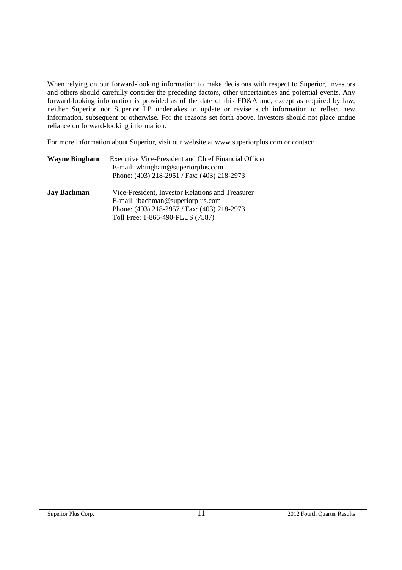When relying on our forward-looking information to make decisions with respect to Superior, investors and others should carefully consider the preceding factors, other uncertainties and potential events. Any forward-looking information is provided as of the date of this FD&A and, except as required by law, neither Superior nor Superior LP undertakes to update or revise such information to reflect new information, subsequent or otherwise. For the reasons set forth above, investors should not place undue reliance on forward-looking information.

For more information about Superior, visit our website at www.superiorplus.com or contact:

| <b>Wayne Bingham</b> | <b>Executive Vice-President and Chief Financial Officer</b> |
|----------------------|-------------------------------------------------------------|
|                      | E-mail: wbingham@superiorplus.com                           |
|                      | Phone: (403) 218-2951 / Fax: (403) 218-2973                 |
| <b>Jay Bachman</b>   | Vice-President, Investor Relations and Treasurer            |
|                      | E-mail: jbachman@superiorplus.com                           |
|                      | Phone: (403) 218-2957 / Fax: (403) 218-2973                 |
|                      | Toll Free: 1-866-490-PLUS (7587)                            |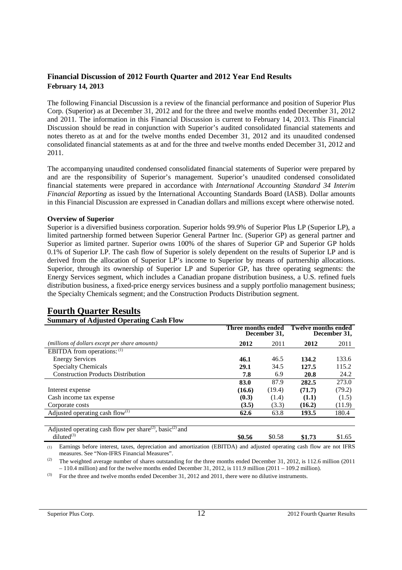## **Financial Discussion of 2012 Fourth Quarter and 2012 Year End Results February 14, 2013**

The following Financial Discussion is a review of the financial performance and position of Superior Plus Corp. (Superior) as at December 31, 2012 and for the three and twelve months ended December 31, 2012 and 2011. The information in this Financial Discussion is current to February 14, 2013. This Financial Discussion should be read in conjunction with Superior's audited consolidated financial statements and notes thereto as at and for the twelve months ended December 31, 2012 and its unaudited condensed consolidated financial statements as at and for the three and twelve months ended December 31, 2012 and 2011.

The accompanying unaudited condensed consolidated financial statements of Superior were prepared by and are the responsibility of Superior's management. Superior's unaudited condensed consolidated financial statements were prepared in accordance with *International Accounting Standard 34 Interim Financial Reporting* as issued by the International Accounting Standards Board (IASB). Dollar amounts in this Financial Discussion are expressed in Canadian dollars and millions except where otherwise noted.

### **Overview of Superior**

Superior is a diversified business corporation. Superior holds 99.9% of Superior Plus LP (Superior LP), a limited partnership formed between Superior General Partner Inc. (Superior GP) as general partner and Superior as limited partner. Superior owns 100% of the shares of Superior GP and Superior GP holds 0.1% of Superior LP. The cash flow of Superior is solely dependent on the results of Superior LP and is derived from the allocation of Superior LP's income to Superior by means of partnership allocations. Superior, through its ownership of Superior LP and Superior GP, has three operating segments: the Energy Services segment, which includes a Canadian propane distribution business, a U.S. refined fuels distribution business, a fixed-price energy services business and a supply portfolio management business; the Specialty Chemicals segment; and the Construction Products Distribution segment.

|                                                                                  | Three months ended<br>December 31, | Twelve months ended<br>December 31, |        |        |
|----------------------------------------------------------------------------------|------------------------------------|-------------------------------------|--------|--------|
| (millions of dollars except per share amounts)                                   | 2012                               | 2011                                | 2012   | 2011   |
| EBITDA from operations: $(1)$                                                    |                                    |                                     |        |        |
| <b>Energy Services</b>                                                           | 46.1                               | 46.5                                | 134.2  | 133.6  |
| <b>Specialty Chemicals</b>                                                       | 29.1                               | 34.5                                | 127.5  | 115.2  |
| <b>Construction Products Distribution</b>                                        | 7.8                                | 6.9                                 | 20.8   | 24.2   |
|                                                                                  | 83.0                               | 87.9                                | 282.5  | 273.0  |
| Interest expense                                                                 | (16.6)                             | (19.4)                              | (71.7) | (79.2) |
| Cash income tax expense                                                          | (0.3)                              | (1.4)                               | (1.1)  | (1.5)  |
| Corporate costs                                                                  | (3.5)                              | (3.3)                               | (16.2) | (11.9) |
| Adjusted operating cash flow $^{(1)}$                                            | 62.6                               | 63.8                                | 193.5  | 180.4  |
|                                                                                  |                                    |                                     |        |        |
| Adjusted operating cash flow per share <sup>(2)</sup> , basic <sup>(2)</sup> and |                                    |                                     |        |        |

#### **Fourth Quarter Results Summary of Adjusted Operating Cash Flow**

(1) Earnings before interest, taxes, depreciation and amortization (EBITDA) and adjusted operating cash flow are not IFRS measures. See "Non-IFRS Financial Measures".

**\$0.56**

\$0.58

The weighted average number of shares outstanding for the three months ended December 31, 2012, is 112.6 million (2011 – 110.4 million) and for the twelve months ended December 31, 2012, is 111.9 million (2011 – 109.2 million).

(3) For the three and twelve months ended December 31, 2012 and 2011, there were no dilutive instruments.

diluted $(3)$ 

 **\$1.73** \$1.65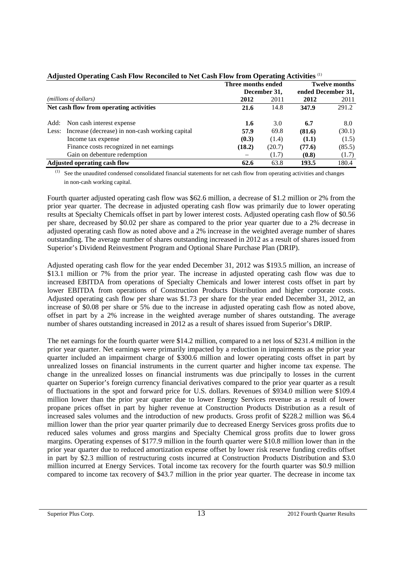|       |                                                 | Three months ended       |              |                    | <b>Twelve months</b> |
|-------|-------------------------------------------------|--------------------------|--------------|--------------------|----------------------|
|       |                                                 |                          | December 31, | ended December 31, |                      |
|       | (millions of dollars)                           | 2012                     | 2011         | 2012               | 2011                 |
|       | Net cash flow from operating activities         | 21.6                     | 14.8         | 347.9              | 291.2                |
| Add:  | Non cash interest expense                       | 1.6                      | 3.0          | 6.7                | 8.0                  |
| Less: | Increase (decrease) in non-cash working capital | 57.9                     | 69.8         | (81.6)             | (30.1)               |
|       | Income tax expense                              | (0.3)                    | (1.4)        | (1.1)              | (1.5)                |
|       | Finance costs recognized in net earnings        | (18.2)                   | (20.7)       | (77.6)             | (85.5)               |
|       | Gain on debenture redemption                    | $\overline{\phantom{0}}$ | (1.7)        | (0.8)              | (1.7)                |
|       | <b>Adjusted operating cash flow</b>             | 62.6                     | 63.8         | 193.5              | 180.4                |

### **Adjusted Operating Cash Flow Reconciled to Net Cash Flow from Operating Activities** (1)

See the unaudited condensed consolidated financial statements for net cash flow from operating activities and changes in non-cash working capital.

Fourth quarter adjusted operating cash flow was \$62.6 million, a decrease of \$1.2 million or 2% from the prior year quarter. The decrease in adjusted operating cash flow was primarily due to lower operating results at Specialty Chemicals offset in part by lower interest costs. Adjusted operating cash flow of \$0.56 per share, decreased by \$0.02 per share as compared to the prior year quarter due to a 2% decrease in adjusted operating cash flow as noted above and a 2% increase in the weighted average number of shares outstanding. The average number of shares outstanding increased in 2012 as a result of shares issued from Superior's Dividend Reinvestment Program and Optional Share Purchase Plan (DRIP).

Adjusted operating cash flow for the year ended December 31, 2012 was \$193.5 million, an increase of \$13.1 million or 7% from the prior year. The increase in adjusted operating cash flow was due to increased EBITDA from operations of Specialty Chemicals and lower interest costs offset in part by lower EBITDA from operations of Construction Products Distribution and higher corporate costs. Adjusted operating cash flow per share was \$1.73 per share for the year ended December 31, 2012, an increase of \$0.08 per share or 5% due to the increase in adjusted operating cash flow as noted above, offset in part by a 2% increase in the weighted average number of shares outstanding. The average number of shares outstanding increased in 2012 as a result of shares issued from Superior's DRIP.

The net earnings for the fourth quarter were \$14.2 million, compared to a net loss of \$231.4 million in the prior year quarter. Net earnings were primarily impacted by a reduction in impairments as the prior year quarter included an impairment charge of \$300.6 million and lower operating costs offset in part by unrealized losses on financial instruments in the current quarter and higher income tax expense. The change in the unrealized losses on financial instruments was due principally to losses in the current quarter on Superior's foreign currency financial derivatives compared to the prior year quarter as a result of fluctuations in the spot and forward price for U.S. dollars. Revenues of \$934.0 million were \$109.4 million lower than the prior year quarter due to lower Energy Services revenue as a result of lower propane prices offset in part by higher revenue at Construction Products Distribution as a result of increased sales volumes and the introduction of new products. Gross profit of \$228.2 million was \$6.4 million lower than the prior year quarter primarily due to decreased Energy Services gross profits due to reduced sales volumes and gross margins and Specialty Chemical gross profits due to lower gross margins. Operating expenses of \$177.9 million in the fourth quarter were \$10.8 million lower than in the prior year quarter due to reduced amortization expense offset by lower risk reserve funding credits offset in part by \$2.3 million of restructuring costs incurred at Construction Products Distribution and \$3.0 million incurred at Energy Services. Total income tax recovery for the fourth quarter was \$0.9 million compared to income tax recovery of \$43.7 million in the prior year quarter. The decrease in income tax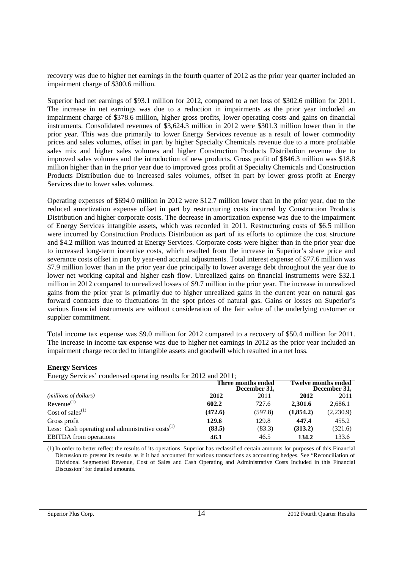recovery was due to higher net earnings in the fourth quarter of 2012 as the prior year quarter included an impairment charge of \$300.6 million.

Superior had net earnings of \$93.1 million for 2012, compared to a net loss of \$302.6 million for 2011. The increase in net earnings was due to a reduction in impairments as the prior year included an impairment charge of \$378.6 million, higher gross profits, lower operating costs and gains on financial instruments. Consolidated revenues of \$3,624.3 million in 2012 were \$301.3 million lower than in the prior year. This was due primarily to lower Energy Services revenue as a result of lower commodity prices and sales volumes, offset in part by higher Specialty Chemicals revenue due to a more profitable sales mix and higher sales volumes and higher Construction Products Distribution revenue due to improved sales volumes and the introduction of new products. Gross profit of \$846.3 million was \$18.8 million higher than in the prior year due to improved gross profit at Specialty Chemicals and Construction Products Distribution due to increased sales volumes, offset in part by lower gross profit at Energy Services due to lower sales volumes.

Operating expenses of \$694.0 million in 2012 were \$12.7 million lower than in the prior year, due to the reduced amortization expense offset in part by restructuring costs incurred by Construction Products Distribution and higher corporate costs. The decrease in amortization expense was due to the impairment of Energy Services intangible assets, which was recorded in 2011. Restructuring costs of \$6.5 million were incurred by Construction Products Distribution as part of its efforts to optimize the cost structure and \$4.2 million was incurred at Energy Services. Corporate costs were higher than in the prior year due to increased long-term incentive costs, which resulted from the increase in Superior's share price and severance costs offset in part by year-end accrual adjustments. Total interest expense of \$77.6 million was \$7.9 million lower than in the prior year due principally to lower average debt throughout the year due to lower net working capital and higher cash flow. Unrealized gains on financial instruments were \$32.1 million in 2012 compared to unrealized losses of \$9.7 million in the prior year. The increase in unrealized gains from the prior year is primarily due to higher unrealized gains in the current year on natural gas forward contracts due to fluctuations in the spot prices of natural gas. Gains or losses on Superior's various financial instruments are without consideration of the fair value of the underlying customer or supplier commitment.

Total income tax expense was \$9.0 million for 2012 compared to a recovery of \$50.4 million for 2011. The increase in income tax expense was due to higher net earnings in 2012 as the prior year included an impairment charge recorded to intangible assets and goodwill which resulted in a net loss.

#### **Energy Services**

Energy Services' condensed operating results for 2012 and 2011;

|                                                       | Three months ended<br>December 31, |         | <b>Twelve months ended</b> |                      |  |
|-------------------------------------------------------|------------------------------------|---------|----------------------------|----------------------|--|
| (millions of dollars)                                 | 2012                               | 2011    | 2012                       | December 31,<br>2011 |  |
| $Revenue$ <sup>(1)</sup>                              | 602.2                              | 727.6   | 2,301.6                    | 2,686.1              |  |
| Cost of sales <sup><math>(1)</math></sup>             | (472.6)                            | (597.8) | (1,854.2)                  | (2,230.9)            |  |
| Gross profit                                          | 129.6                              | 129.8   | 447.4                      | 455.2                |  |
| Less: Cash operating and administrative $costs^{(1)}$ | (83.5)                             | (83.3)  | (313.2)                    | (321.6)              |  |
| <b>EBITDA</b> from operations                         | 46.1                               | 46.5    | 134.2                      | 133.6                |  |

(1)In order to better reflect the results of its operations, Superior has reclassified certain amounts for purposes of this Financial Discussion to present its results as if it had accounted for various transactions as accounting hedges. See "Reconciliation of Divisional Segmented Revenue, Cost of Sales and Cash Operating and Administrative Costs Included in this Financial Discussion" for detailed amounts.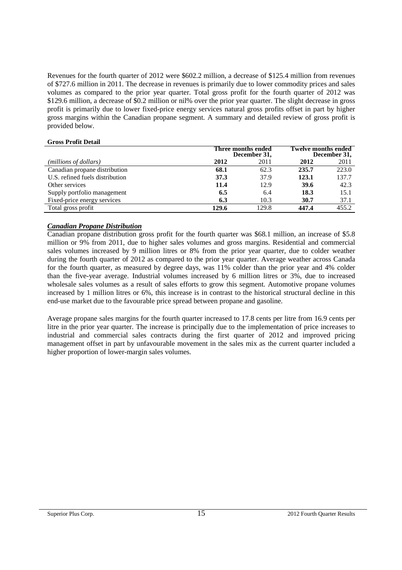Revenues for the fourth quarter of 2012 were \$602.2 million, a decrease of \$125.4 million from revenues of \$727.6 million in 2011. The decrease in revenues is primarily due to lower commodity prices and sales volumes as compared to the prior year quarter. Total gross profit for the fourth quarter of 2012 was \$129.6 million, a decrease of \$0.2 million or nil% over the prior year quarter. The slight decrease in gross profit is primarily due to lower fixed-price energy services natural gross profits offset in part by higher gross margins within the Canadian propane segment. A summary and detailed review of gross profit is provided below.

#### **Gross Profit Detail**

|                                 | Three months ended<br>December 31, | <b>Twelve months ended</b><br>December 31, |       |       |
|---------------------------------|------------------------------------|--------------------------------------------|-------|-------|
| ( <i>millions of dollars</i> )  | 2012                               | 2011                                       | 2012  | 2011  |
| Canadian propane distribution   | 68.1                               | 62.3                                       | 235.7 | 223.0 |
| U.S. refined fuels distribution | 37.3                               | 37.9                                       | 123.1 | 137.7 |
| Other services                  | 11.4                               | 12.9                                       | 39.6  | 42.3  |
| Supply portfolio management     | 6.5                                | 6.4                                        | 18.3  | 15.1  |
| Fixed-price energy services     | 6.3                                | 10.3                                       | 30.7  | 37.1  |
| Total gross profit              | 129.6                              | 129.8                                      | 447.4 | 455.2 |

## *Canadian Propane Distribution*

Canadian propane distribution gross profit for the fourth quarter was \$68.1 million, an increase of \$5.8 million or 9% from 2011, due to higher sales volumes and gross margins. Residential and commercial sales volumes increased by 9 million litres or 8% from the prior year quarter, due to colder weather during the fourth quarter of 2012 as compared to the prior year quarter. Average weather across Canada for the fourth quarter, as measured by degree days, was 11% colder than the prior year and 4% colder than the five-year average. Industrial volumes increased by 6 million litres or 3%, due to increased wholesale sales volumes as a result of sales efforts to grow this segment. Automotive propane volumes increased by 1 million litres or 6%, this increase is in contrast to the historical structural decline in this end-use market due to the favourable price spread between propane and gasoline.

Average propane sales margins for the fourth quarter increased to 17.8 cents per litre from 16.9 cents per litre in the prior year quarter. The increase is principally due to the implementation of price increases to industrial and commercial sales contracts during the first quarter of 2012 and improved pricing management offset in part by unfavourable movement in the sales mix as the current quarter included a higher proportion of lower-margin sales volumes.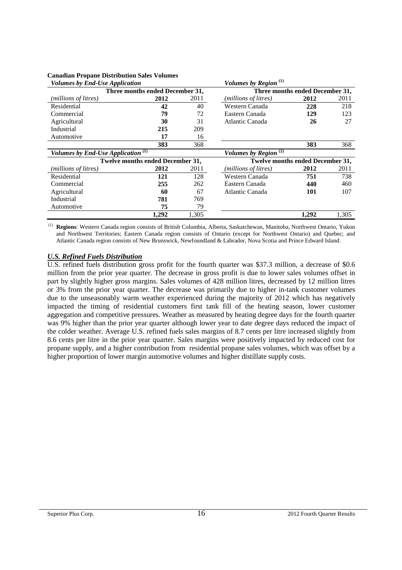| <b>Volumes by End-Use Application</b>         |                                 |       | Volumes by Region <sup>(1)</sup> |                                         |       |
|-----------------------------------------------|---------------------------------|-------|----------------------------------|-----------------------------------------|-------|
|                                               | Three months ended December 31, |       | Three months ended December 31,  |                                         |       |
| ( <i>millions of litres</i> )                 | 2012                            | 2011  | (millions of litres)             | 2012                                    | 2011  |
| Residential                                   | 42                              | 40    | Western Canada                   | 228                                     | 218   |
| Commercial                                    | 79                              | 72    | Eastern Canada                   | 129                                     | 123   |
| Agricultural                                  | 30                              | 31    | Atlantic Canada                  | 26                                      | 27    |
| Industrial                                    | 215                             | 209   |                                  |                                         |       |
| Automotive                                    | 17                              | 16    |                                  |                                         |       |
|                                               | 383                             | 368   |                                  | 383                                     | 368   |
| Volumes by End-Use Application <sup>(1)</sup> |                                 |       | Volumes by Region <sup>(2)</sup> |                                         |       |
| Twelve months ended December 31,              |                                 |       |                                  | <b>Twelve months ended December 31,</b> |       |
| ( <i>millions of litres</i> )                 | 2012                            | 2011  | (millions of litres)             | 2012                                    | 2011  |
| Residential                                   | 121                             | 128   | Western Canada                   | 751                                     | 738   |
| Commercial                                    | 255                             | 262   | Eastern Canada                   | 440                                     | 460   |
| Agricultural                                  | 60                              | 67    | Atlantic Canada                  | <b>101</b>                              | 107   |
| Industrial                                    | 781                             | 769   |                                  |                                         |       |
| Automotive                                    | 75                              | 79    |                                  |                                         |       |
|                                               | 1,292                           | 1,305 |                                  | 1,292                                   | 1,305 |

### **Canadian Propane Distribution Sales Volumes**

(1) **Regions**: Western Canada region consists of British Columbia, Alberta, Saskatchewan, Manitoba, Northwest Ontario, Yukon and Northwest Territories; Eastern Canada region consists of Ontario (except for Northwest Ontario) and Quebec; and Atlantic Canada region consists of New Brunswick, Newfoundland & Labrador, Nova Scotia and Prince Edward Island.

## *U.S. Refined Fuels Distribution*

U.S. refined fuels distribution gross profit for the fourth quarter was \$37.3 million, a decrease of \$0.6 million from the prior year quarter. The decrease in gross profit is due to lower sales volumes offset in part by slightly higher gross margins. Sales volumes of 428 million litres, decreased by 12 million litres or 3% from the prior year quarter. The decrease was primarily due to higher in-tank customer volumes due to the unseasonably warm weather experienced during the majority of 2012 which has negatively impacted the timing of residential customers first tank fill of the heating season, lower customer aggregation and competitive pressures. Weather as measured by heating degree days for the fourth quarter was 9% higher than the prior year quarter although lower year to date degree days reduced the impact of the colder weather. Average U.S. refined fuels sales margins of 8.7 cents per litre increased slightly from 8.6 cents per litre in the prior year quarter. Sales margins were positively impacted by reduced cost for propane supply, and a higher contribution from residential propane sales volumes, which was offset by a higher proportion of lower margin automotive volumes and higher distillate supply costs.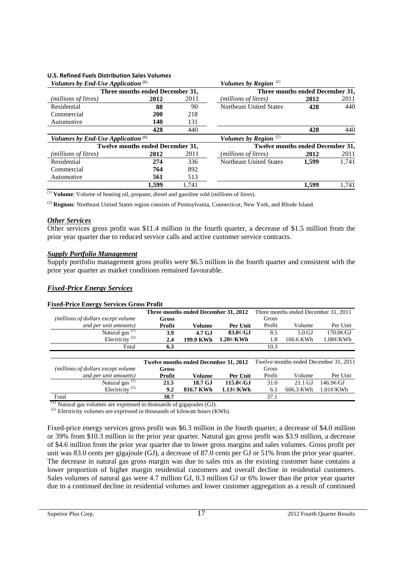| Volumes by End-Use Application $(1)$ |                                         |      | Volumes by Region <sup>(2)</sup>        |       |       |
|--------------------------------------|-----------------------------------------|------|-----------------------------------------|-------|-------|
|                                      | Three months ended December 31,         |      | Three months ended December 31,         |       |       |
| (millions of litres)                 | 2012                                    | 2011 | (millions of litres)                    | 2012  | 2011  |
| Residential                          | 88                                      | 90   | Northeast United States                 | 428   | 440   |
| Commercial                           | <b>200</b>                              | 218  |                                         |       |       |
| Automotive                           | 140                                     | 131  |                                         |       |       |
|                                      | 428                                     | 440  |                                         | 428   | 440   |
| Volumes by End-Use Application $(1)$ |                                         |      | Volumes by Region $(2)$                 |       |       |
|                                      | <b>Twelve months ended December 31,</b> |      | <b>Twelve months ended December 31,</b> |       |       |
| ( <i>millions of litres</i> )        | 2012                                    | 2011 | (millions of litres)                    | 2012  | 2011  |
| Residential                          | 274                                     | 336  | <b>Northeast United States</b>          | 1.599 | 1,741 |
| Commercial                           | 764                                     | 892  |                                         |       |       |
| Automotive                           | 561                                     | 513  |                                         |       |       |
|                                      |                                         |      |                                         |       |       |

#### **U.S. Refined Fuels Distribution Sales Volumes**

(1) **Volume**: Volume of heating oil, propane, diesel and gasoline sold (millions of litres).

(2) **Regions**: Northeast United States region consists of Pennsylvania, Connecticut, New York, and Rhode Island.

#### *Other Services*

Other services gross profit was \$11.4 million in the fourth quarter, a decrease of \$1.5 million from the prior year quarter due to reduced service calls and active customer service contracts.

### *Supply Portfolio Management*

Supply portfolio management gross profits were \$6.5 million in the fourth quarter and consistent with the prior year quarter as market conditions remained favourable.

#### *Fixed-Price Energy Services*

#### **Fixed-Price Energy Services Gross Profit**

| ອຸ                                      |        | Three months ended December 31, 2012  |                    |        | Three months ended December 31, 2011 |                                       |
|-----------------------------------------|--------|---------------------------------------|--------------------|--------|--------------------------------------|---------------------------------------|
| (millions of dollars except volume      | Gross  |                                       |                    | Gross  |                                      |                                       |
| and per unit amounts)                   | Profit | Volume                                | Per Unit           | Profit | Volume                               | Per Unit                              |
| Natural gas <sup>(1)</sup>              | 3.9    | 4.7 G.I                               | 83.0¢/GJ           | 8.5    | $5.0 \,\mathrm{GJ}$                  | $170.0$ c/GJ                          |
| Electricity <sup>(2)</sup>              | 2.4    | 199.9 KWh                             | 1.20¢/KWh          | 1.8    | 166.6 KWh                            | $1.08¢$ /KWh                          |
| Total                                   | 6.3    |                                       |                    | 10.3   |                                      |                                       |
|                                         |        |                                       |                    |        |                                      |                                       |
|                                         |        | Twelve months ended December 31, 2012 |                    |        |                                      | Twelve months ended December 31, 2011 |
| (millions of dollars except volume)     | Gross  |                                       |                    | Gross  |                                      |                                       |
| and per unit amounts)                   | Profit | <b>Volume</b>                         | Per Unit           | Profit | Volume                               | Per Unit                              |
| Natural gas <sup>(1)</sup>              | 21.5   | 18.7 G.I                              | $115.0\text{e/GJ}$ | 31.0   | $21.1 \text{ GJ}$                    | 146.9c/GJ                             |
| Electricity <sup><math>(2)</math></sup> | 9.2    | 816.7 KWh                             | $1.13 \times$ /KWh | 6.1    | 606.3 KWh                            | 1.01c/KWh                             |
| Total                                   | 30.7   |                                       |                    | 37.1   |                                      |                                       |

 $(1)$  Natural gas volumes are expressed in thousands of gigajoules (GJ).

 $(2)$  Electricity volumes are expressed in thousands of kilowatt hours (KWh).

Fixed-price energy services gross profit was \$6.3 million in the fourth quarter, a decrease of \$4.0 million or 39% from \$10.3 million in the prior year quarter. Natural gas gross profit was \$3.9 million, a decrease of \$4.6 million from the prior year quarter due to lower gross margins and sales volumes. Gross profit per unit was 83.0 cents per gigajoule (GJ), a decrease of 87.0 cents per GJ or 51% from the prior year quarter. The decrease in natural gas gross margin was due to sales mix as the existing customer base contains a lower proportion of higher margin residential customers and overall decline in residential customers. Sales volumes of natural gas were 4.7 million GJ, 0.3 million GJ or 6% lower than the prior year quarter due to a continued decline in residential volumes and lower customer aggregation as a result of continued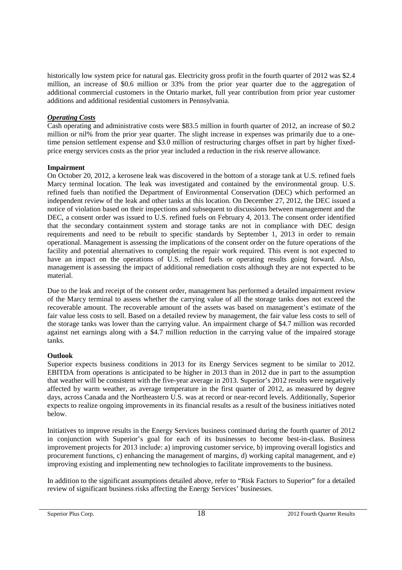historically low system price for natural gas. Electricity gross profit in the fourth quarter of 2012 was \$2.4 million, an increase of \$0.6 million or 33% from the prior year quarter due to the aggregation of additional commercial customers in the Ontario market, full year contribution from prior year customer additions and additional residential customers in Pennsylvania.

## *Operating Costs*

Cash operating and administrative costs were \$83.5 million in fourth quarter of 2012, an increase of \$0.2 million or nil% from the prior year quarter. The slight increase in expenses was primarily due to a onetime pension settlement expense and \$3.0 million of restructuring charges offset in part by higher fixedprice energy services costs as the prior year included a reduction in the risk reserve allowance.

### **Impairment**

On October 20, 2012, a kerosene leak was discovered in the bottom of a storage tank at U.S. refined fuels Marcy terminal location. The leak was investigated and contained by the environmental group. U.S. refined fuels than notified the Department of Environmental Conservation (DEC) which performed an independent review of the leak and other tanks at this location. On December 27, 2012, the DEC issued a notice of violation based on their inspections and subsequent to discussions between management and the DEC, a consent order was issued to U.S. refined fuels on February 4, 2013. The consent order identified that the secondary containment system and storage tanks are not in compliance with DEC design requirements and need to be rebuilt to specific standards by September 1, 2013 in order to remain operational. Management is assessing the implications of the consent order on the future operations of the facility and potential alternatives to completing the repair work required. This event is not expected to have an impact on the operations of U.S. refined fuels or operating results going forward. Also, management is assessing the impact of additional remediation costs although they are not expected to be material.

Due to the leak and receipt of the consent order, management has performed a detailed impairment review of the Marcy terminal to assess whether the carrying value of all the storage tanks does not exceed the recoverable amount. The recoverable amount of the assets was based on management's estimate of the fair value less costs to sell. Based on a detailed review by management, the fair value less costs to sell of the storage tanks was lower than the carrying value. An impairment charge of \$4.7 million was recorded against net earnings along with a \$4.7 million reduction in the carrying value of the impaired storage tanks.

## **Outlook**

Superior expects business conditions in 2013 for its Energy Services segment to be similar to 2012. EBITDA from operations is anticipated to be higher in 2013 than in 2012 due in part to the assumption that weather will be consistent with the five-year average in 2013. Superior's 2012 results were negatively affected by warm weather, as average temperature in the first quarter of 2012, as measured by degree days, across Canada and the Northeastern U.S. was at record or near-record levels. Additionally, Superior expects to realize ongoing improvements in its financial results as a result of the business initiatives noted below.

Initiatives to improve results in the Energy Services business continued during the fourth quarter of 2012 in conjunction with Superior's goal for each of its businesses to become best-in-class. Business improvement projects for 2013 include: a) improving customer service, b) improving overall logistics and procurement functions, c) enhancing the management of margins, d) working capital management, and e) improving existing and implementing new technologies to facilitate improvements to the business.

In addition to the significant assumptions detailed above, refer to "Risk Factors to Superior" for a detailed review of significant business risks affecting the Energy Services' businesses.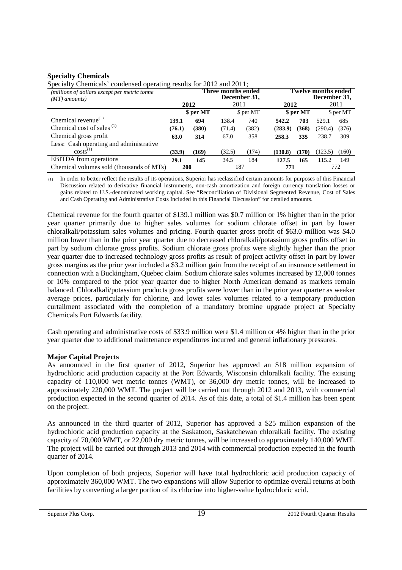## **Specialty Chemicals**

*(millions of dollars except per metric tonne (MT) amounts)*   **Three months ended December 31, Twelve months ended December 31, 2012** 2011 **2012** 2011 \$ per MT \$ per MT \$ per MT \$ per MT Chemical revenue(1) **139.1 694** 138.4 740 **542.2 703** 529.1 685 Chemical cost of sales (1) **(76.1) (380)** (71.4) (382) **(283.9) (368)** (290.4) (376) Chemical gross profit **63.0 314** 67.0 358 **258.3 335** 238.7 309 Less: Cash operating and administrative  $costs^{(1)}$  costs(1) **(33.9) (169)** (32.5) (174) **(130.8) (170)** (123.5) (160) EBITDA from operations **29.1 145** 34.5 184 **127.5 165** 115.2 149 Chemical volumes sold (thousands of MTs) **200** 187 **771** 772

Specialty Chemicals' condensed operating results for 2012 and 2011;

(1) In order to better reflect the results of its operations, Superior has reclassified certain amounts for purposes of this Financial Discussion related to derivative financial instruments, non-cash amortization and foreign currency translation losses or gains related to U.S.-denominated working capital. See "Reconciliation of Divisional Segmented Revenue, Cost of Sales and Cash Operating and Administrative Costs Included in this Financial Discussion" for detailed amounts.

Chemical revenue for the fourth quarter of \$139.1 million was \$0.7 million or 1% higher than in the prior year quarter primarily due to higher sales volumes for sodium chlorate offset in part by lower chloralkali/potassium sales volumes and pricing. Fourth quarter gross profit of \$63.0 million was \$4.0 million lower than in the prior year quarter due to decreased chloralkali/potassium gross profits offset in part by sodium chlorate gross profits. Sodium chlorate gross profits were slightly higher than the prior year quarter due to increased technology gross profits as result of project activity offset in part by lower gross margins as the prior year included a \$3.2 million gain from the receipt of an insurance settlement in connection with a Buckingham, Quebec claim. Sodium chlorate sales volumes increased by 12,000 tonnes or 10% compared to the prior year quarter due to higher North American demand as markets remain balanced. Chloralkali/potassium products gross profits were lower than in the prior year quarter as weaker average prices, particularly for chlorine, and lower sales volumes related to a temporary production curtailment associated with the completion of a mandatory bromine upgrade project at Specialty Chemicals Port Edwards facility.

Cash operating and administrative costs of \$33.9 million were \$1.4 million or 4% higher than in the prior year quarter due to additional maintenance expenditures incurred and general inflationary pressures.

### **Major Capital Projects**

As announced in the first quarter of 2012, Superior has approved an \$18 million expansion of hydrochloric acid production capacity at the Port Edwards, Wisconsin chloralkali facility. The existing capacity of 110,000 wet metric tonnes (WMT), or 36,000 dry metric tonnes, will be increased to approximately 220,000 WMT. The project will be carried out through 2012 and 2013, with commercial production expected in the second quarter of 2014. As of this date, a total of \$1.4 million has been spent on the project.

As announced in the third quarter of 2012, Superior has approved a \$25 million expansion of the hydrochloric acid production capacity at the Saskatoon, Saskatchewan chloralkali facility. The existing capacity of 70,000 WMT, or 22,000 dry metric tonnes, will be increased to approximately 140,000 WMT. The project will be carried out through 2013 and 2014 with commercial production expected in the fourth quarter of 2014.

Upon completion of both projects, Superior will have total hydrochloric acid production capacity of approximately 360,000 WMT. The two expansions will allow Superior to optimize overall returns at both facilities by converting a larger portion of its chlorine into higher-value hydrochloric acid.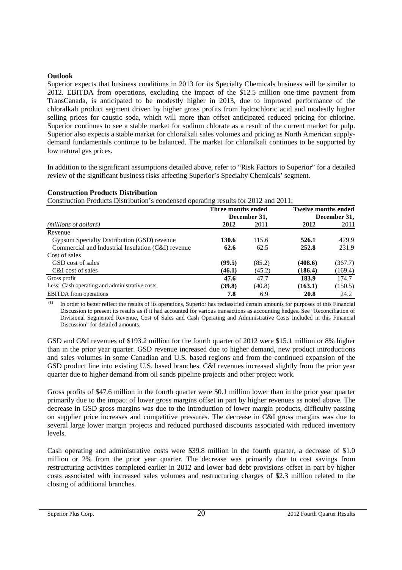### **Outlook**

Superior expects that business conditions in 2013 for its Specialty Chemicals business will be similar to 2012. EBITDA from operations, excluding the impact of the \$12.5 million one-time payment from TransCanada, is anticipated to be modestly higher in 2013, due to improved performance of the chloralkali product segment driven by higher gross profits from hydrochloric acid and modestly higher selling prices for caustic soda, which will more than offset anticipated reduced pricing for chlorine. Superior continues to see a stable market for sodium chlorate as a result of the current market for pulp. Superior also expects a stable market for chloralkali sales volumes and pricing as North American supplydemand fundamentals continue to be balanced. The market for chloralkali continues to be supported by low natural gas prices.

In addition to the significant assumptions detailed above, refer to "Risk Factors to Superior" for a detailed review of the significant business risks affecting Superior's Specialty Chemicals' segment.

| <b>Construction Products Distribution</b>                                           |  |
|-------------------------------------------------------------------------------------|--|
| Construction Products Distribution's condensed operating results for 2012 and 2011; |  |

|                                                    | Three months ended |              |         | <b>Twelve months ended</b><br>December 31, |  |  |
|----------------------------------------------------|--------------------|--------------|---------|--------------------------------------------|--|--|
|                                                    |                    | December 31, |         |                                            |  |  |
| ( <i>millions of dollars</i> )                     | 2012               | 2011         | 2012    | 2011                                       |  |  |
| Revenue                                            |                    |              |         |                                            |  |  |
| Gypsum Specialty Distribution (GSD) revenue        | 130.6              | 115.6        | 526.1   | 479.9                                      |  |  |
| Commercial and Industrial Insulation (C&I) revenue | 62.6               | 62.5         | 252.8   | 231.9                                      |  |  |
| Cost of sales                                      |                    |              |         |                                            |  |  |
| GSD cost of sales                                  | (99.5)             | (85.2)       | (408.6) | (367.7)                                    |  |  |
| C&I cost of sales                                  | (46.1)             | (45.2)       | (186.4) | (169.4)                                    |  |  |
| Gross profit                                       | 47.6               | 47.7         | 183.9   | 174.7                                      |  |  |
| Less: Cash operating and administrative costs      | (39.8)             | (40.8)       | (163.1) | (150.5)                                    |  |  |
| <b>EBITDA</b> from operations                      | 7.8                | 6.9          | 20.8    | 24.2                                       |  |  |

(1) In order to better reflect the results of its operations, Superior has reclassified certain amounts for purposes of this Financial Discussion to present its results as if it had accounted for various transactions as accounting hedges. See "Reconciliation of Divisional Segmented Revenue, Cost of Sales and Cash Operating and Administrative Costs Included in this Financial Discussion" for detailed amounts.

GSD and C&I revenues of \$193.2 million for the fourth quarter of 2012 were \$15.1 million or 8% higher than in the prior year quarter. GSD revenue increased due to higher demand, new product introductions and sales volumes in some Canadian and U.S. based regions and from the continued expansion of the GSD product line into existing U.S. based branches. C&I revenues increased slightly from the prior year quarter due to higher demand from oil sands pipeline projects and other project work.

Gross profits of \$47.6 million in the fourth quarter were \$0.1 million lower than in the prior year quarter primarily due to the impact of lower gross margins offset in part by higher revenues as noted above. The decrease in GSD gross margins was due to the introduction of lower margin products, difficulty passing on supplier price increases and competitive pressures. The decrease in C&I gross margins was due to several large lower margin projects and reduced purchased discounts associated with reduced inventory levels.

Cash operating and administrative costs were \$39.8 million in the fourth quarter, a decrease of \$1.0 million or 2% from the prior year quarter. The decrease was primarily due to cost savings from restructuring activities completed earlier in 2012 and lower bad debt provisions offset in part by higher costs associated with increased sales volumes and restructuring charges of \$2.3 million related to the closing of additional branches.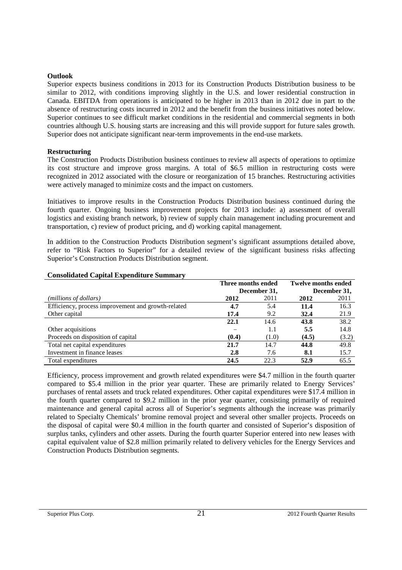### **Outlook**

Superior expects business conditions in 2013 for its Construction Products Distribution business to be similar to 2012, with conditions improving slightly in the U.S. and lower residential construction in Canada. EBITDA from operations is anticipated to be higher in 2013 than in 2012 due in part to the absence of restructuring costs incurred in 2012 and the benefit from the business initiatives noted below. Superior continues to see difficult market conditions in the residential and commercial segments in both countries although U.S. housing starts are increasing and this will provide support for future sales growth. Superior does not anticipate significant near-term improvements in the end-use markets.

### **Restructuring**

The Construction Products Distribution business continues to review all aspects of operations to optimize its cost structure and improve gross margins. A total of \$6.5 million in restructuring costs were recognized in 2012 associated with the closure or reorganization of 15 branches. Restructuring activities were actively managed to minimize costs and the impact on customers.

Initiatives to improve results in the Construction Products Distribution business continued during the fourth quarter. Ongoing business improvement projects for 2013 include: a) assessment of overall logistics and existing branch network, b) review of supply chain management including procurement and transportation, c) review of product pricing, and d) working capital management.

In addition to the Construction Products Distribution segment's significant assumptions detailed above, refer to "Risk Factors to Superior" for a detailed review of the significant business risks affecting Superior's Construction Products Distribution segment.

|                                                    | Three months ended |              | <b>Twelve months ended</b> |              |  |
|----------------------------------------------------|--------------------|--------------|----------------------------|--------------|--|
|                                                    |                    | December 31, |                            | December 31, |  |
| (millions of dollars)                              | 2012               | 2011         | 2012                       | 2011         |  |
| Efficiency, process improvement and growth-related | 4.7                | 5.4          | 11.4                       | 16.3         |  |
| Other capital                                      | 17.4               | 9.2          | 32.4                       | 21.9         |  |
|                                                    | 22.1               | 14.6         | 43.8                       | 38.2         |  |
| Other acquisitions                                 |                    | 1.1          | 5.5                        | 14.8         |  |
| Proceeds on disposition of capital                 | (0.4)              | (1.0)        | (4.5)                      | (3.2)        |  |
| Total net capital expenditures                     | 21.7               | 14.7         | 44.8                       | 49.8         |  |
| Investment in finance leases                       | 2.8                | 7.6          | 8.1                        | 15.7         |  |
| Total expenditures                                 | 24.5               | 22.3         | 52.9                       | 65.5         |  |

#### **Consolidated Capital Expenditure Summary**

Efficiency, process improvement and growth related expenditures were \$4.7 million in the fourth quarter compared to \$5.4 million in the prior year quarter. These are primarily related to Energy Services' purchases of rental assets and truck related expenditures. Other capital expenditures were \$17.4 million in the fourth quarter compared to \$9.2 million in the prior year quarter, consisting primarily of required maintenance and general capital across all of Superior's segments although the increase was primarily related to Specialty Chemicals' bromine removal project and several other smaller projects. Proceeds on the disposal of capital were \$0.4 million in the fourth quarter and consisted of Superior's disposition of surplus tanks, cylinders and other assets. During the fourth quarter Superior entered into new leases with capital equivalent value of \$2.8 million primarily related to delivery vehicles for the Energy Services and Construction Products Distribution segments.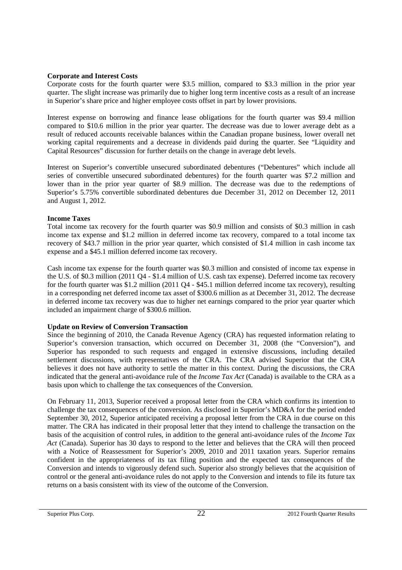### **Corporate and Interest Costs**

Corporate costs for the fourth quarter were \$3.5 million, compared to \$3.3 million in the prior year quarter. The slight increase was primarily due to higher long term incentive costs as a result of an increase in Superior's share price and higher employee costs offset in part by lower provisions.

Interest expense on borrowing and finance lease obligations for the fourth quarter was \$9.4 million compared to \$10.6 million in the prior year quarter. The decrease was due to lower average debt as a result of reduced accounts receivable balances within the Canadian propane business, lower overall net working capital requirements and a decrease in dividends paid during the quarter. See "Liquidity and Capital Resources" discussion for further details on the change in average debt levels.

Interest on Superior's convertible unsecured subordinated debentures ("Debentures" which include all series of convertible unsecured subordinated debentures) for the fourth quarter was \$7.2 million and lower than in the prior year quarter of \$8.9 million. The decrease was due to the redemptions of Superior's 5.75% convertible subordinated debentures due December 31, 2012 on December 12, 2011 and August 1, 2012.

### **Income Taxes**

Total income tax recovery for the fourth quarter was \$0.9 million and consists of \$0.3 million in cash income tax expense and \$1.2 million in deferred income tax recovery, compared to a total income tax recovery of \$43.7 million in the prior year quarter, which consisted of \$1.4 million in cash income tax expense and a \$45.1 million deferred income tax recovery.

Cash income tax expense for the fourth quarter was \$0.3 million and consisted of income tax expense in the U.S. of \$0.3 million (2011 Q4 - \$1.4 million of U.S. cash tax expense). Deferred income tax recovery for the fourth quarter was \$1.2 million (2011 Q4 - \$45.1 million deferred income tax recovery), resulting in a corresponding net deferred income tax asset of \$300.6 million as at December 31, 2012. The decrease in deferred income tax recovery was due to higher net earnings compared to the prior year quarter which included an impairment charge of \$300.6 million.

## **Update on Review of Conversion Transaction**

Since the beginning of 2010, the Canada Revenue Agency (CRA) has requested information relating to Superior's conversion transaction, which occurred on December 31, 2008 (the "Conversion"), and Superior has responded to such requests and engaged in extensive discussions, including detailed settlement discussions, with representatives of the CRA. The CRA advised Superior that the CRA believes it does not have authority to settle the matter in this context. During the discussions, the CRA indicated that the general anti-avoidance rule of the *Income Tax Act* (Canada) is available to the CRA as a basis upon which to challenge the tax consequences of the Conversion.

On February 11, 2013, Superior received a proposal letter from the CRA which confirms its intention to challenge the tax consequences of the conversion. As disclosed in Superior's MD&A for the period ended September 30, 2012, Superior anticipated receiving a proposal letter from the CRA in due course on this matter. The CRA has indicated in their proposal letter that they intend to challenge the transaction on the basis of the acquisition of control rules, in addition to the general anti-avoidance rules of the *Income Tax*  Act (Canada). Superior has 30 days to respond to the letter and believes that the CRA will then proceed with a Notice of Reassessment for Superior's 2009, 2010 and 2011 taxation years. Superior remains confident in the appropriateness of its tax filing position and the expected tax consequences of the Conversion and intends to vigorously defend such. Superior also strongly believes that the acquisition of control or the general anti-avoidance rules do not apply to the Conversion and intends to file its future tax returns on a basis consistent with its view of the outcome of the Conversion.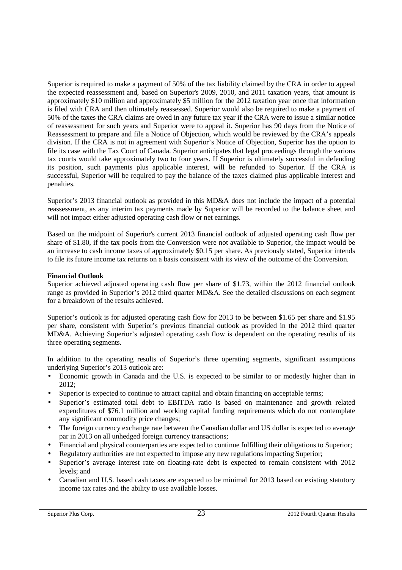Superior is required to make a payment of 50% of the tax liability claimed by the CRA in order to appeal the expected reassessment and, based on Superior's 2009, 2010, and 2011 taxation years, that amount is approximately \$10 million and approximately \$5 million for the 2012 taxation year once that information is filed with CRA and then ultimately reassessed. Superior would also be required to make a payment of 50% of the taxes the CRA claims are owed in any future tax year if the CRA were to issue a similar notice of reassessment for such years and Superior were to appeal it. Superior has 90 days from the Notice of Reassessment to prepare and file a Notice of Objection, which would be reviewed by the CRA's appeals division. If the CRA is not in agreement with Superior's Notice of Objection, Superior has the option to file its case with the Tax Court of Canada. Superior anticipates that legal proceedings through the various tax courts would take approximately two to four years. If Superior is ultimately successful in defending its position, such payments plus applicable interest, will be refunded to Superior. If the CRA is successful, Superior will be required to pay the balance of the taxes claimed plus applicable interest and penalties.

Superior's 2013 financial outlook as provided in this MD&A does not include the impact of a potential reassessment, as any interim tax payments made by Superior will be recorded to the balance sheet and will not impact either adjusted operating cash flow or net earnings.

Based on the midpoint of Superior's current 2013 financial outlook of adjusted operating cash flow per share of \$1.80, if the tax pools from the Conversion were not available to Superior, the impact would be an increase to cash income taxes of approximately \$0.15 per share. As previously stated, Superior intends to file its future income tax returns on a basis consistent with its view of the outcome of the Conversion.

### **Financial Outlook**

Superior achieved adjusted operating cash flow per share of \$1.73, within the 2012 financial outlook range as provided in Superior's 2012 third quarter MD&A. See the detailed discussions on each segment for a breakdown of the results achieved.

Superior's outlook is for adjusted operating cash flow for 2013 to be between \$1.65 per share and \$1.95 per share, consistent with Superior's previous financial outlook as provided in the 2012 third quarter MD&A. Achieving Superior's adjusted operating cash flow is dependent on the operating results of its three operating segments.

In addition to the operating results of Superior's three operating segments, significant assumptions underlying Superior's 2013 outlook are:

- Economic growth in Canada and the U.S. is expected to be similar to or modestly higher than in 2012;
- Superior is expected to continue to attract capital and obtain financing on acceptable terms;
- Superior's estimated total debt to EBITDA ratio is based on maintenance and growth related expenditures of \$76.1 million and working capital funding requirements which do not contemplate any significant commodity price changes;
- The foreign currency exchange rate between the Canadian dollar and US dollar is expected to average par in 2013 on all unhedged foreign currency transactions;
- Financial and physical counterparties are expected to continue fulfilling their obligations to Superior;
- Regulatory authorities are not expected to impose any new regulations impacting Superior;
- Superior's average interest rate on floating-rate debt is expected to remain consistent with 2012 levels; and
- Canadian and U.S. based cash taxes are expected to be minimal for 2013 based on existing statutory income tax rates and the ability to use available losses.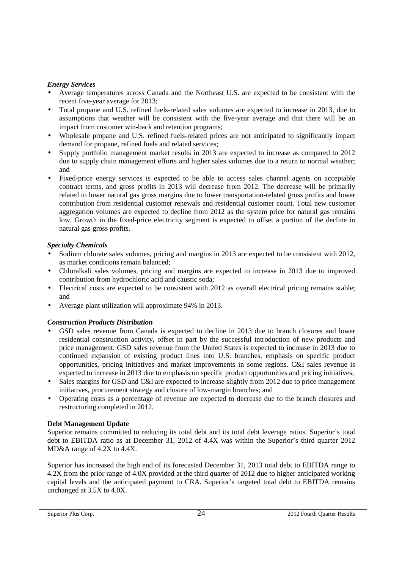## *Energy Services*

- Average temperatures across Canada and the Northeast U.S. are expected to be consistent with the recent five-year average for 2013;
- Total propane and U.S. refined fuels-related sales volumes are expected to increase in 2013, due to assumptions that weather will be consistent with the five-year average and that there will be an impact from customer win-back and retention programs;
- Wholesale propane and U.S. refined fuels-related prices are not anticipated to significantly impact demand for propane, refined fuels and related services;
- Supply portfolio management market results in 2013 are expected to increase as compared to 2012 due to supply chain management efforts and higher sales volumes due to a return to normal weather; and
- Fixed-price energy services is expected to be able to access sales channel agents on acceptable contract terms, and gross profits in 2013 will decrease from 2012. The decrease will be primarily related to lower natural gas gross margins due to lower transportation-related gross profits and lower contribution from residential customer renewals and residential customer count. Total new customer aggregation volumes are expected to decline from 2012 as the system price for natural gas remains low. Growth in the fixed-price electricity segment is expected to offset a portion of the decline in natural gas gross profits.

## *Specialty Chemicals*

- Sodium chlorate sales volumes, pricing and margins in 2013 are expected to be consistent with 2012, as market conditions remain balanced;
- Chloralkali sales volumes, pricing and margins are expected to increase in 2013 due to improved contribution from hydrochloric acid and caustic soda;
- Electrical costs are expected to be consistent with 2012 as overall electrical pricing remains stable; and
- Average plant utilization will approximate 94% in 2013.

## *Construction Products Distribution*

- GSD sales revenue from Canada is expected to decline in 2013 due to branch closures and lower residential construction activity, offset in part by the successful introduction of new products and price management. GSD sales revenue from the United States is expected to increase in 2013 due to continued expansion of existing product lines into U.S. branches, emphasis on specific product opportunities, pricing initiatives and market improvements in some regions. C&I sales revenue is expected to increase in 2013 due to emphasis on specific product opportunities and pricing initiatives;
- Sales margins for GSD and C&I are expected to increase slightly from 2012 due to price management initiatives, procurement strategy and closure of low-margin branches; and
- Operating costs as a percentage of revenue are expected to decrease due to the branch closures and restructuring completed in 2012.

## **Debt Management Update**

Superior remains committed to reducing its total debt and its total debt leverage ratios. Superior's total debt to EBITDA ratio as at December 31, 2012 of 4.4X was within the Superior's third quarter 2012 MD&A range of 4.2X to 4.4X.

Superior has increased the high end of its forecasted December 31, 2013 total debt to EBITDA range to 4.2X from the prior range of 4.0X provided at the third quarter of 2012 due to higher anticipated working capital levels and the anticipated payment to CRA. Superior's targeted total debt to EBITDA remains unchanged at 3.5X to 4.0X.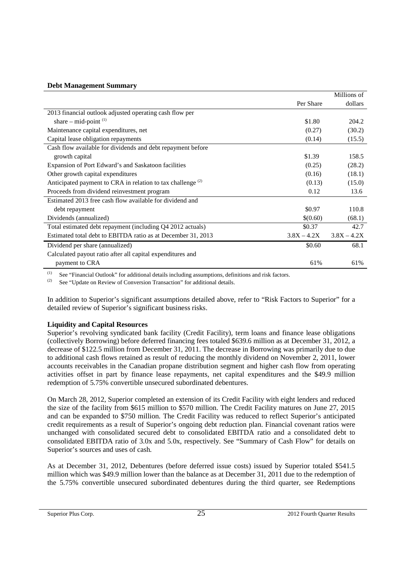### **Debt Management Summary**

|                                                                        |               | Millions of   |
|------------------------------------------------------------------------|---------------|---------------|
|                                                                        | Per Share     | dollars       |
| 2013 financial outlook adjusted operating cash flow per                |               |               |
| share – mid-point $(1)$                                                | \$1.80        | 204.2         |
| Maintenance capital expenditures, net                                  | (0.27)        | (30.2)        |
| Capital lease obligation repayments                                    | (0.14)        | (15.5)        |
| Cash flow available for dividends and debt repayment before            |               |               |
| growth capital                                                         | \$1.39        | 158.5         |
| Expansion of Port Edward's and Saskatoon facilities                    | (0.25)        | (28.2)        |
| Other growth capital expenditures                                      | (0.16)        | (18.1)        |
| Anticipated payment to CRA in relation to tax challenge <sup>(2)</sup> | (0.13)        | (15.0)        |
| Proceeds from dividend reinvestment program                            | 0.12          | 13.6          |
| Estimated 2013 free cash flow available for dividend and               |               |               |
| debt repayment                                                         | \$0.97        | 110.8         |
| Dividends (annualized)                                                 | \$(0.60)      | (68.1)        |
| Total estimated debt repayment (including Q4 2012 actuals)             | \$0.37        | 42.7          |
| Estimated total debt to EBITDA ratio as at December 31, 2013           | $3.8X - 4.2X$ | $3.8X - 4.2X$ |
| Dividend per share (annualized)                                        | \$0.60        | 68.1          |
| Calculated payout ratio after all capital expenditures and             |               |               |
| payment to CRA                                                         | 61%           | 61%           |

(1) See "Financial Outlook" for additional details including assumptions, definitions and risk factors.<br>(2) See "Undate an Deview of Generalian Transaction" for additional details.

See "Update on Review of Conversion Transaction" for additional details.

In addition to Superior's significant assumptions detailed above, refer to "Risk Factors to Superior" for a detailed review of Superior's significant business risks.

## **Liquidity and Capital Resources**

Superior's revolving syndicated bank facility (Credit Facility), term loans and finance lease obligations (collectively Borrowing) before deferred financing fees totaled \$639.6 million as at December 31, 2012, a decrease of \$122.5 million from December 31, 2011. The decrease in Borrowing was primarily due to due to additional cash flows retained as result of reducing the monthly dividend on November 2, 2011, lower accounts receivables in the Canadian propane distribution segment and higher cash flow from operating activities offset in part by finance lease repayments, net capital expenditures and the \$49.9 million redemption of 5.75% convertible unsecured subordinated debentures.

On March 28, 2012, Superior completed an extension of its Credit Facility with eight lenders and reduced the size of the facility from \$615 million to \$570 million. The Credit Facility matures on June 27, 2015 and can be expanded to \$750 million. The Credit Facility was reduced to reflect Superior's anticipated credit requirements as a result of Superior's ongoing debt reduction plan. Financial covenant ratios were unchanged with consolidated secured debt to consolidated EBITDA ratio and a consolidated debt to consolidated EBITDA ratio of 3.0x and 5.0x, respectively. See "Summary of Cash Flow" for details on Superior's sources and uses of cash.

As at December 31, 2012, Debentures (before deferred issue costs) issued by Superior totaled \$541.5 million which was \$49.9 million lower than the balance as at December 31, 2011 due to the redemption of the 5.75% convertible unsecured subordinated debentures during the third quarter, see Redemptions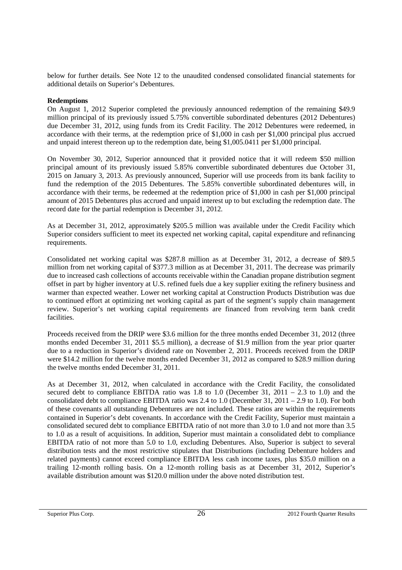below for further details. See Note 12 to the unaudited condensed consolidated financial statements for additional details on Superior's Debentures.

### **Redemptions**

On August 1, 2012 Superior completed the previously announced redemption of the remaining \$49.9 million principal of its previously issued 5.75% convertible subordinated debentures (2012 Debentures) due December 31, 2012, using funds from its Credit Facility. The 2012 Debentures were redeemed, in accordance with their terms, at the redemption price of \$1,000 in cash per \$1,000 principal plus accrued and unpaid interest thereon up to the redemption date, being \$1,005.0411 per \$1,000 principal.

On November 30, 2012, Superior announced that it provided notice that it will redeem \$50 million principal amount of its previously issued 5.85% convertible subordinated debentures due October 31, 2015 on January 3, 2013. As previously announced, Superior will use proceeds from its bank facility to fund the redemption of the 2015 Debentures. The 5.85% convertible subordinated debentures will, in accordance with their terms, be redeemed at the redemption price of \$1,000 in cash per \$1,000 principal amount of 2015 Debentures plus accrued and unpaid interest up to but excluding the redemption date. The record date for the partial redemption is December 31, 2012.

As at December 31, 2012, approximately \$205.5 million was available under the Credit Facility which Superior considers sufficient to meet its expected net working capital, capital expenditure and refinancing requirements.

Consolidated net working capital was \$287.8 million as at December 31, 2012, a decrease of \$89.5 million from net working capital of \$377.3 million as at December 31, 2011. The decrease was primarily due to increased cash collections of accounts receivable within the Canadian propane distribution segment offset in part by higher inventory at U.S. refined fuels due a key supplier exiting the refinery business and warmer than expected weather. Lower net working capital at Construction Products Distribution was due to continued effort at optimizing net working capital as part of the segment's supply chain management review. Superior's net working capital requirements are financed from revolving term bank credit facilities.

Proceeds received from the DRIP were \$3.6 million for the three months ended December 31, 2012 (three months ended December 31, 2011 \$5.5 million), a decrease of \$1.9 million from the year prior quarter due to a reduction in Superior's dividend rate on November 2, 2011. Proceeds received from the DRIP were \$14.2 million for the twelve months ended December 31, 2012 as compared to \$28.9 million during the twelve months ended December 31, 2011.

As at December 31, 2012, when calculated in accordance with the Credit Facility, the consolidated secured debt to compliance EBITDA ratio was 1.8 to 1.0 (December 31, 2011 – 2.3 to 1.0) and the consolidated debt to compliance EBITDA ratio was 2.4 to 1.0 (December 31, 2011 – 2.9 to 1.0). For both of these covenants all outstanding Debentures are not included. These ratios are within the requirements contained in Superior's debt covenants. In accordance with the Credit Facility, Superior must maintain a consolidated secured debt to compliance EBITDA ratio of not more than 3.0 to 1.0 and not more than 3.5 to 1.0 as a result of acquisitions. In addition, Superior must maintain a consolidated debt to compliance EBITDA ratio of not more than 5.0 to 1.0, excluding Debentures. Also, Superior is subject to several distribution tests and the most restrictive stipulates that Distributions (including Debenture holders and related payments) cannot exceed compliance EBITDA less cash income taxes, plus \$35.0 million on a trailing 12-month rolling basis. On a 12-month rolling basis as at December 31, 2012, Superior's available distribution amount was \$120.0 million under the above noted distribution test.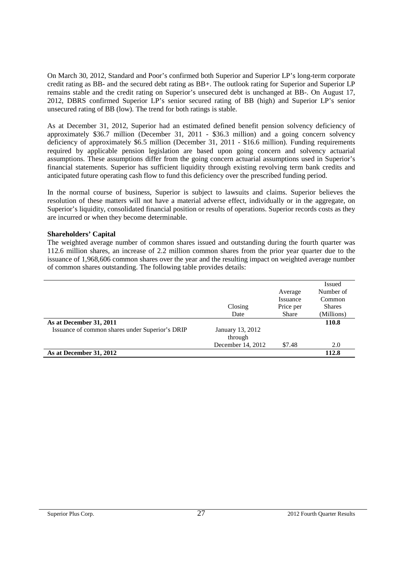On March 30, 2012, Standard and Poor's confirmed both Superior and Superior LP's long-term corporate credit rating as BB- and the secured debt rating as BB+. The outlook rating for Superior and Superior LP remains stable and the credit rating on Superior's unsecured debt is unchanged at BB-. On August 17, 2012, DBRS confirmed Superior LP's senior secured rating of BB (high) and Superior LP's senior unsecured rating of BB (low). The trend for both ratings is stable.

As at December 31, 2012, Superior had an estimated defined benefit pension solvency deficiency of approximately \$36.7 million (December 31, 2011 - \$36.3 million) and a going concern solvency deficiency of approximately \$6.5 million (December 31, 2011 - \$16.6 million). Funding requirements required by applicable pension legislation are based upon going concern and solvency actuarial assumptions. These assumptions differ from the going concern actuarial assumptions used in Superior's financial statements. Superior has sufficient liquidity through existing revolving term bank credits and anticipated future operating cash flow to fund this deficiency over the prescribed funding period.

In the normal course of business, Superior is subject to lawsuits and claims. Superior believes the resolution of these matters will not have a material adverse effect, individually or in the aggregate, on Superior's liquidity, consolidated financial position or results of operations. Superior records costs as they are incurred or when they become determinable.

### **Shareholders' Capital**

The weighted average number of common shares issued and outstanding during the fourth quarter was 112.6 million shares, an increase of 2.2 million common shares from the prior year quarter due to the issuance of 1,968,606 common shares over the year and the resulting impact on weighted average number of common shares outstanding. The following table provides details:

|                                                 |                             | Average<br>Issuance | Issued<br>Number of<br>Common |
|-------------------------------------------------|-----------------------------|---------------------|-------------------------------|
|                                                 | Closing                     | Price per           | <b>Shares</b>                 |
|                                                 | Date                        | <b>Share</b>        | (Millions)                    |
| As at December 31, 2011                         |                             |                     | 110.8                         |
| Issuance of common shares under Superior's DRIP | January 13, 2012<br>through |                     |                               |
|                                                 | December 14, 2012           | \$7.48              | 2.0                           |
| As at December 31, 2012                         |                             |                     | 112.8                         |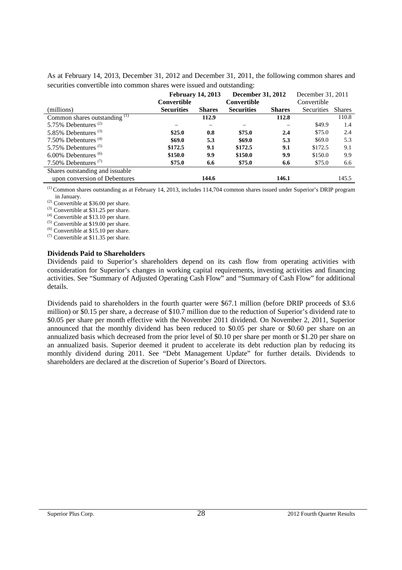As at February 14, 2013, December 31, 2012 and December 31, 2011, the following common shares and securities convertible into common shares were issued and outstanding:

|                                          | <b>February 14, 2013</b> |               | December 31, 2012 |               | December 31, 2011 |               |
|------------------------------------------|--------------------------|---------------|-------------------|---------------|-------------------|---------------|
|                                          | Convertible              |               | Convertible       |               | Convertible       |               |
| (millions)                               | <b>Securities</b>        | <b>Shares</b> | <b>Securities</b> | <b>Shares</b> | <b>Securities</b> | <b>Shares</b> |
| Common shares outstanding <sup>(1)</sup> |                          | 112.9         |                   | 112.8         |                   | 110.8         |
| 5.75% Debentures $(2)$                   |                          |               |                   |               | \$49.9            | 1.4           |
| 5.85% Debentures $(3)$                   | \$25.0                   | 0.8           | \$75.0            | 2.4           | \$75.0            | 2.4           |
| 7.50% Debentures <sup>(4)</sup>          | \$69.0                   | 5.3           | \$69.0            | 5.3           | \$69.0            | 5.3           |
| 5.75% Debentures $(5)$                   | \$172.5                  | 9.1           | \$172.5           | 9.1           | \$172.5           | 9.1           |
| $6.00\%$ Debentures $^{(6)}$             | \$150.0                  | 9.9           | \$150.0           | 9.9           | \$150.0           | 9.9           |
| 7.50% Debentures $(7)$                   | \$75.0                   | 6.6           | \$75.0            | 6.6           | \$75.0            | 6.6           |
| Shares outstanding and issuable          |                          |               |                   |               |                   |               |
| upon conversion of Debentures            |                          | 144.6         |                   | 146.1         |                   | 145.5         |

(1) Common shares outstanding as at February 14, 2013, includes 114,704 common shares issued under Superior's DRIP program in January.

 $(2)$  Convertible at \$36.00 per share.

 $(3)$  Convertible at \$31.25 per share.

 $^{(4)}$  Convertible at \$13.10 per share.

 $(5)$  Convertible at \$19.00 per share.

(6) Convertible at \$15.10 per share.

 $(7)$  Convertible at \$11.35 per share.

## **Dividends Paid to Shareholders**

Dividends paid to Superior's shareholders depend on its cash flow from operating activities with consideration for Superior's changes in working capital requirements, investing activities and financing activities. See "Summary of Adjusted Operating Cash Flow" and "Summary of Cash Flow" for additional details.

Dividends paid to shareholders in the fourth quarter were \$67.1 million (before DRIP proceeds of \$3.6 million) or \$0.15 per share, a decrease of \$10.7 million due to the reduction of Superior's dividend rate to \$0.05 per share per month effective with the November 2011 dividend. On November 2, 2011, Superior announced that the monthly dividend has been reduced to \$0.05 per share or \$0.60 per share on an annualized basis which decreased from the prior level of \$0.10 per share per month or \$1.20 per share on an annualized basis. Superior deemed it prudent to accelerate its debt reduction plan by reducing its monthly dividend during 2011. See "Debt Management Update" for further details. Dividends to shareholders are declared at the discretion of Superior's Board of Directors.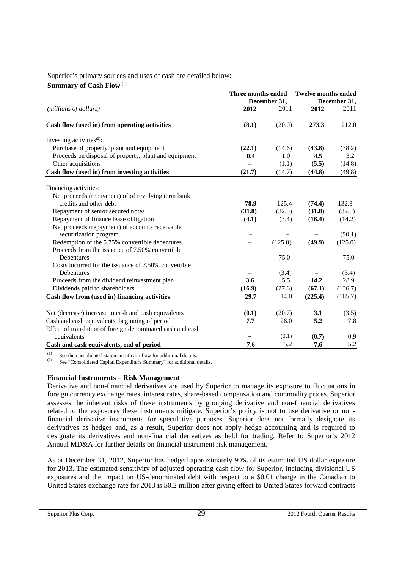### Superior's primary sources and uses of cash are detailed below: **Summary of Cash Flow**<sup>(1)</sup>

|                                                            | Three months ended |                  | <b>Twelve months ended</b> |         |  |
|------------------------------------------------------------|--------------------|------------------|----------------------------|---------|--|
|                                                            |                    | December 31,     | December 31,               |         |  |
| (millions of dollars)                                      | 2012               | 2011             | 2012                       | 2011    |  |
| Cash flow (used in) from operating activities              | (8.1)              | (20.0)           | 273.3                      | 212.0   |  |
| Investing activities <sup>(2)</sup> :                      |                    |                  |                            |         |  |
| Purchase of property, plant and equipment                  | (22.1)             | (14.6)           | (43.8)                     | (38.2)  |  |
| Proceeds on disposal of property, plant and equipment      | 0.4                | 1.0              | 4.5                        | 3.2     |  |
| Other acquisitions                                         |                    | (1.1)            | (5.5)                      | (14.8)  |  |
| Cash flow (used in) from investing activities              | (21.7)             | (14.7)           | (44.8)                     | (49.8)  |  |
| Financing activities:                                      |                    |                  |                            |         |  |
| Net proceeds (repayment) of of revolving term bank         |                    |                  |                            |         |  |
| credits and other debt                                     | 78.9               | 125.4            | (74.4)                     | 132.3   |  |
| Repayment of senior secured notes                          | (31.8)             | (32.5)           | (31.8)                     | (32.5)  |  |
| Repayment of finance lease obligation                      | (4.1)              | (3.4)            | (16.4)                     | (14.2)  |  |
| Net proceeds (repayment) of accounts receivable            |                    |                  |                            |         |  |
| securitization program                                     |                    |                  |                            | (90.1)  |  |
| Redemption of the 5.75% convertible debentures             |                    | (125.0)          | (49.9)                     | (125.0) |  |
| Proceeds from the issuance of 7.50% convertible            |                    |                  |                            |         |  |
| Debentures                                                 |                    | 75.0             |                            | 75.0    |  |
| Costs incurred for the issuance of 7.50% convertible       |                    |                  |                            |         |  |
| Debentures                                                 |                    | (3.4)            |                            | (3.4)   |  |
| Proceeds from the dividend reinvestment plan               | 3.6                | 5.5              | 14.2                       | 28.9    |  |
| Dividends paid to shareholders                             | (16.9)             | (27.6)           | (67.1)                     | (136.7) |  |
| Cash flow from (used in) financing activities              | 29.7               | 14.0             | (225.4)                    | (165.7) |  |
|                                                            |                    |                  |                            |         |  |
| Net (decrease) increase in cash and cash equivalents       | (0.1)              | (20.7)           | 3.1                        | (3.5)   |  |
| Cash and cash equivalents, beginning of period             | 7.7                | 26.0             | 5.2                        | 7.8     |  |
| Effect of translation of foreign denominated cash and cash |                    |                  |                            |         |  |
| equivalents                                                |                    | (0.1)            | (0.7)                      | 0.9     |  |
| Cash and cash equivalents, end of period                   | 7.6                | $\overline{5.2}$ | 7.6                        | 5.2     |  |

 $(1)$ (1) See the consolidated statement of cash flow for additional details.<br>(2) See "Consolidated Conital Europeines Symmers" for additional

See "Consolidated Capital Expenditure Summary" for additional details.

## **Financial Instruments – Risk Management**

Derivative and non-financial derivatives are used by Superior to manage its exposure to fluctuations in foreign currency exchange rates, interest rates, share-based compensation and commodity prices. Superior assesses the inherent risks of these instruments by grouping derivative and non-financial derivatives related to the exposures these instruments mitigate. Superior's policy is not to use derivative or nonfinancial derivative instruments for speculative purposes. Superior does not formally designate its derivatives as hedges and, as a result, Superior does not apply hedge accounting and is required to designate its derivatives and non-financial derivatives as held for trading. Refer to Superior's 2012 Annual MD&A for further details on financial instrument risk management.

As at December 31, 2012, Superior has hedged approximately 90% of its estimated US dollar exposure for 2013. The estimated sensitivity of adjusted operating cash flow for Superior, including divisional US exposures and the impact on US-denominated debt with respect to a \$0.01 change in the Canadian to United States exchange rate for 2013 is \$0.2 million after giving effect to United States forward contracts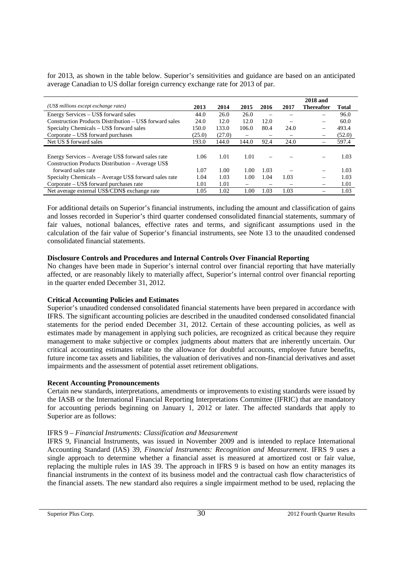for 2013, as shown in the table below. Superior's sensitivities and guidance are based on an anticipated average Canadian to US dollar foreign currency exchange rate for 2013 of par.

|                                                         |        |        |                          |      |      | 2018 and                 |              |
|---------------------------------------------------------|--------|--------|--------------------------|------|------|--------------------------|--------------|
| (US\$ millions except exchange rates)                   | 2013   | 2014   | 2015                     | 2016 | 2017 | <b>Thereafter</b>        | <b>Total</b> |
| Energy Services – US\$ forward sales                    | 44.0   | 26.0   | 26.0                     |      |      | $\overline{\phantom{0}}$ | 96.0         |
| Construction Products Distribution – US\$ forward sales | 24.0   | 12.0   | 12.0                     | 12.0 |      | $\overline{\phantom{0}}$ | 60.0         |
| Specialty Chemicals – US\$ forward sales                | 150.0  | 133.0  | 106.0                    | 80.4 | 24.0 | $\overline{\phantom{0}}$ | 493.4        |
| Corporate – US\$ forward purchases                      | (25.0) | (27.0) | $\overline{\phantom{0}}$ |      |      | $\overline{\phantom{0}}$ | (52.0)       |
| Net US \$ forward sales                                 | 193.0  | 144.0  | 144.0                    | 92.4 | 24.0 | $\overline{\phantom{0}}$ | 597.4        |
|                                                         |        |        |                          |      |      |                          |              |
| Energy Services – Average US\$ forward sales rate       | 1.06   | 1.01   | 1.01                     |      |      |                          | 1.03         |
| Construction Products Distribution – Average US\$       |        |        |                          |      |      |                          |              |
| forward sales rate                                      | 1.07   | 1.00   | 1.00                     | 1.03 |      | -                        | 1.03         |
| Specialty Chemicals - Average US\$ forward sales rate   | 1.04   | 1.03   | 1.00                     | 1.04 | 1.03 | $\overline{\phantom{0}}$ | 1.03         |
| Corporate – US\$ forward purchases rate                 | 1.01   | 1.01   | $\overline{\phantom{0}}$ |      |      | $\overline{\phantom{0}}$ | 1.01         |
| Net average external US\$/CDN\$ exchange rate           | 1.05   | 1.02   | 1.00                     | 1.03 | 1.03 |                          | 1.03         |

For additional details on Superior's financial instruments, including the amount and classification of gains and losses recorded in Superior's third quarter condensed consolidated financial statements, summary of fair values, notional balances, effective rates and terms, and significant assumptions used in the calculation of the fair value of Superior's financial instruments, see Note 13 to the unaudited condensed consolidated financial statements.

### **Disclosure Controls and Procedures and Internal Controls Over Financial Reporting**

No changes have been made in Superior's internal control over financial reporting that have materially affected, or are reasonably likely to materially affect, Superior's internal control over financial reporting in the quarter ended December 31, 2012.

## **Critical Accounting Policies and Estimates**

Superior's unaudited condensed consolidated financial statements have been prepared in accordance with IFRS. The significant accounting policies are described in the unaudited condensed consolidated financial statements for the period ended December 31, 2012. Certain of these accounting policies, as well as estimates made by management in applying such policies, are recognized as critical because they require management to make subjective or complex judgments about matters that are inherently uncertain. Our critical accounting estimates relate to the allowance for doubtful accounts, employee future benefits, future income tax assets and liabilities, the valuation of derivatives and non-financial derivatives and asset impairments and the assessment of potential asset retirement obligations.

## **Recent Accounting Pronouncements**

Certain new standards, interpretations, amendments or improvements to existing standards were issued by the IASB or the International Financial Reporting Interpretations Committee (IFRIC) that are mandatory for accounting periods beginning on January 1, 2012 or later. The affected standards that apply to Superior are as follows:

## IFRS 9 – *Financial Instruments: Classification and Measurement*

IFRS 9, Financial Instruments, was issued in November 2009 and is intended to replace International Accounting Standard (IAS) 39*, Financial Instruments: Recognition and Measurement*. IFRS 9 uses a single approach to determine whether a financial asset is measured at amortized cost or fair value, replacing the multiple rules in IAS 39. The approach in IFRS 9 is based on how an entity manages its financial instruments in the context of its business model and the contractual cash flow characteristics of the financial assets. The new standard also requires a single impairment method to be used, replacing the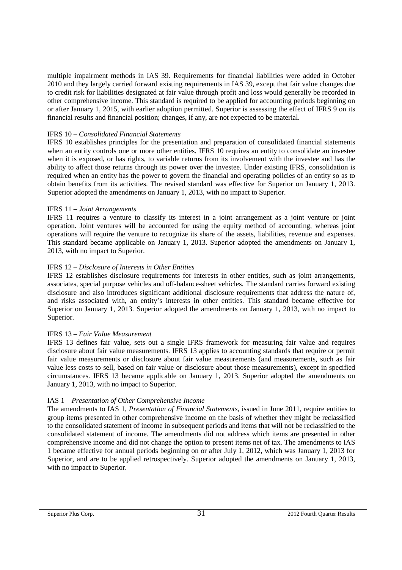multiple impairment methods in IAS 39. Requirements for financial liabilities were added in October 2010 and they largely carried forward existing requirements in IAS 39, except that fair value changes due to credit risk for liabilities designated at fair value through profit and loss would generally be recorded in other comprehensive income. This standard is required to be applied for accounting periods beginning on or after January 1, 2015, with earlier adoption permitted. Superior is assessing the effect of IFRS 9 on its financial results and financial position; changes, if any, are not expected to be material.

### IFRS 10 – *Consolidated Financial Statements*

IFRS 10 establishes principles for the presentation and preparation of consolidated financial statements when an entity controls one or more other entities. IFRS 10 requires an entity to consolidate an investee when it is exposed, or has rights, to variable returns from its involvement with the investee and has the ability to affect those returns through its power over the investee. Under existing IFRS, consolidation is required when an entity has the power to govern the financial and operating policies of an entity so as to obtain benefits from its activities. The revised standard was effective for Superior on January 1, 2013. Superior adopted the amendments on January 1, 2013, with no impact to Superior.

### IFRS 11 – *Joint Arrangements*

IFRS 11 requires a venture to classify its interest in a joint arrangement as a joint venture or joint operation. Joint ventures will be accounted for using the equity method of accounting, whereas joint operations will require the venture to recognize its share of the assets, liabilities, revenue and expenses. This standard became applicable on January 1, 2013. Superior adopted the amendments on January 1, 2013, with no impact to Superior.

## IFRS 12 – *Disclosure of Interests in Other Entities*

IFRS 12 establishes disclosure requirements for interests in other entities, such as joint arrangements, associates, special purpose vehicles and off-balance-sheet vehicles. The standard carries forward existing disclosure and also introduces significant additional disclosure requirements that address the nature of, and risks associated with, an entity's interests in other entities. This standard became effective for Superior on January 1, 2013. Superior adopted the amendments on January 1, 2013, with no impact to Superior.

## IFRS 13 *– Fair Value Measurement*

IFRS 13 defines fair value, sets out a single IFRS framework for measuring fair value and requires disclosure about fair value measurements. IFRS 13 applies to accounting standards that require or permit fair value measurements or disclosure about fair value measurements (and measurements, such as fair value less costs to sell, based on fair value or disclosure about those measurements), except in specified circumstances. IFRS 13 became applicable on January 1, 2013. Superior adopted the amendments on January 1, 2013, with no impact to Superior.

## IAS 1 – *Presentation of Other Comprehensive Income*

The amendments to IAS 1, *Presentation of Financial Statements*, issued in June 2011, require entities to group items presented in other comprehensive income on the basis of whether they might be reclassified to the consolidated statement of income in subsequent periods and items that will not be reclassified to the consolidated statement of income. The amendments did not address which items are presented in other comprehensive income and did not change the option to present items net of tax. The amendments to IAS 1 became effective for annual periods beginning on or after July 1, 2012, which was January 1, 2013 for Superior, and are to be applied retrospectively. Superior adopted the amendments on January 1, 2013, with no impact to Superior.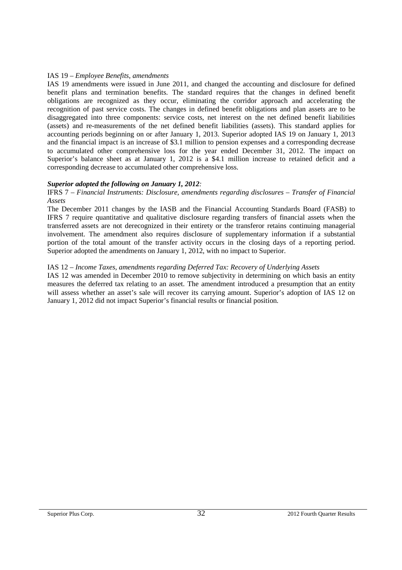#### IAS 19 – *Employee Benefits, amendments*

IAS 19 amendments were issued in June 2011, and changed the accounting and disclosure for defined benefit plans and termination benefits. The standard requires that the changes in defined benefit obligations are recognized as they occur, eliminating the corridor approach and accelerating the recognition of past service costs. The changes in defined benefit obligations and plan assets are to be disaggregated into three components: service costs, net interest on the net defined benefit liabilities (assets) and re-measurements of the net defined benefit liabilities (assets). This standard applies for accounting periods beginning on or after January 1, 2013. Superior adopted IAS 19 on January 1, 2013 and the financial impact is an increase of \$3.1 million to pension expenses and a corresponding decrease to accumulated other comprehensive loss for the year ended December 31, 2012. The impact on Superior's balance sheet as at January 1, 2012 is a \$4.1 million increase to retained deficit and a corresponding decrease to accumulated other comprehensive loss.

### *Superior adopted the following on January 1, 2012:*

#### IFRS 7 – *Financial Instruments: Disclosure, amendments regarding disclosures – Transfer of Financial Assets*

The December 2011 changes by the IASB and the Financial Accounting Standards Board (FASB) to IFRS 7 require quantitative and qualitative disclosure regarding transfers of financial assets when the transferred assets are not derecognized in their entirety or the transferor retains continuing managerial involvement. The amendment also requires disclosure of supplementary information if a substantial portion of the total amount of the transfer activity occurs in the closing days of a reporting period. Superior adopted the amendments on January 1, 2012, with no impact to Superior.

#### IAS 12 – *Income Taxes, amendments regarding Deferred Tax: Recovery of Underlying Assets*

IAS 12 was amended in December 2010 to remove subjectivity in determining on which basis an entity measures the deferred tax relating to an asset. The amendment introduced a presumption that an entity will assess whether an asset's sale will recover its carrying amount. Superior's adoption of IAS 12 on January 1, 2012 did not impact Superior's financial results or financial position.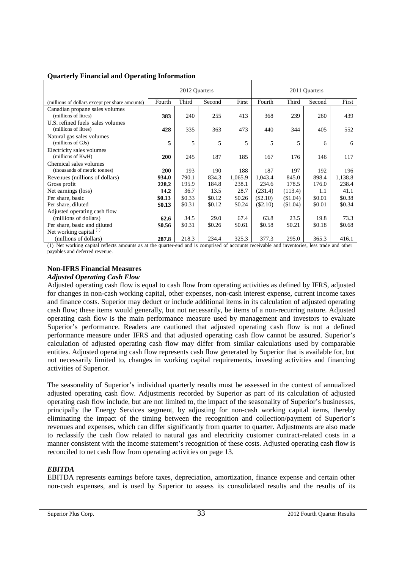|  |  | <b>Quarterly Financial and Operating Information</b> |
|--|--|------------------------------------------------------|
|  |  |                                                      |

|                                                          | 2012 Quarters |        |        |         |            |          | 2011 Quarters |         |
|----------------------------------------------------------|---------------|--------|--------|---------|------------|----------|---------------|---------|
| (millions of dollars except per share amounts)           | Fourth        | Third  | Second | First   | Fourth     | Third    | Second        | First   |
| Canadian propane sales volumes<br>(millions of litres)   | 383           | 240    | 255    | 413     | 368        | 239      | 260           | 439     |
| U.S. refined fuels sales volumes<br>(millions of litres) | 428           | 335    | 363    | 473     | 440        | 344      | 405           | 552     |
| Natural gas sales volumes<br>(millions of GJs)           | 5             | 5      | 5      | 5       | 5          | 5        | 6             | 6       |
| Electricity sales volumes<br>(millions of KwH)           | 200           | 245    | 187    | 185     | 167        | 176      | 146           | 117     |
| Chemical sales volumes                                   |               |        |        |         |            |          |               |         |
| (thousands of metric tonnes)                             | 200           | 193    | 190    | 188     | 187        | 197      | 192           | 196     |
| Revenues (millions of dollars)                           | 934.0         | 790.1  | 834.3  | 1,065.9 | 1,043.4    | 845.0    | 898.4         | 1,138.8 |
| Gross profit                                             | 228.2         | 195.9  | 184.8  | 238.1   | 234.6      | 178.5    | 176.0         | 238.4   |
| Net earnings (loss)                                      | 14.2          | 36.7   | 13.5   | 28.7    | (231.4)    | (113.4)  | 1.1           | 41.1    |
| Per share, basic                                         | \$0.13        | \$0.33 | \$0.12 | \$0.26  | $(\$2.10)$ | (\$1.04) | \$0.01        | \$0.38  |
| Per share, diluted                                       | \$0.13        | \$0.31 | \$0.12 | \$0.24  | $(\$2.10)$ | (\$1.04) | \$0.01        | \$0.34  |
| Adjusted operating cash flow                             |               |        |        |         |            |          |               |         |
| (millions of dollars)                                    | 62.6          | 34.5   | 29.0   | 67.4    | 63.8       | 23.5     | 19.8          | 73.3    |
| Per share, basic and diluted                             | \$0.56        | \$0.31 | \$0.26 | \$0.61  | \$0.58     | \$0.21   | \$0.18        | \$0.68  |
| Net working capital $(1)$                                |               |        |        |         |            |          |               |         |
| (millions of dollars)                                    | 287.8         | 218.3  | 234.4  | 325.3   | 377.3      | 295.0    | 365.3         | 416.1   |

(1) Net working capital reflects amounts as at the quarter-end and is comprised of accounts receivable and inventories, less trade and other payables and deferred revenue.

# **Non-IFRS Financial Measures**

## *Adjusted Operating Cash Flow*

Adjusted operating cash flow is equal to cash flow from operating activities as defined by IFRS, adjusted for changes in non-cash working capital, other expenses, non-cash interest expense, current income taxes and finance costs. Superior may deduct or include additional items in its calculation of adjusted operating cash flow; these items would generally, but not necessarily, be items of a non-recurring nature. Adjusted operating cash flow is the main performance measure used by management and investors to evaluate Superior's performance. Readers are cautioned that adjusted operating cash flow is not a defined performance measure under IFRS and that adjusted operating cash flow cannot be assured. Superior's calculation of adjusted operating cash flow may differ from similar calculations used by comparable entities. Adjusted operating cash flow represents cash flow generated by Superior that is available for, but not necessarily limited to, changes in working capital requirements, investing activities and financing activities of Superior.

The seasonality of Superior's individual quarterly results must be assessed in the context of annualized adjusted operating cash flow. Adjustments recorded by Superior as part of its calculation of adjusted operating cash flow include, but are not limited to, the impact of the seasonality of Superior's businesses, principally the Energy Services segment, by adjusting for non-cash working capital items, thereby eliminating the impact of the timing between the recognition and collection/payment of Superior's revenues and expenses, which can differ significantly from quarter to quarter. Adjustments are also made to reclassify the cash flow related to natural gas and electricity customer contract-related costs in a manner consistent with the income statement's recognition of these costs. Adjusted operating cash flow is reconciled to net cash flow from operating activities on page 13.

## *EBITDA*

EBITDA represents earnings before taxes, depreciation, amortization, finance expense and certain other non-cash expenses, and is used by Superior to assess its consolidated results and the results of its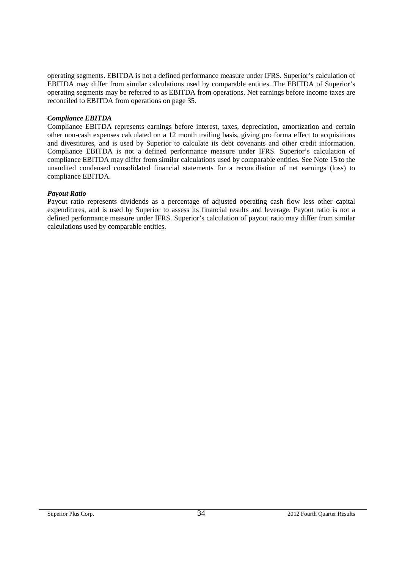operating segments. EBITDA is not a defined performance measure under IFRS. Superior's calculation of EBITDA may differ from similar calculations used by comparable entities. The EBITDA of Superior's operating segments may be referred to as EBITDA from operations. Net earnings before income taxes are reconciled to EBITDA from operations on page 35.

### *Compliance EBITDA*

Compliance EBITDA represents earnings before interest, taxes, depreciation, amortization and certain other non-cash expenses calculated on a 12 month trailing basis, giving pro forma effect to acquisitions and divestitures, and is used by Superior to calculate its debt covenants and other credit information. Compliance EBITDA is not a defined performance measure under IFRS. Superior's calculation of compliance EBITDA may differ from similar calculations used by comparable entities. See Note 15 to the unaudited condensed consolidated financial statements for a reconciliation of net earnings (loss) to compliance EBITDA.

### *Payout Ratio*

Payout ratio represents dividends as a percentage of adjusted operating cash flow less other capital expenditures, and is used by Superior to assess its financial results and leverage. Payout ratio is not a defined performance measure under IFRS. Superior's calculation of payout ratio may differ from similar calculations used by comparable entities.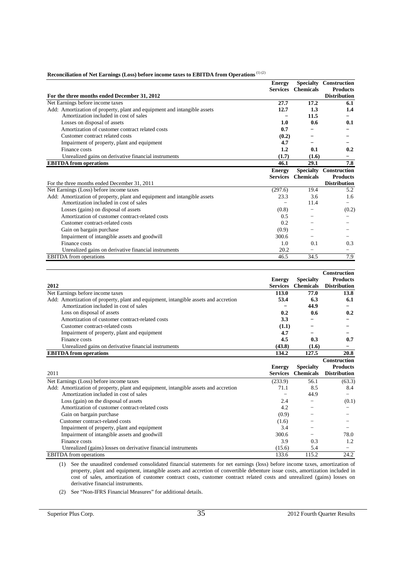| For the three months ended December 31, 2012                             | <b>Energy</b><br><b>Services</b> | <b>Chemicals</b>                     | <b>Specialty Construction</b><br><b>Products</b><br><b>Distribution</b> |
|--------------------------------------------------------------------------|----------------------------------|--------------------------------------|-------------------------------------------------------------------------|
| Net Earnings before income taxes                                         | 27.7                             | 17.2                                 | 6.1                                                                     |
| Add: Amortization of property, plant and equipment and intangible assets | 12.7                             | 1.3                                  | 1.4                                                                     |
| Amortization included in cost of sales                                   |                                  | 11.5                                 |                                                                         |
| Losses on disposal of assets                                             | 1.0                              | 0.6                                  | 0.1                                                                     |
| Amortization of customer contract related costs                          | 0.7                              |                                      |                                                                         |
| Customer contract related costs                                          | (0.2)                            |                                      |                                                                         |
| Impairment of property, plant and equipment                              | 4.7                              |                                      |                                                                         |
| Finance costs                                                            | $1.2\,$                          | 0.1                                  | 0.2                                                                     |
| Unrealized gains on derivative financial instruments                     | (1.7)                            | (1.6)                                |                                                                         |
| <b>EBITDA</b> from operations                                            | 46.1                             | 29.1                                 | 7.8                                                                     |
| For the three months ended December 31, 2011                             | <b>Energy</b><br><b>Services</b> | <b>Specialty</b><br><b>Chemicals</b> | Construction<br><b>Products</b><br><b>Distribution</b>                  |
| Net Earnings (Loss) before income taxes                                  | (297.6)                          | 19.4                                 | 5.2                                                                     |
| Add: Amortization of property, plant and equipment and intangible assets | 23.3                             | 3.6                                  | 1.6                                                                     |
| Amortization included in cost of sales                                   |                                  | 11.4                                 |                                                                         |
| Losses (gains) on disposal of assets                                     | (0.8)                            |                                      | (0.2)                                                                   |
| Amortization of customer contract-related costs                          | 0.5                              |                                      |                                                                         |
| Customer contract-related costs                                          | 0.2                              |                                      |                                                                         |
| Gain on bargain purchase                                                 | (0.9)                            |                                      |                                                                         |
| Impairment of intangible assets and goodwill                             | 300.6                            |                                      |                                                                         |
| Finance costs                                                            | 1.0                              | 0.1                                  | 0.3                                                                     |
| Unrealized gains on derivative financial instruments                     | 20.2                             |                                      |                                                                         |
| <b>EBITDA</b> from operations                                            | 46.5                             | 34.5                                 | 7.9                                                                     |

| Reconciliation of Net Earnings (Loss) before income taxes to EBITDA from Operations $^{(1)(2)}$ |  |  |
|-------------------------------------------------------------------------------------------------|--|--|
|                                                                                                 |  |  |

| 2012                                                                                | <b>Energy</b><br><b>Services</b> | <b>Specialty</b><br><b>Chemicals</b> | <b>Construction</b><br><b>Products</b><br><b>Distribution</b> |
|-------------------------------------------------------------------------------------|----------------------------------|--------------------------------------|---------------------------------------------------------------|
| Net Earnings before income taxes                                                    | 113.0                            | 77.0                                 | 13.8                                                          |
| Add: Amortization of property, plant and equipment, intangible assets and accretion | 53.4                             | 6.3                                  | 6.1                                                           |
| Amortization included in cost of sales                                              |                                  | 44.9                                 |                                                               |
| Loss on disposal of assets                                                          | 0.2                              | 0.6                                  | 0.2                                                           |
| Amortization of customer contract-related costs                                     | 3.3                              |                                      |                                                               |
| Customer contract-related costs                                                     | (1.1)                            |                                      |                                                               |
| Impairment of property, plant and equipment                                         | 4.7                              |                                      |                                                               |
| Finance costs                                                                       | 4.5                              | 0.3                                  | 0.7                                                           |
| Unrealized gains on derivative financial instruments                                | (43.8)                           | (1.6)                                |                                                               |
| <b>EBITDA</b> from operations                                                       | 134.2                            | 127.5                                | 20.8                                                          |
| 2011                                                                                | <b>Energy</b><br><b>Services</b> | <b>Specialty</b><br><b>Chemicals</b> | <b>Construction</b><br><b>Products</b><br><b>Distribution</b> |
| Net Earnings (Loss) before income taxes                                             | (233.9)                          | 56.1                                 | (63.3)                                                        |
| Add: Amortization of property, plant and equipment, intangible assets and accretion | 71.1                             | 8.5                                  | 8.4                                                           |
| Amortization included in cost of sales                                              |                                  | 44.9                                 |                                                               |
| Loss (gain) on the disposal of assets                                               | 2.4                              |                                      | (0.1)                                                         |
| Amortization of customer contract-related costs                                     | 4.2                              |                                      |                                                               |
| Gain on bargain purchase                                                            | (0.9)                            |                                      |                                                               |
| Customer contract-related costs                                                     | (1.6)                            |                                      |                                                               |
| Impairment of property, plant and equipment                                         | 3.4                              |                                      |                                                               |
| Impairment of intangible assets and goodwill                                        | 300.6                            |                                      | 78.0                                                          |
| Finance costs                                                                       | 3.9                              | 0.3                                  | 1.2                                                           |
| Unrealized (gains) losses on derivative financial instruments                       | (15.6)                           | 5.4                                  |                                                               |
| <b>EBITDA</b> from operations                                                       | 133.6                            | 115.2                                | 24.2                                                          |

(1) See the unaudited condensed consolidated financial statements for net earnings (loss) before income taxes, amortization of property, plant and equipment, intangible assets and accretion of convertible debenture issue costs, amortization included in cost of sales, amortization of customer contract costs, customer contract related costs and unrealized (gains) losses on derivative financial instruments.

(2) See "Non-IFRS Financial Measures" for additional details.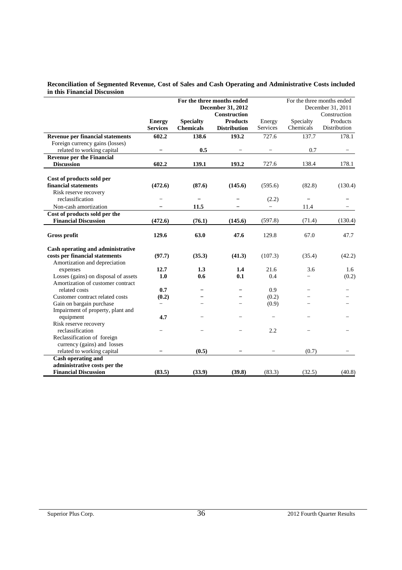#### **Reconciliation of Segmented Revenue, Cost of Sales and Cash Operating and Administrative Costs included in this Financial Discussion**

|                                      |                 |                  | For the three months ended<br><b>December 31, 2012</b> |          |           | For the three months ended<br>December 31, 2011 |
|--------------------------------------|-----------------|------------------|--------------------------------------------------------|----------|-----------|-------------------------------------------------|
|                                      |                 |                  | Construction                                           |          |           | Construction                                    |
|                                      | <b>Energy</b>   | <b>Specialty</b> | <b>Products</b>                                        | Energy   | Specialty | Products                                        |
|                                      | <b>Services</b> | <b>Chemicals</b> | <b>Distribution</b>                                    | Services | Chemicals | Distribution                                    |
| Revenue per financial statements     | 602.2           | 138.6            | 193.2                                                  | 727.6    | 137.7     | 178.1                                           |
| Foreign currency gains (losses)      |                 |                  |                                                        |          |           |                                                 |
| related to working capital           |                 | 0.5              |                                                        |          | 0.7       |                                                 |
| <b>Revenue per the Financial</b>     |                 |                  |                                                        |          |           |                                                 |
| <b>Discussion</b>                    | 602.2           | 139.1            | 193.2                                                  | 727.6    | 138.4     | 178.1                                           |
|                                      |                 |                  |                                                        |          |           |                                                 |
| Cost of products sold per            |                 |                  |                                                        |          |           |                                                 |
| financial statements                 | (472.6)         | (87.6)           | (145.6)                                                | (595.6)  | (82.8)    | (130.4)                                         |
| Risk reserve recovery                |                 |                  |                                                        |          |           |                                                 |
| reclassification                     |                 |                  |                                                        | (2.2)    |           |                                                 |
| Non-cash amortization                |                 | 11.5             |                                                        |          | 11.4      |                                                 |
| Cost of products sold per the        |                 |                  |                                                        |          |           |                                                 |
| <b>Financial Discussion</b>          | (472.6)         | (76.1)           | (145.6)                                                | (597.8)  | (71.4)    | (130.4)                                         |
| Gross profit                         | 129.6           | 63.0             | 47.6                                                   | 129.8    | 67.0      | 47.7                                            |
| Cash operating and administrative    |                 |                  |                                                        |          |           |                                                 |
| costs per financial statements       | (97.7)          | (35.3)           | (41.3)                                                 | (107.3)  | (35.4)    | (42.2)                                          |
| Amortization and depreciation        |                 |                  |                                                        |          |           |                                                 |
| expenses                             | 12.7            | 1.3              | 1.4                                                    | 21.6     | 3.6       | 1.6                                             |
| Losses (gains) on disposal of assets | 1.0             | 0.6              | 0.1                                                    | 0.4      |           | (0.2)                                           |
| Amortization of customer contract    |                 |                  |                                                        |          |           |                                                 |
| related costs                        | 0.7             |                  |                                                        | 0.9      |           |                                                 |
| Customer contract related costs      | (0.2)           |                  |                                                        | (0.2)    |           |                                                 |
| Gain on bargain purchase             |                 |                  |                                                        | (0.9)    |           |                                                 |
| Impairment of property, plant and    |                 |                  |                                                        |          |           |                                                 |
| equipment                            | 4.7             |                  |                                                        |          |           |                                                 |
| Risk reserve recovery                |                 |                  |                                                        |          |           |                                                 |
| reclassification                     |                 |                  |                                                        | 2.2      |           |                                                 |
| Reclassification of foreign          |                 |                  |                                                        |          |           |                                                 |
| currency (gains) and losses          |                 |                  |                                                        |          |           |                                                 |
| related to working capital           |                 | (0.5)            |                                                        |          | (0.7)     |                                                 |
| <b>Cash operating and</b>            |                 |                  |                                                        |          |           |                                                 |
| administrative costs per the         |                 |                  |                                                        |          |           |                                                 |
| <b>Financial Discussion</b>          | (83.5)          | (33.9)           | (39.8)                                                 | (83.3)   | (32.5)    | (40.8)                                          |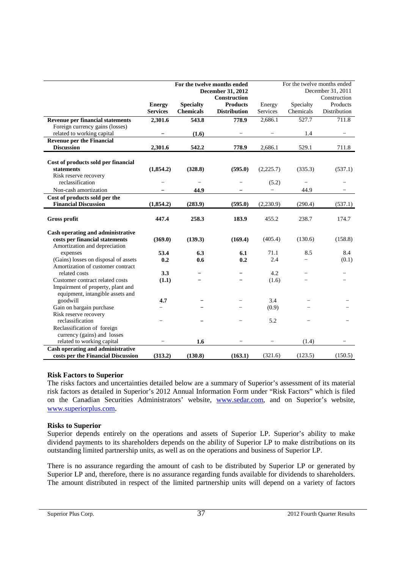|                                                                                                          |                                  |                                      | For the twelve months ended<br><b>December 31, 2012</b><br>Construction |                    |                        | For the twelve months ended<br>December 31, 2011<br>Construction |
|----------------------------------------------------------------------------------------------------------|----------------------------------|--------------------------------------|-------------------------------------------------------------------------|--------------------|------------------------|------------------------------------------------------------------|
|                                                                                                          | <b>Energy</b><br><b>Services</b> | <b>Specialty</b><br><b>Chemicals</b> | <b>Products</b><br><b>Distribution</b>                                  | Energy<br>Services | Specialty<br>Chemicals | Products<br>Distribution                                         |
| Revenue per financial statements<br>Foreign currency gains (losses)                                      | 2,301.6                          | 543.8                                | 778.9                                                                   | 2,686.1            | 527.7                  | 711.8                                                            |
| related to working capital                                                                               |                                  | (1.6)                                |                                                                         |                    | 1.4                    |                                                                  |
| <b>Revenue per the Financial</b>                                                                         |                                  |                                      |                                                                         |                    |                        |                                                                  |
| <b>Discussion</b>                                                                                        | 2,301.6                          | 542.2                                | 778.9                                                                   | 2,686.1            | 529.1                  | 711.8                                                            |
| Cost of products sold per financial<br>statements<br>Risk reserve recovery                               | (1,854.2)                        | (328.8)                              | (595.0)                                                                 | (2,225.7)          | (335.3)                | (537.1)                                                          |
| reclassification                                                                                         |                                  |                                      |                                                                         | (5.2)              |                        |                                                                  |
| Non-cash amortization                                                                                    |                                  | 44.9                                 |                                                                         |                    | 44.9                   |                                                                  |
| Cost of products sold per the<br><b>Financial Discussion</b>                                             | (1,854.2)                        | (283.9)                              | (595.0)                                                                 | (2,230.9)          | (290.4)                | (537.1)                                                          |
| <b>Gross profit</b>                                                                                      | 447.4                            | 258.3                                | 183.9                                                                   | 455.2              | 238.7                  | 174.7                                                            |
| Cash operating and administrative<br>costs per financial statements<br>Amortization and depreciation     | (369.0)                          | (139.3)                              | (169.4)                                                                 | (405.4)            | (130.6)                | (158.8)                                                          |
| expenses                                                                                                 | 53.4                             | 6.3                                  | 6.1                                                                     | 71.1               | 8.5                    | 8.4                                                              |
| (Gains) losses on disposal of assets                                                                     | 0.2                              | 0.6                                  | 0.2                                                                     | 2.4                |                        | (0.1)                                                            |
| Amortization of customer contract                                                                        |                                  |                                      |                                                                         |                    |                        |                                                                  |
| related costs                                                                                            | 3.3                              |                                      |                                                                         | 4.2                |                        |                                                                  |
| Customer contract related costs<br>Impairment of property, plant and<br>equipment, intangible assets and | (1.1)                            |                                      |                                                                         | (1.6)              |                        |                                                                  |
| goodwill                                                                                                 | 4.7                              |                                      |                                                                         | 3.4                |                        |                                                                  |
| Gain on bargain purchase                                                                                 |                                  |                                      |                                                                         | (0.9)              |                        |                                                                  |
| Risk reserve recovery                                                                                    |                                  |                                      |                                                                         |                    |                        |                                                                  |
| reclassification                                                                                         |                                  |                                      |                                                                         | 5.2                |                        |                                                                  |
| Reclassification of foreign                                                                              |                                  |                                      |                                                                         |                    |                        |                                                                  |
| currency (gains) and losses                                                                              |                                  |                                      |                                                                         |                    |                        |                                                                  |
| related to working capital                                                                               |                                  | 1.6                                  |                                                                         |                    | (1.4)                  |                                                                  |
| Cash operating and administrative                                                                        |                                  |                                      |                                                                         |                    |                        |                                                                  |
| costs per the Financial Discussion                                                                       | (313.2)                          | (130.8)                              | (163.1)                                                                 | (321.6)            | (123.5)                | (150.5)                                                          |

### **Risk Factors to Superior**

The risks factors and uncertainties detailed below are a summary of Superior's assessment of its material risk factors as detailed in Superior's 2012 Annual Information Form under "Risk Factors" which is filed on the Canadian Securities Administrators' website, www.sedar.com, and on Superior's website, www.superiorplus.com.

### **Risks to Superior**

Superior depends entirely on the operations and assets of Superior LP. Superior's ability to make dividend payments to its shareholders depends on the ability of Superior LP to make distributions on its outstanding limited partnership units, as well as on the operations and business of Superior LP.

There is no assurance regarding the amount of cash to be distributed by Superior LP or generated by Superior LP and, therefore, there is no assurance regarding funds available for dividends to shareholders. The amount distributed in respect of the limited partnership units will depend on a variety of factors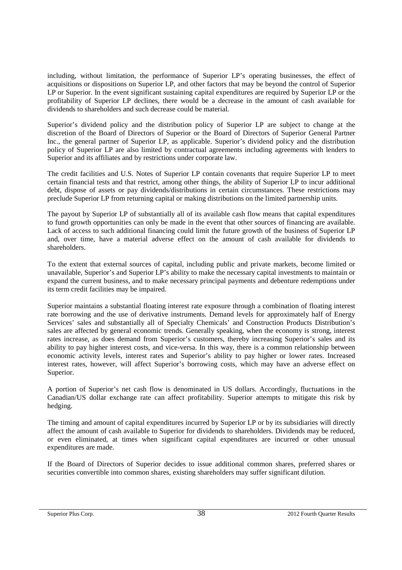including, without limitation, the performance of Superior LP's operating businesses, the effect of acquisitions or dispositions on Superior LP, and other factors that may be beyond the control of Superior LP or Superior. In the event significant sustaining capital expenditures are required by Superior LP or the profitability of Superior LP declines, there would be a decrease in the amount of cash available for dividends to shareholders and such decrease could be material.

Superior's dividend policy and the distribution policy of Superior LP are subject to change at the discretion of the Board of Directors of Superior or the Board of Directors of Superior General Partner Inc., the general partner of Superior LP, as applicable. Superior's dividend policy and the distribution policy of Superior LP are also limited by contractual agreements including agreements with lenders to Superior and its affiliates and by restrictions under corporate law.

The credit facilities and U.S. Notes of Superior LP contain covenants that require Superior LP to meet certain financial tests and that restrict, among other things, the ability of Superior LP to incur additional debt, dispose of assets or pay dividends/distributions in certain circumstances. These restrictions may preclude Superior LP from returning capital or making distributions on the limited partnership units.

The payout by Superior LP of substantially all of its available cash flow means that capital expenditures to fund growth opportunities can only be made in the event that other sources of financing are available. Lack of access to such additional financing could limit the future growth of the business of Superior LP and, over time, have a material adverse effect on the amount of cash available for dividends to shareholders.

To the extent that external sources of capital, including public and private markets, become limited or unavailable, Superior's and Superior LP's ability to make the necessary capital investments to maintain or expand the current business, and to make necessary principal payments and debenture redemptions under its term credit facilities may be impaired.

Superior maintains a substantial floating interest rate exposure through a combination of floating interest rate borrowing and the use of derivative instruments. Demand levels for approximately half of Energy Services' sales and substantially all of Specialty Chemicals' and Construction Products Distribution's sales are affected by general economic trends. Generally speaking, when the economy is strong, interest rates increase, as does demand from Superior's customers, thereby increasing Superior's sales and its ability to pay higher interest costs, and vice-versa. In this way, there is a common relationship between economic activity levels, interest rates and Superior's ability to pay higher or lower rates. Increased interest rates, however, will affect Superior's borrowing costs, which may have an adverse effect on Superior.

A portion of Superior's net cash flow is denominated in US dollars. Accordingly, fluctuations in the Canadian/US dollar exchange rate can affect profitability. Superior attempts to mitigate this risk by hedging.

The timing and amount of capital expenditures incurred by Superior LP or by its subsidiaries will directly affect the amount of cash available to Superior for dividends to shareholders. Dividends may be reduced, or even eliminated, at times when significant capital expenditures are incurred or other unusual expenditures are made.

If the Board of Directors of Superior decides to issue additional common shares, preferred shares or securities convertible into common shares, existing shareholders may suffer significant dilution.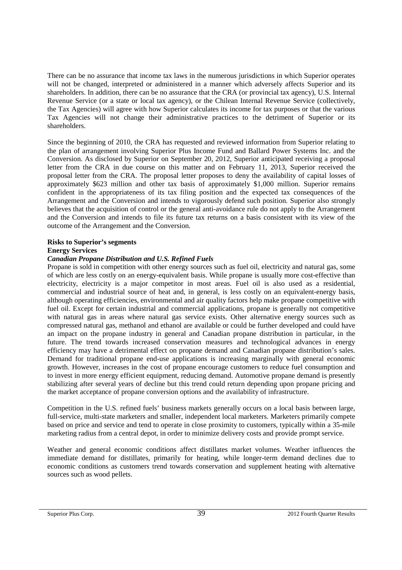There can be no assurance that income tax laws in the numerous jurisdictions in which Superior operates will not be changed, interpreted or administered in a manner which adversely affects Superior and its shareholders. In addition, there can be no assurance that the CRA (or provincial tax agency), U.S. Internal Revenue Service (or a state or local tax agency), or the Chilean Internal Revenue Service (collectively, the Tax Agencies) will agree with how Superior calculates its income for tax purposes or that the various Tax Agencies will not change their administrative practices to the detriment of Superior or its shareholders.

Since the beginning of 2010, the CRA has requested and reviewed information from Superior relating to the plan of arrangement involving Superior Plus Income Fund and Ballard Power Systems Inc. and the Conversion. As disclosed by Superior on September 20, 2012, Superior anticipated receiving a proposal letter from the CRA in due course on this matter and on February 11, 2013, Superior received the proposal letter from the CRA. The proposal letter proposes to deny the availability of capital losses of approximately \$623 million and other tax basis of approximately \$1,000 million. Superior remains confident in the appropriateness of its tax filing position and the expected tax consequences of the Arrangement and the Conversion and intends to vigorously defend such position. Superior also strongly believes that the acquisition of control or the general anti-avoidance rule do not apply to the Arrangement and the Conversion and intends to file its future tax returns on a basis consistent with its view of the outcome of the Arrangement and the Conversion.

## **Risks to Superior's segments**

### **Energy Services**

## *Canadian Propane Distribution and U.S. Refined Fuels*

Propane is sold in competition with other energy sources such as fuel oil, electricity and natural gas, some of which are less costly on an energy-equivalent basis. While propane is usually more cost-effective than electricity, electricity is a major competitor in most areas. Fuel oil is also used as a residential, commercial and industrial source of heat and, in general, is less costly on an equivalent-energy basis, although operating efficiencies, environmental and air quality factors help make propane competitive with fuel oil. Except for certain industrial and commercial applications, propane is generally not competitive with natural gas in areas where natural gas service exists. Other alternative energy sources such as compressed natural gas, methanol and ethanol are available or could be further developed and could have an impact on the propane industry in general and Canadian propane distribution in particular, in the future. The trend towards increased conservation measures and technological advances in energy efficiency may have a detrimental effect on propane demand and Canadian propane distribution's sales. Demand for traditional propane end-use applications is increasing marginally with general economic growth. However, increases in the cost of propane encourage customers to reduce fuel consumption and to invest in more energy efficient equipment, reducing demand. Automotive propane demand is presently stabilizing after several years of decline but this trend could return depending upon propane pricing and the market acceptance of propane conversion options and the availability of infrastructure.

Competition in the U.S. refined fuels' business markets generally occurs on a local basis between large, full-service, multi-state marketers and smaller, independent local marketers. Marketers primarily compete based on price and service and tend to operate in close proximity to customers, typically within a 35-mile marketing radius from a central depot, in order to minimize delivery costs and provide prompt service.

Weather and general economic conditions affect distillates market volumes. Weather influences the immediate demand for distillates, primarily for heating, while longer-term demand declines due to economic conditions as customers trend towards conservation and supplement heating with alternative sources such as wood pellets.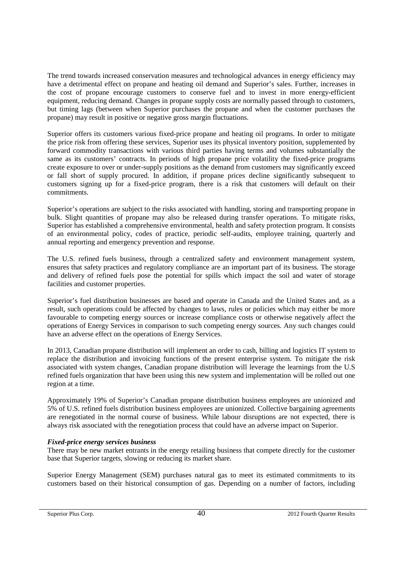The trend towards increased conservation measures and technological advances in energy efficiency may have a detrimental effect on propane and heating oil demand and Superior's sales. Further, increases in the cost of propane encourage customers to conserve fuel and to invest in more energy-efficient equipment, reducing demand. Changes in propane supply costs are normally passed through to customers, but timing lags (between when Superior purchases the propane and when the customer purchases the propane) may result in positive or negative gross margin fluctuations.

Superior offers its customers various fixed-price propane and heating oil programs. In order to mitigate the price risk from offering these services, Superior uses its physical inventory position, supplemented by forward commodity transactions with various third parties having terms and volumes substantially the same as its customers' contracts. In periods of high propane price volatility the fixed-price programs create exposure to over or under-supply positions as the demand from customers may significantly exceed or fall short of supply procured. In addition, if propane prices decline significantly subsequent to customers signing up for a fixed-price program, there is a risk that customers will default on their commitments.

Superior's operations are subject to the risks associated with handling, storing and transporting propane in bulk. Slight quantities of propane may also be released during transfer operations. To mitigate risks, Superior has established a comprehensive environmental, health and safety protection program. It consists of an environmental policy, codes of practice, periodic self-audits, employee training, quarterly and annual reporting and emergency prevention and response.

The U.S. refined fuels business, through a centralized safety and environment management system, ensures that safety practices and regulatory compliance are an important part of its business. The storage and delivery of refined fuels pose the potential for spills which impact the soil and water of storage facilities and customer properties.

Superior's fuel distribution businesses are based and operate in Canada and the United States and, as a result, such operations could be affected by changes to laws, rules or policies which may either be more favourable to competing energy sources or increase compliance costs or otherwise negatively affect the operations of Energy Services in comparison to such competing energy sources. Any such changes could have an adverse effect on the operations of Energy Services.

In 2013, Canadian propane distribution will implement an order to cash, billing and logistics IT system to replace the distribution and invoicing functions of the present enterprise system. To mitigate the risk associated with system changes, Canadian propane distribution will leverage the learnings from the U.S refined fuels organization that have been using this new system and implementation will be rolled out one region at a time.

Approximately 19% of Superior's Canadian propane distribution business employees are unionized and 5% of U.S. refined fuels distribution business employees are unionized. Collective bargaining agreements are renegotiated in the normal course of business. While labour disruptions are not expected, there is always risk associated with the renegotiation process that could have an adverse impact on Superior.

## *Fixed-price energy services business*

There may be new market entrants in the energy retailing business that compete directly for the customer base that Superior targets, slowing or reducing its market share.

Superior Energy Management (SEM) purchases natural gas to meet its estimated commitments to its customers based on their historical consumption of gas. Depending on a number of factors, including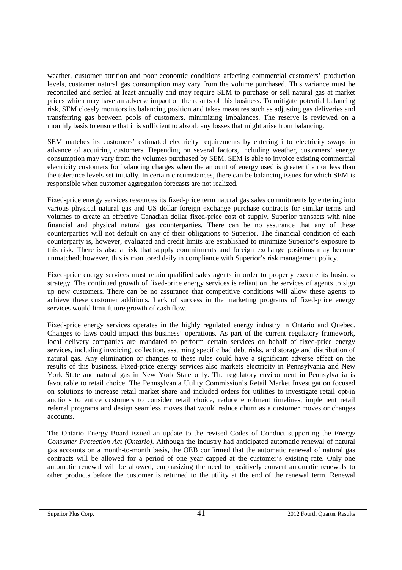weather, customer attrition and poor economic conditions affecting commercial customers' production levels, customer natural gas consumption may vary from the volume purchased. This variance must be reconciled and settled at least annually and may require SEM to purchase or sell natural gas at market prices which may have an adverse impact on the results of this business. To mitigate potential balancing risk, SEM closely monitors its balancing position and takes measures such as adjusting gas deliveries and transferring gas between pools of customers, minimizing imbalances. The reserve is reviewed on a monthly basis to ensure that it is sufficient to absorb any losses that might arise from balancing.

SEM matches its customers' estimated electricity requirements by entering into electricity swaps in advance of acquiring customers. Depending on several factors, including weather, customers' energy consumption may vary from the volumes purchased by SEM. SEM is able to invoice existing commercial electricity customers for balancing charges when the amount of energy used is greater than or less than the tolerance levels set initially. In certain circumstances, there can be balancing issues for which SEM is responsible when customer aggregation forecasts are not realized.

Fixed-price energy services resources its fixed-price term natural gas sales commitments by entering into various physical natural gas and US dollar foreign exchange purchase contracts for similar terms and volumes to create an effective Canadian dollar fixed-price cost of supply. Superior transacts with nine financial and physical natural gas counterparties. There can be no assurance that any of these counterparties will not default on any of their obligations to Superior. The financial condition of each counterparty is, however, evaluated and credit limits are established to minimize Superior's exposure to this risk. There is also a risk that supply commitments and foreign exchange positions may become unmatched; however, this is monitored daily in compliance with Superior's risk management policy.

Fixed-price energy services must retain qualified sales agents in order to properly execute its business strategy. The continued growth of fixed-price energy services is reliant on the services of agents to sign up new customers. There can be no assurance that competitive conditions will allow these agents to achieve these customer additions. Lack of success in the marketing programs of fixed-price energy services would limit future growth of cash flow.

Fixed-price energy services operates in the highly regulated energy industry in Ontario and Quebec. Changes to laws could impact this business' operations. As part of the current regulatory framework, local delivery companies are mandated to perform certain services on behalf of fixed-price energy services, including invoicing, collection, assuming specific bad debt risks, and storage and distribution of natural gas. Any elimination or changes to these rules could have a significant adverse effect on the results of this business. Fixed-price energy services also markets electricity in Pennsylvania and New York State and natural gas in New York State only. The regulatory environment in Pennsylvania is favourable to retail choice. The Pennsylvania Utility Commission's Retail Market Investigation focused on solutions to increase retail market share and included orders for utilities to investigate retail opt-in auctions to entice customers to consider retail choice, reduce enrolment timelines, implement retail referral programs and design seamless moves that would reduce churn as a customer moves or changes accounts.

The Ontario Energy Board issued an update to the revised Codes of Conduct supporting the *Energy Consumer Protection Act (Ontario)*. Although the industry had anticipated automatic renewal of natural gas accounts on a month-to-month basis, the OEB confirmed that the automatic renewal of natural gas contracts will be allowed for a period of one year capped at the customer's existing rate. Only one automatic renewal will be allowed, emphasizing the need to positively convert automatic renewals to other products before the customer is returned to the utility at the end of the renewal term. Renewal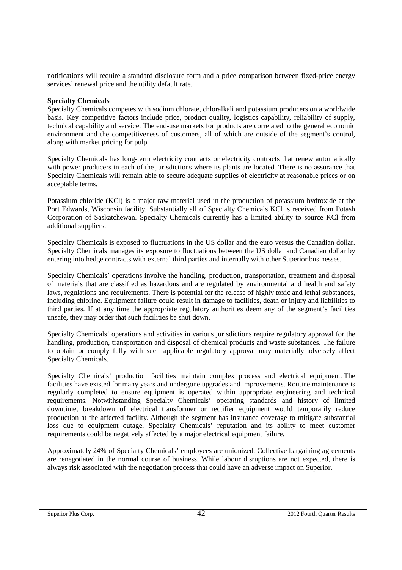notifications will require a standard disclosure form and a price comparison between fixed-price energy services' renewal price and the utility default rate.

### **Specialty Chemicals**

Specialty Chemicals competes with sodium chlorate, chloralkali and potassium producers on a worldwide basis. Key competitive factors include price, product quality, logistics capability, reliability of supply, technical capability and service. The end-use markets for products are correlated to the general economic environment and the competitiveness of customers, all of which are outside of the segment's control, along with market pricing for pulp.

Specialty Chemicals has long-term electricity contracts or electricity contracts that renew automatically with power producers in each of the jurisdictions where its plants are located. There is no assurance that Specialty Chemicals will remain able to secure adequate supplies of electricity at reasonable prices or on acceptable terms.

Potassium chloride (KCl) is a major raw material used in the production of potassium hydroxide at the Port Edwards, Wisconsin facility. Substantially all of Specialty Chemicals KCl is received from Potash Corporation of Saskatchewan. Specialty Chemicals currently has a limited ability to source KCl from additional suppliers.

Specialty Chemicals is exposed to fluctuations in the US dollar and the euro versus the Canadian dollar. Specialty Chemicals manages its exposure to fluctuations between the US dollar and Canadian dollar by entering into hedge contracts with external third parties and internally with other Superior businesses.

Specialty Chemicals' operations involve the handling, production, transportation, treatment and disposal of materials that are classified as hazardous and are regulated by environmental and health and safety laws, regulations and requirements. There is potential for the release of highly toxic and lethal substances, including chlorine. Equipment failure could result in damage to facilities, death or injury and liabilities to third parties. If at any time the appropriate regulatory authorities deem any of the segment's facilities unsafe, they may order that such facilities be shut down.

Specialty Chemicals' operations and activities in various jurisdictions require regulatory approval for the handling, production, transportation and disposal of chemical products and waste substances. The failure to obtain or comply fully with such applicable regulatory approval may materially adversely affect Specialty Chemicals.

Specialty Chemicals' production facilities maintain complex process and electrical equipment. The facilities have existed for many years and undergone upgrades and improvements. Routine maintenance is regularly completed to ensure equipment is operated within appropriate engineering and technical requirements. Notwithstanding Specialty Chemicals' operating standards and history of limited downtime, breakdown of electrical transformer or rectifier equipment would temporarily reduce production at the affected facility. Although the segment has insurance coverage to mitigate substantial loss due to equipment outage, Specialty Chemicals' reputation and its ability to meet customer requirements could be negatively affected by a major electrical equipment failure.

Approximately 24% of Specialty Chemicals' employees are unionized. Collective bargaining agreements are renegotiated in the normal course of business. While labour disruptions are not expected, there is always risk associated with the negotiation process that could have an adverse impact on Superior.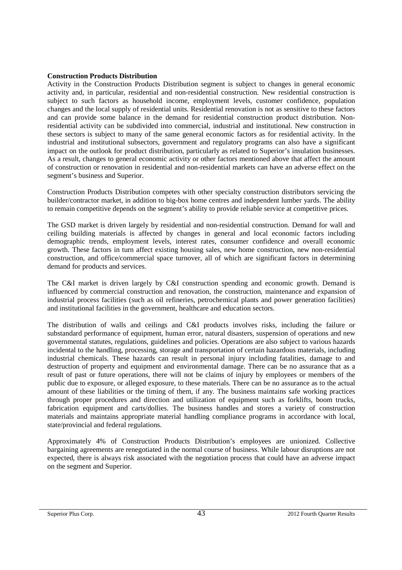### **Construction Products Distribution**

Activity in the Construction Products Distribution segment is subject to changes in general economic activity and, in particular, residential and non-residential construction. New residential construction is subject to such factors as household income, employment levels, customer confidence, population changes and the local supply of residential units. Residential renovation is not as sensitive to these factors and can provide some balance in the demand for residential construction product distribution. Nonresidential activity can be subdivided into commercial, industrial and institutional. New construction in these sectors is subject to many of the same general economic factors as for residential activity. In the industrial and institutional subsectors, government and regulatory programs can also have a significant impact on the outlook for product distribution, particularly as related to Superior's insulation businesses. As a result, changes to general economic activity or other factors mentioned above that affect the amount of construction or renovation in residential and non-residential markets can have an adverse effect on the segment's business and Superior.

Construction Products Distribution competes with other specialty construction distributors servicing the builder/contractor market, in addition to big-box home centres and independent lumber yards. The ability to remain competitive depends on the segment's ability to provide reliable service at competitive prices.

The GSD market is driven largely by residential and non-residential construction. Demand for wall and ceiling building materials is affected by changes in general and local economic factors including demographic trends, employment levels, interest rates, consumer confidence and overall economic growth. These factors in turn affect existing housing sales, new home construction, new non-residential construction, and office/commercial space turnover, all of which are significant factors in determining demand for products and services.

The C&I market is driven largely by C&I construction spending and economic growth. Demand is influenced by commercial construction and renovation, the construction, maintenance and expansion of industrial process facilities (such as oil refineries, petrochemical plants and power generation facilities) and institutional facilities in the government, healthcare and education sectors.

The distribution of walls and ceilings and C&I products involves risks, including the failure or substandard performance of equipment, human error, natural disasters, suspension of operations and new governmental statutes, regulations, guidelines and policies. Operations are also subject to various hazards incidental to the handling, processing, storage and transportation of certain hazardous materials, including industrial chemicals. These hazards can result in personal injury including fatalities, damage to and destruction of property and equipment and environmental damage. There can be no assurance that as a result of past or future operations, there will not be claims of injury by employees or members of the public due to exposure, or alleged exposure, to these materials. There can be no assurance as to the actual amount of these liabilities or the timing of them, if any. The business maintains safe working practices through proper procedures and direction and utilization of equipment such as forklifts, boom trucks, fabrication equipment and carts/dollies. The business handles and stores a variety of construction materials and maintains appropriate material handling compliance programs in accordance with local, state/provincial and federal regulations.

Approximately 4% of Construction Products Distribution's employees are unionized. Collective bargaining agreements are renegotiated in the normal course of business. While labour disruptions are not expected, there is always risk associated with the negotiation process that could have an adverse impact on the segment and Superior.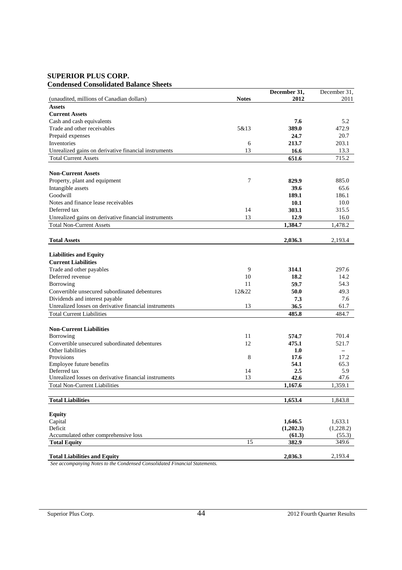# **SUPERIOR PLUS CORP.**

# **Condensed Consolidated Balance Sheets**

|                                                       |              | December 31, | December 31, |
|-------------------------------------------------------|--------------|--------------|--------------|
| (unaudited, millions of Canadian dollars)             | <b>Notes</b> | 2012         | 2011         |
| <b>Assets</b>                                         |              |              |              |
| <b>Current Assets</b>                                 |              |              |              |
| Cash and cash equivalents                             |              | 7.6          | 5.2          |
| Trade and other receivables                           | 5&13         | 389.0        | 472.9        |
| Prepaid expenses                                      |              | 24.7         | 20.7         |
| Inventories                                           | 6            | 213.7        | 203.1        |
| Unrealized gains on derivative financial instruments  | 13           | 16.6         | 13.3         |
| <b>Total Current Assets</b>                           |              | 651.6        | 715.2        |
| <b>Non-Current Assets</b>                             |              |              |              |
| Property, plant and equipment                         | 7            | 829.9        | 885.0        |
| Intangible assets                                     |              | 39.6         | 65.6         |
| Goodwill                                              |              | 189.1        | 186.1        |
| Notes and finance lease receivables                   |              | 10.1         | 10.0         |
| Deferred tax                                          | 14           | 303.1        | 315.5        |
| Unrealized gains on derivative financial instruments  | 13           | 12.9         | 16.0         |
|                                                       |              |              |              |
| <b>Total Non-Current Assets</b>                       |              | 1,384.7      | 1,478.2      |
| <b>Total Assets</b>                                   |              | 2,036.3      | 2,193.4      |
| <b>Liabilities and Equity</b>                         |              |              |              |
| <b>Current Liabilities</b>                            |              |              |              |
| Trade and other payables                              | 9            | 314.1        | 297.6        |
| Deferred revenue                                      | 10           | 18.2         | 14.2         |
| Borrowing                                             | 11           | 59.7         | 54.3         |
| Convertible unsecured subordinated debentures         | 12&22        | 50.0         | 49.3         |
| Dividends and interest payable                        |              | 7.3          | 7.6          |
| Unrealized losses on derivative financial instruments | 13           | 36.5         | 61.7         |
| <b>Total Current Liabilities</b>                      |              | 485.8        | 484.7        |
|                                                       |              |              |              |
| <b>Non-Current Liabilities</b>                        |              |              |              |
| Borrowing                                             | 11           | 574.7        | 701.4        |
| Convertible unsecured subordinated debentures         | 12           | 475.1        | 521.7        |
| Other liabilities                                     |              | 1.0          | $\equiv$     |
| Provisions                                            | 8            | 17.6         | 17.2         |
| Employee future benefits                              |              | 54.1         | 65.3         |
| Deferred tax                                          | 14           | 2.5          | 5.9          |
| Unrealized losses on derivative financial instruments | 13           | 42.6         | 47.6         |
| <b>Total Non-Current Liabilities</b>                  |              | 1,167.6      | 1,359.1      |
| <b>Total Liabilities</b>                              |              | 1,653.4      | 1,843.8      |
| <b>Equity</b>                                         |              |              |              |
| Capital                                               |              | 1,646.5      | 1,633.1      |
| Deficit                                               |              | (1,202.3)    | (1,228.2)    |
| Accumulated other comprehensive loss                  |              | (61.3)       | (55.3)       |
| <b>Total Equity</b>                                   | 15           | 382.9        | 349.6        |
| <b>Total Liabilities and Equity</b>                   |              | 2,036.3      | 2,193.4      |

*See accompanying Notes to the Condensed Consolidated Financial Statements.*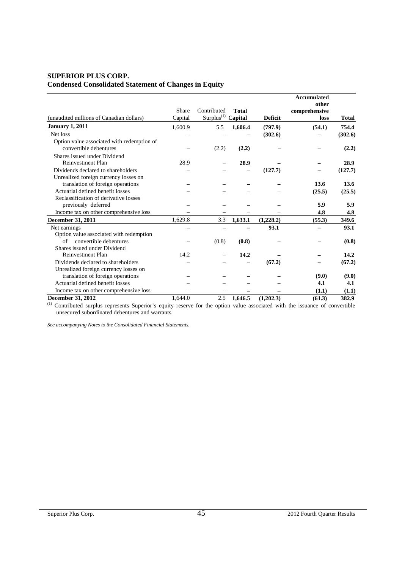## **SUPERIOR PLUS CORP. Condensed Consolidated Statement of Changes in Equity**

|                                                                            |                  |                                       |                         |                | <b>Accumulated</b><br>other |              |
|----------------------------------------------------------------------------|------------------|---------------------------------------|-------------------------|----------------|-----------------------------|--------------|
| (unaudited millions of Canadian dollars)                                   | Share<br>Capital | Contributed<br>Surplus <sup>(1)</sup> | <b>Total</b><br>Capital | <b>Deficit</b> | comprehensive<br>loss       | <b>Total</b> |
| <b>January 1, 2011</b>                                                     | 1,600.9          | 5.5                                   | 1,606.4                 | (797.9)        | (54.1)                      | 754.4        |
| Net loss                                                                   |                  |                                       |                         | (302.6)        |                             | (302.6)      |
| Option value associated with redemption of<br>convertible debentures       |                  | (2.2)                                 | (2.2)                   |                |                             | (2.2)        |
| Shares issued under Dividend                                               |                  |                                       |                         |                |                             |              |
| Reinvestment Plan                                                          | 28.9             |                                       | 28.9                    |                |                             | 28.9         |
| Dividends declared to shareholders                                         |                  |                                       |                         | (127.7)        |                             | (127.7)      |
| Unrealized foreign currency losses on<br>translation of foreign operations |                  |                                       |                         |                | 13.6                        | 13.6         |
| Actuarial defined benefit losses                                           |                  |                                       |                         |                | (25.5)                      | (25.5)       |
| Reclassification of derivative losses                                      |                  |                                       |                         |                |                             |              |
| previously deferred                                                        |                  |                                       |                         |                | 5.9                         | 5.9          |
| Income tax on other comprehensive loss                                     |                  |                                       |                         |                | 4.8                         | 4.8          |
| December 31, 2011                                                          | 1,629.8          | 3.3                                   | 1,633.1                 | (1,228.2)      | (55.3)                      | 349.6        |
| Net earnings                                                               |                  |                                       |                         | 93.1           |                             | 93.1         |
| Option value associated with redemption                                    |                  |                                       |                         |                |                             |              |
| convertible debentures<br>of                                               |                  | (0.8)                                 | (0.8)                   |                |                             | (0.8)        |
| Shares issued under Dividend                                               |                  |                                       |                         |                |                             |              |
| Reinvestment Plan                                                          | 14.2             |                                       | 14.2                    |                |                             | 14.2         |
| Dividends declared to shareholders                                         |                  |                                       |                         | (67.2)         |                             | (67.2)       |
| Unrealized foreign currency losses on                                      |                  |                                       |                         |                |                             |              |
| translation of foreign operations                                          |                  |                                       |                         |                | (9.0)                       | (9.0)        |
| Actuarial defined benefit losses                                           |                  |                                       |                         |                | 4.1                         | 4.1          |
| Income tax on other comprehensive loss                                     |                  |                                       |                         |                | (1.1)                       | (1.1)        |
| <b>December 31, 2012</b>                                                   | 1.644.0          | 2.5                                   | 1.646.5                 | (1,202.3)      | (61.3)                      | 382.9        |

<sup>(1)</sup> Contributed surplus represents Superior's equity reserve for the option value associated with the issuance of convertible unsecured subordinated debentures and warrants.

*See accompanying Notes to the Consolidated Financial Statements.*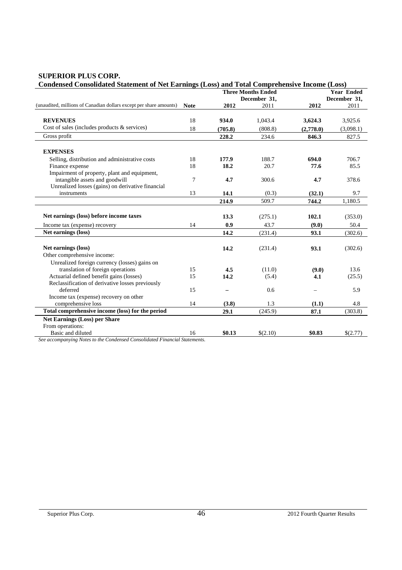## **SUPERIOR PLUS CORP.**

|                                                                                                 | <b>Condensed Consolidated Statement of Net Earnings (Loss) and Total Comprehensive Income (Loss)</b> |                           |              |           |                   |  |
|-------------------------------------------------------------------------------------------------|------------------------------------------------------------------------------------------------------|---------------------------|--------------|-----------|-------------------|--|
|                                                                                                 |                                                                                                      | <b>Three Months Ended</b> |              |           | <b>Year Ended</b> |  |
|                                                                                                 |                                                                                                      |                           | December 31, |           | December 31,      |  |
| (unaudited, millions of Canadian dollars except per share amounts)                              | <b>Note</b>                                                                                          | 2012                      | 2011         | 2012      | 2011              |  |
| <b>REVENUES</b>                                                                                 | 18                                                                                                   | 934.0                     | 1,043.4      | 3,624.3   | 3,925.6           |  |
| Cost of sales (includes products $&$ services)                                                  | 18                                                                                                   | (705.8)                   | (808.8)      | (2,778.0) | (3,098.1)         |  |
| Gross profit                                                                                    |                                                                                                      | 228.2                     | 234.6        | 846.3     | 827.5             |  |
| <b>EXPENSES</b>                                                                                 |                                                                                                      |                           |              |           |                   |  |
| Selling, distribution and administrative costs                                                  | 18                                                                                                   | 177.9                     | 188.7        | 694.0     | 706.7             |  |
| Finance expense                                                                                 | 18                                                                                                   | 18.2                      | 20.7         | 77.6      | 85.5              |  |
| Impairment of property, plant and equipment,                                                    |                                                                                                      |                           |              |           |                   |  |
| intangible assets and goodwill                                                                  | 7                                                                                                    | 4.7                       | 300.6        | 4.7       | 378.6             |  |
| Unrealized losses (gains) on derivative financial                                               |                                                                                                      |                           |              |           |                   |  |
| instruments                                                                                     | 13                                                                                                   | 14.1                      | (0.3)        | (32.1)    | 9.7               |  |
|                                                                                                 |                                                                                                      | 214.9                     | 509.7        | 744.2     | 1,180.5           |  |
| Net earnings (loss) before income taxes                                                         |                                                                                                      | 13.3                      | (275.1)      | 102.1     | (353.0)           |  |
| Income tax (expense) recovery                                                                   | 14                                                                                                   | 0.9                       | 43.7         | (9.0)     | 50.4              |  |
| Net earnings (loss)                                                                             |                                                                                                      | 14.2                      | (231.4)      | 93.1      | (302.6)           |  |
|                                                                                                 |                                                                                                      |                           |              |           |                   |  |
| Net earnings (loss)                                                                             |                                                                                                      | 14.2                      | (231.4)      | 93.1      | (302.6)           |  |
| Other comprehensive income:                                                                     |                                                                                                      |                           |              |           |                   |  |
| Unrealized foreign currency (losses) gains on                                                   |                                                                                                      |                           |              |           |                   |  |
| translation of foreign operations                                                               | 15                                                                                                   | 4.5                       | (11.0)       | (9.0)     | 13.6              |  |
| Actuarial defined benefit gains (losses)                                                        | 15                                                                                                   | 14.2                      | (5.4)        | 4.1       | (25.5)            |  |
| Reclassification of derivative losses previously                                                |                                                                                                      |                           |              |           |                   |  |
| deferred                                                                                        | 15                                                                                                   | -                         | 0.6          |           | 5.9               |  |
| Income tax (expense) recovery on other                                                          |                                                                                                      |                           |              |           |                   |  |
| comprehensive loss                                                                              | 14                                                                                                   | (3.8)                     | 1.3          | (1.1)     | 4.8               |  |
| Total comprehensive income (loss) for the period                                                |                                                                                                      | 29.1                      | (245.9)      | 87.1      | (303.8)           |  |
| <b>Net Earnings (Loss) per Share</b>                                                            |                                                                                                      |                           |              |           |                   |  |
| From operations:                                                                                |                                                                                                      |                           |              |           |                   |  |
| Basic and diluted<br>See accompanying Notes to the Condensed Consolidated Financial Statements. | 16                                                                                                   | \$0.13                    | \$(2.10)     | \$0.83    | \$(2.77)          |  |

*See accompanying Notes to the Condensed Consolidated Financial Statements.*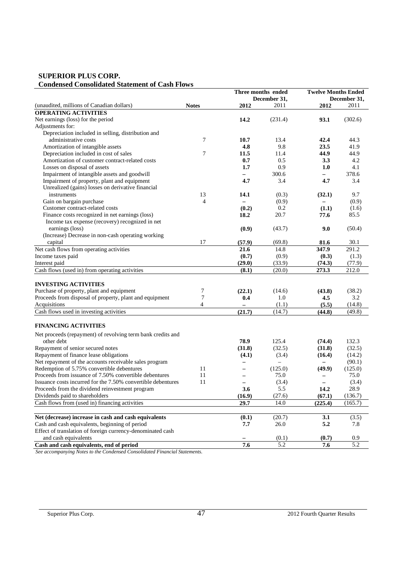## **SUPERIOR PLUS CORP.**

#### **Condensed Consolidated Statement of Cash Flows**

|                                                                 |                | Three months ended       |              | <b>Twelve Months Ended</b> |                 |  |
|-----------------------------------------------------------------|----------------|--------------------------|--------------|----------------------------|-----------------|--|
|                                                                 |                |                          | December 31, |                            | December 31,    |  |
| (unaudited, millions of Canadian dollars)                       | <b>Notes</b>   | 2012                     | 2011         | 2012                       | 2011            |  |
| <b>OPERATING ACTIVITIES</b>                                     |                |                          |              |                            |                 |  |
| Net earnings (loss) for the period                              |                | 14.2                     | (231.4)      | 93.1                       | (302.6)         |  |
| Adjustments for:                                                |                |                          |              |                            |                 |  |
| Depreciation included in selling, distribution and              |                |                          |              |                            |                 |  |
| administrative costs                                            | 7              | 10.7                     | 13.4         | 42.4                       | 44.3            |  |
| Amortization of intangible assets                               |                | 4.8                      | 9.8          | 23.5                       | 41.9            |  |
| Depreciation included in cost of sales                          | 7              | 11.5                     | 11.4         | 44.9                       | 44.9            |  |
| Amortization of customer contract-related costs                 |                | 0.7                      | 0.5          | 3.3                        | 4.2             |  |
| Losses on disposal of assets                                    |                | 1.7                      | 0.9          | 1.0                        | 4.1             |  |
| Impairment of intangible assets and goodwill                    |                | $\overline{\phantom{0}}$ | 300.6        | $\overline{\phantom{0}}$   | 378.6           |  |
| Impairment of property, plant and equipment                     |                | 4.7                      | 3.4          | 4.7                        | 3.4             |  |
| Unrealized (gains) losses on derivative financial               |                |                          |              |                            |                 |  |
| instruments                                                     | 13             | 14.1                     | (0.3)        | (32.1)                     | 9.7             |  |
| Gain on bargain purchase                                        | $\overline{4}$ | $\overline{\phantom{0}}$ | (0.9)        | $\overline{\phantom{a}}$   | (0.9)           |  |
| Customer contract-related costs                                 |                | (0.2)                    | 0.2          | (1.1)                      | (1.6)           |  |
| Finance costs recognized in net earnings (loss)                 |                | 18.2                     | 20.7         | 77.6                       | 85.5            |  |
| Income tax expense (recovery) recognized in net                 |                |                          |              |                            |                 |  |
| earnings (loss)                                                 |                | (0.9)                    | (43.7)       | 9.0                        | (50.4)          |  |
| (Increase) Decrease in non-cash operating working               |                |                          |              |                            |                 |  |
| capital                                                         | 17             | (57.9)                   | (69.8)       | 81.6                       | 30.1            |  |
| Net cash flows from operating activities                        |                | 21.6                     | 14.8         | 347.9                      | 291.2           |  |
| Income taxes paid                                               |                |                          | (0.9)        |                            | (1.3)           |  |
|                                                                 |                | (0.7)                    |              | (0.3)                      |                 |  |
| Interest paid<br>Cash flows (used in) from operating activities |                | (29.0)                   | (33.9)       | (74.3)                     | (77.9)<br>212.0 |  |
|                                                                 |                | (8.1)                    | (20.0)       | 273.3                      |                 |  |
|                                                                 |                |                          |              |                            |                 |  |
| <b>INVESTING ACTIVITIES</b>                                     |                |                          |              |                            |                 |  |
| Purchase of property, plant and equipment                       | 7              | (22.1)                   | (14.6)       | (43.8)                     | (38.2)          |  |
| Proceeds from disposal of property, plant and equipment         | 7              | 0.4                      | 1.0          | 4.5                        | 3.2             |  |
| Acquisitions                                                    | 4              | $\equiv$                 | (1.1)        | (5.5)                      | (14.8)          |  |
| Cash flows used in investing activities                         |                | (21.7)                   | (14.7)       | (44.8)                     | (49.8)          |  |
|                                                                 |                |                          |              |                            |                 |  |
| <b>FINANCING ACTIVITIES</b>                                     |                |                          |              |                            |                 |  |
| Net proceeds (repayment) of revolving term bank credits and     |                |                          |              |                            |                 |  |
| other debt                                                      |                | 78.9                     | 125.4        | (74.4)                     | 132.3           |  |
| Repayment of senior secured notes                               |                | (31.8)                   | (32.5)       | (31.8)                     | (32.5)          |  |
| Repayment of finance lease obligations                          |                | (4.1)                    | (3.4)        | (16.4)                     | (14.2)          |  |
| Net repayment of the accounts receivable sales program          |                | $\overline{\phantom{0}}$ | $\equiv$     | -                          | (90.1)          |  |
| Redemption of 5.75% convertible debentures                      | 11             | $\overline{\phantom{0}}$ | (125.0)      | (49.9)                     | (125.0)         |  |
| Proceeds from issuance of 7.50% convertible debentures          | 11             | $\overline{\phantom{0}}$ | 75.0         | -                          | 75.0            |  |
| Issuance costs incurred for the 7.50% convertible debentures    | 11             | $\overline{\phantom{0}}$ | (3.4)        |                            | (3.4)           |  |
| Proceeds from the dividend reinvestment program                 |                | 3.6                      | 5.5          | 14.2                       | 28.9            |  |
| Dividends paid to shareholders                                  |                | (16.9)                   | (27.6)       | (67.1)                     | (136.7)         |  |
| Cash flows from (used in) financing activities                  |                | 29.7                     | 14.0         | (225.4)                    | (165.7)         |  |
|                                                                 |                |                          |              |                            |                 |  |
| Net (decrease) increase in cash and cash equivalents            |                | (0.1)                    | (20.7)       | 3.1                        | (3.5)           |  |
| Cash and cash equivalents, beginning of period                  |                | 7.7                      | 26.0         | 5.2                        | 7.8             |  |
| Effect of translation of foreign currency-denominated cash      |                |                          |              |                            |                 |  |
| and cash equivalents                                            |                | -                        | (0.1)        | (0.7)                      | 0.9             |  |
| Cash and cash equivalents, end of period                        |                | 7.6                      | 5.2          | 7.6                        | 5.2             |  |
|                                                                 |                |                          |              |                            |                 |  |

*See accompanying Notes to the Condensed Consolidated Financial Statements.*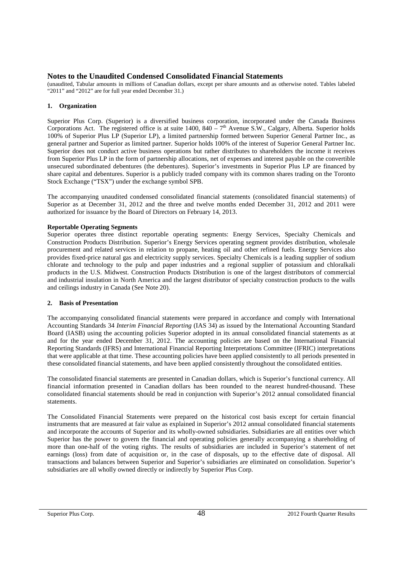## **Notes to the Unaudited Condensed Consolidated Financial Statements**

(unaudited, Tabular amounts in millions of Canadian dollars, except per share amounts and as otherwise noted. Tables labeled "2011" and "2012" are for full year ended December 31.)

#### **1. Organization**

Superior Plus Corp. (Superior) is a diversified business corporation, incorporated under the Canada Business Corporations Act. The registered office is at suite 1400,  $840 - 7<sup>th</sup>$  Avenue S.W., Calgary, Alberta. Superior holds 100% of Superior Plus LP (Superior LP), a limited partnership formed between Superior General Partner Inc., as general partner and Superior as limited partner. Superior holds 100% of the interest of Superior General Partner Inc. Superior does not conduct active business operations but rather distributes to shareholders the income it receives from Superior Plus LP in the form of partnership allocations, net of expenses and interest payable on the convertible unsecured subordinated debentures (the debentures). Superior's investments in Superior Plus LP are financed by share capital and debentures. Superior is a publicly traded company with its common shares trading on the Toronto Stock Exchange ("TSX") under the exchange symbol SPB.

The accompanying unaudited condensed consolidated financial statements (consolidated financial statements) of Superior as at December 31, 2012 and the three and twelve months ended December 31, 2012 and 2011 were authorized for issuance by the Board of Directors on February 14, 2013.

#### **Reportable Operating Segments**

Superior operates three distinct reportable operating segments: Energy Services, Specialty Chemicals and Construction Products Distribution. Superior's Energy Services operating segment provides distribution, wholesale procurement and related services in relation to propane, heating oil and other refined fuels. Energy Services also provides fixed-price natural gas and electricity supply services. Specialty Chemicals is a leading supplier of sodium chlorate and technology to the pulp and paper industries and a regional supplier of potassium and chloralkali products in the U.S. Midwest. Construction Products Distribution is one of the largest distributors of commercial and industrial insulation in North America and the largest distributor of specialty construction products to the walls and ceilings industry in Canada (See Note 20).

#### **2. Basis of Presentation**

The accompanying consolidated financial statements were prepared in accordance and comply with International Accounting Standards 34 *Interim Financial Reporting* (IAS 34) as issued by the International Accounting Standard Board (IASB) using the accounting policies Superior adopted in its annual consolidated financial statements as at and for the year ended December 31, 2012. The accounting policies are based on the International Financial Reporting Standards (IFRS) and International Financial Reporting Interpretations Committee (IFRIC) interpretations that were applicable at that time. These accounting policies have been applied consistently to all periods presented in these consolidated financial statements, and have been applied consistently throughout the consolidated entities.

The consolidated financial statements are presented in Canadian dollars, which is Superior's functional currency. All financial information presented in Canadian dollars has been rounded to the nearest hundred-thousand. These consolidated financial statements should be read in conjunction with Superior's 2012 annual consolidated financial statements.

The Consolidated Financial Statements were prepared on the historical cost basis except for certain financial instruments that are measured at fair value as explained in Superior's 2012 annual consolidated financial statements and incorporate the accounts of Superior and its wholly-owned subsidiaries. Subsidiaries are all entities over which Superior has the power to govern the financial and operating policies generally accompanying a shareholding of more than one-half of the voting rights. The results of subsidiaries are included in Superior's statement of net earnings (loss) from date of acquisition or, in the case of disposals, up to the effective date of disposal. All transactions and balances between Superior and Superior's subsidiaries are eliminated on consolidation. Superior's subsidiaries are all wholly owned directly or indirectly by Superior Plus Corp.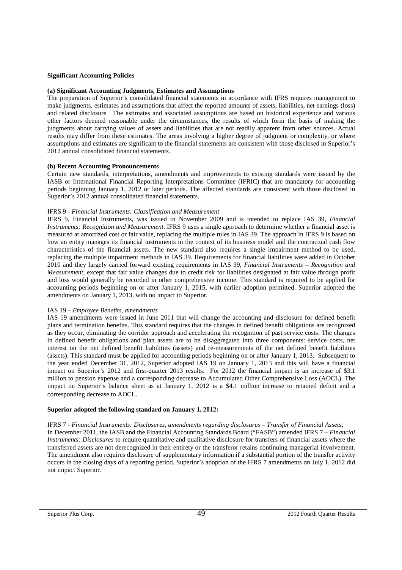#### **Significant Accounting Policies**

#### **(a) Significant Accounting Judgments, Estimates and Assumptions**

The preparation of Superior's consolidated financial statements in accordance with IFRS requires management to make judgments, estimates and assumptions that affect the reported amounts of assets, liabilities, net earnings (loss) and related disclosure. The estimates and associated assumptions are based on historical experience and various other factors deemed reasonable under the circumstances, the results of which form the basis of making the judgments about carrying values of assets and liabilities that are not readily apparent from other sources. Actual results may differ from these estimates. The areas involving a higher degree of judgment or complexity, or where assumptions and estimates are significant to the financial statements are consistent with those disclosed in Superior's 2012 annual consolidated financial statements.

#### **(b) Recent Accounting Pronouncements**

Certain new standards, interpretations, amendments and improvements to existing standards were issued by the IASB or International Financial Reporting Interpretations Committee (IFRIC) that are mandatory for accounting periods beginning January 1, 2012 or later periods. The affected standards are consistent with those disclosed in Superior's 2012 annual consolidated financial statements.

#### IFRS 9 - *Financial Instruments: Classification and Measurement*

IFRS 9, Financial Instruments, was issued in November 2009 and is intended to replace IAS 39*, Financial Instruments: Recognition and Measurement*. IFRS 9 uses a single approach to determine whether a financial asset is measured at amortized cost or fair value, replacing the multiple rules in IAS 39. The approach in IFRS 9 is based on how an entity manages its financial instruments in the context of its business model and the contractual cash flow characteristics of the financial assets. The new standard also requires a single impairment method to be used, replacing the multiple impairment methods in IAS 39. Requirements for financial liabilities were added in October 2010 and they largely carried forward existing requirements in IAS 39, *Financial Instruments – Recognition and Measurement*, except that fair value changes due to credit risk for liabilities designated at fair value through profit and loss would generally be recorded in other comprehensive income. This standard is required to be applied for accounting periods beginning on or after January 1, 2015, with earlier adoption permitted. Superior adopted the amendments on January 1, 2013, with no impact to Superior.

#### IAS 19 – *Employee Benefits, amendments*

IAS 19 amendments were issued in June 2011 that will change the accounting and disclosure for defined benefit plans and termination benefits. This standard requires that the changes in defined benefit obligations are recognized as they occur, eliminating the corridor approach and accelerating the recognition of past service costs. The changes in defined benefit obligations and plan assets are to be disaggregated into three components: service costs, net interest on the net defined benefit liabilities (assets) and re-measurements of the net defined benefit liabilities (assets). This standard must be applied for accounting periods beginning on or after January 1, 2013. Subsequent to the year ended December 31, 2012, Superior adopted IAS 19 on January 1, 2013 and this will have a financial impact on Superior's 2012 and first-quarter 2013 results. For 2012 the financial impact is an increase of \$3.1 million to pension expense and a corresponding decrease to Accumulated Other Comprehensive Loss (AOCL). The impact on Superior's balance sheet as at January 1, 2012 is a \$4.1 million increase to retained deficit and a corresponding decrease to AOCL.

#### **Superior adopted the following standard on January 1, 2012:**

IFRS 7 - *Financial Instruments: Disclosures, amendments regarding disclosures – Transfer of Financial Assets;*  In December 2011, the IASB and the Financial Accounting Standards Board ("FASB") amended IFRS 7 – *Financial Instruments: Disclosures* to require quantitative and qualitative disclosure for transfers of financial assets where the transferred assets are not derecognized in their entirety or the transferor retains continuing managerial involvement. The amendment also requires disclosure of supplementary information if a substantial portion of the transfer activity occurs in the closing days of a reporting period. Superior's adoption of the IFRS 7 amendments on July 1, 2012 did not impact Superior.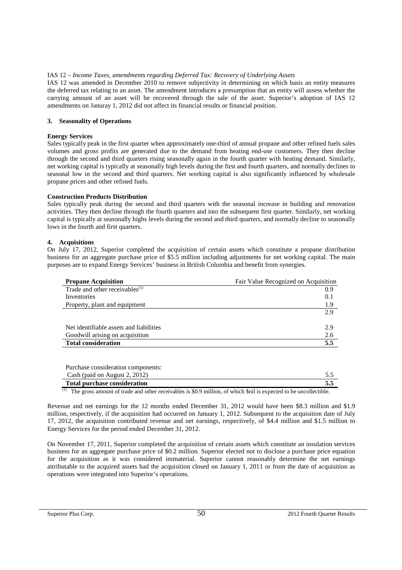#### IAS 12 – *Income Taxes, amendments regarding Deferred Tax: Recovery of Underlying Assets*

IAS 12 was amended in December 2010 to remove subjectivity in determining on which basis an entity measures the deferred tax relating to an asset. The amendment introduces a presumption that an entity will assess whether the carrying amount of an asset will be recovered through the sale of the asset. Superior's adoption of IAS 12 amendments on Januray 1, 2012 did not affect its financial results or financial position.

#### **3. Seasonality of Operations**

#### **Energy Services**

Sales typically peak in the first quarter when approximately one-third of annual propane and other refined fuels sales volumes and gross profits are generated due to the demand from heating end-use customers. They then decline through the second and third quarters rising seasonally again in the fourth quarter with heating demand. Similarly, net working capital is typically at seasonally high levels during the first and fourth quarters, and normally declines to seasonal low in the second and third quarters. Net working capital is also significantly influenced by wholesale propane prices and other refined fuels.

#### **Construction Products Distribution**

Sales typically peak during the second and third quarters with the seasonal increase in building and renovation activities. They then decline through the fourth quarters and into the subsequent first quarter. Similarly, net working capital is typically at seasonally highs levels during the second and third quarters, and normally decline to seasonally lows in the fourth and first quarters.

### **4. Acquisitions**

On July 17, 2012, Superior completed the acquisition of certain assets which constitute a propane distribution business for an aggregate purchase price of \$5.5 million including adjustments for net working capital. The main purposes are to expand Energy Services' business in British Columbia and benefit from synergies.

| Fair Value Recognized on Acquisition |
|--------------------------------------|
| 0.9                                  |
| 0.1                                  |
| 1.9                                  |
| 2.9                                  |
|                                      |
| 2.9                                  |
| 2.6                                  |
| 5.5                                  |
|                                      |
|                                      |

| Purchase consideration components:  |  |
|-------------------------------------|--|
| Cash (paid on August 2, 2012)       |  |
| <b>Total purchase consideration</b> |  |
|                                     |  |

(1) The gross amount of trade and other receivables is \$0.9 million, of which \$nil is expected to be uncollectible.

Revenue and net earnings for the 12 months ended December 31, 2012 would have been \$8.3 million and \$1.9 million, respectively, if the acquisition had occurred on January 1, 2012. Subsequent to the acquisition date of July 17, 2012, the acquisition contributed revenue and net earnings, respectively, of \$4.4 million and \$1.5 million to Energy Services for the period ended December 31, 2012.

On November 17, 2011, Superior completed the acquisition of certain assets which constitute an insulation services business for an aggregate purchase price of \$0.2 million. Superior elected not to disclose a purchase price equation for the acquisition as it was considered immaterial. Superior cannot reasonably determine the net earnings attributable to the acquired assets had the acquisition closed on January 1, 2011 or from the date of acquisition as operations were integrated into Superior's operations.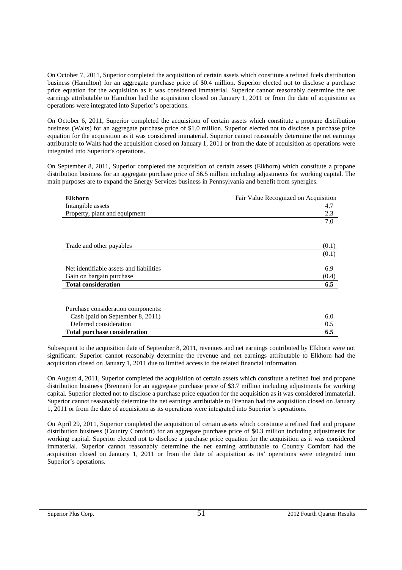On October 7, 2011, Superior completed the acquisition of certain assets which constitute a refined fuels distribution business (Hamilton) for an aggregate purchase price of \$0.4 million. Superior elected not to disclose a purchase price equation for the acquisition as it was considered immaterial. Superior cannot reasonably determine the net earnings attributable to Hamilton had the acquisition closed on January 1, 2011 or from the date of acquisition as operations were integrated into Superior's operations.

On October 6, 2011, Superior completed the acquisition of certain assets which constitute a propane distribution business (Walts) for an aggregate purchase price of \$1.0 million. Superior elected not to disclose a purchase price equation for the acquisition as it was considered immaterial. Superior cannot reasonably determine the net earnings attributable to Walts had the acquisition closed on January 1, 2011 or from the date of acquisition as operations were integrated into Superior's operations.

On September 8, 2011, Superior completed the acquisition of certain assets (Elkhorn) which constitute a propane distribution business for an aggregate purchase price of \$6.5 million including adjustments for working capital. The main purposes are to expand the Energy Services business in Pennsylvania and benefit from synergies.

| <b>Elkhorn</b>                                | Fair Value Recognized on Acquisition |
|-----------------------------------------------|--------------------------------------|
| Intangible assets                             | 4.7                                  |
| Property, plant and equipment                 | 2.3                                  |
|                                               | 7.0                                  |
|                                               |                                      |
|                                               |                                      |
| Trade and other payables                      | (0.1)                                |
|                                               | (0.1)                                |
|                                               |                                      |
| Net identifiable assets and liabilities       | 6.9                                  |
| Gain on bargain purchase                      | (0.4)                                |
| <b>Total consideration</b>                    | 6.5                                  |
|                                               |                                      |
|                                               |                                      |
| Purchase consideration components:            |                                      |
| المتحدث المستحدث والمتحدث والمستحدث والمستحدث |                                      |

Subsequent to the acquisition date of September 8, 2011, revenues and net earnings contributed by Elkhorn were not significant. Superior cannot reasonably determine the revenue and net earnings attributable to Elkhorn had the acquisition closed on January 1, 2011 due to limited access to the related financial information.

On August 4, 2011, Superior completed the acquisition of certain assets which constitute a refined fuel and propane distribution business (Brennan) for an aggregate purchase price of \$3.7 million including adjustments for working capital. Superior elected not to disclose a purchase price equation for the acquisition as it was considered immaterial. Superior cannot reasonably determine the net earnings attributable to Brennan had the acquisition closed on January 1, 2011 or from the date of acquisition as its operations were integrated into Superior's operations.

On April 29, 2011, Superior completed the acquisition of certain assets which constitute a refined fuel and propane distribution business (Country Comfort) for an aggregate purchase price of \$0.3 million including adjustments for working capital. Superior elected not to disclose a purchase price equation for the acquisition as it was considered immaterial. Superior cannot reasonably determine the net earning attributable to Country Comfort had the acquisition closed on January 1, 2011 or from the date of acquisition as its' operations were integrated into Superior's operations.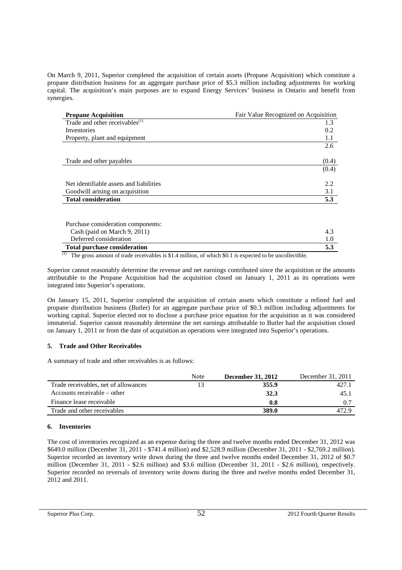On March 9, 2011, Superior completed the acquisition of certain assets (Propane Acquisition) which constitute a propane distribution business for an aggregate purchase price of \$5.3 million including adjustments for working capital. The acquisition's main purposes are to expand Energy Services' business in Ontario and benefit from synergies.

| <b>Propane Acquisition</b>                 | Fair Value Recognized on Acquisition |
|--------------------------------------------|--------------------------------------|
| Trade and other receivables <sup>(1)</sup> | 1.3                                  |
| Inventories                                | 0.2                                  |
| Property, plant and equipment              | 1.1                                  |
|                                            | 2.6                                  |
|                                            |                                      |
| Trade and other payables                   | (0.4)                                |
|                                            | (0.4)                                |
|                                            |                                      |
| Net identifiable assets and liabilities    | 2.2                                  |
| Goodwill arising on acquisition            | 3.1                                  |
| <b>Total consideration</b>                 | 5.3                                  |
|                                            |                                      |
|                                            |                                      |
| Purchase consideration components:         |                                      |

| <b>Total purchase consideration</b> |       |
|-------------------------------------|-------|
| Deferred consideration              |       |
| Cash (paid on March 9, 2011)        | $-4.$ |
| I dichase consideration components. |       |

 $(1)$  The gross amount of trade receivables is \$1.4 million, of which \$0.1 is expected to be uncollectible.

Superior cannot reasonably determine the revenue and net earnings contributed since the acquisition or the amounts attributable to the Propane Acquisition had the acquisition closed on January 1, 2011 as its operations were integrated into Superior's operations.

On January 15, 2011, Superior completed the acquisition of certain assets which constitute a refined fuel and propane distribution business (Butler) for an aggregate purchase price of \$0.3 million including adjustments for working capital. Superior elected not to disclose a purchase price equation for the acquisition as it was considered immaterial. Superior cannot reasonably determine the net earnings attributable to Butler had the acquisition closed on January 1, 2011 or from the date of acquisition as operations were integrated into Superior's operations.

### **5. Trade and Other Receivables**

A summary of trade and other receivables is as follows:

|                                      | Note | <b>December 31, 2012</b> | December 31, 2011 |
|--------------------------------------|------|--------------------------|-------------------|
| Trade receivables, net of allowances |      | 355.9                    | 427.1             |
| Accounts receivable – other          |      | 32.3                     | 45.1              |
| Finance lease receivable             |      | 0.8                      | 0.7               |
| Trade and other receivables          |      | 389.0                    | 472.9             |

### **6. Inventories**

The cost of inventories recognized as an expense during the three and twelve months ended December 31, 2012 was \$649.0 million (December 31, 2011 - \$741.4 million) and \$2,528.9 million (December 31, 2011 - \$2,769.2 million). Superior recorded an inventory write down during the three and twelve months ended December 31, 2012 of \$0.7 million (December 31, 2011 - \$2.6 million) and \$3.6 million (December 31, 2011 - \$2.6 million), respectively. Superior recorded no reversals of inventory write downs during the three and twelve months ended December 31, 2012 and 2011.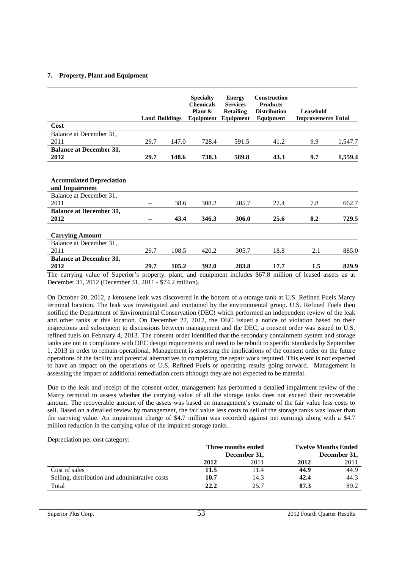#### **7. Property, Plant and Equipment**

|                                                                                                                        |      | <b>Land Buildings</b> | <b>Specialty</b><br><b>Chemicals</b><br>Plant &<br>Equipment | <b>Energy</b><br><b>Services</b><br><b>Retailing</b><br>Equipment | <b>Construction</b><br><b>Products</b><br><b>Distribution</b><br>Equipment | Leasehold<br><b>Improvements Total</b> |         |
|------------------------------------------------------------------------------------------------------------------------|------|-----------------------|--------------------------------------------------------------|-------------------------------------------------------------------|----------------------------------------------------------------------------|----------------------------------------|---------|
| Cost                                                                                                                   |      |                       |                                                              |                                                                   |                                                                            |                                        |         |
| Balance at December 31,                                                                                                |      |                       |                                                              |                                                                   |                                                                            |                                        |         |
| 2011                                                                                                                   | 29.7 | 147.0                 | 728.4                                                        | 591.5                                                             | 41.2                                                                       | 9.9                                    | 1,547.7 |
| <b>Balance at December 31,</b>                                                                                         |      |                       |                                                              |                                                                   |                                                                            |                                        |         |
| 2012                                                                                                                   | 29.7 | 148.6                 | 738.3                                                        | 589.8                                                             | 43.3                                                                       | 9.7                                    | 1,559.4 |
| <b>Accumulated Depreciation</b><br>and Impairment<br>Balance at December 31,<br>2011<br><b>Balance at December 31,</b> |      | 38.6                  | 308.2                                                        | 285.7                                                             | 22.4                                                                       | 7.8                                    | 662.7   |
| 2012                                                                                                                   |      | 43.4                  | 346.3                                                        | 306.0                                                             | 25.6                                                                       | 8.2                                    | 729.5   |
| <b>Carrying Amount</b><br>Balance at December 31,<br>2011                                                              | 29.7 | 108.5                 | 420.2                                                        | 305.7                                                             | 18.8                                                                       | 2.1                                    | 885.0   |
| <b>Balance at December 31,</b><br>2012                                                                                 | 29.7 | 105.2                 | 392.0                                                        | 283.8                                                             | 17.7                                                                       | 1.5                                    | 829.9   |

The carrying value of Superior's property, plant, and equipment includes \$67.8 million of leased assets as at December 31, 2012 (December 31, 2011 - \$74.2 million).

On October 20, 2012, a kerosene leak was discovered in the bottom of a storage tank at U.S. Refined Fuels Marcy terminal location. The leak was investigated and contained by the environmental group. U.S. Refined Fuels then notified the Department of Environmental Conservation (DEC) which performed an independent review of the leak and other tanks at this location. On December 27, 2012, the DEC issued a notice of violation based on their inspections and subsequent to discussions between management and the DEC, a consent order was issued to U.S. refined fuels on February 4, 2013. The consent order identified that the secondary containment system and storage tanks are not in compliance with DEC design requirements and need to be rebuilt to specific standards by September 1, 2013 in order to remain operational. Management is assessing the implications of the consent order on the future operations of the facility and potential alternatives to completing the repair work required. This event is not expected to have an impact on the operations of U.S. Refined Fuels or operating results going forward. Management is assessing the impact of additional remediation costs although they are not expected to be material.

Due to the leak and receipt of the consent order, management has performed a detailed impairment review of the Marcy terminal to assess whether the carrying value of all the storage tanks does not exceed their recoverable amount. The recoverable amount of the assets was based on management's estimate of the fair value less costs to sell. Based on a detailed review by management, the fair value less costs to sell of the storage tanks was lower than the carrying value. An impairment charge of \$4.7 million was recorded against net earnings along with a \$4.7 million reduction in the carrying value of the impaired storage tanks.

| Depreciation per cost category.                |      | Three months ended<br>December 31, | <b>Twelve Months Ended</b><br>December 31, |      |  |
|------------------------------------------------|------|------------------------------------|--------------------------------------------|------|--|
|                                                | 2012 | 2011                               | 2012                                       | 2011 |  |
| Cost of sales                                  | 11.5 | 11.4                               | 44.9                                       | 44.9 |  |
| Selling, distribution and administrative costs | 10.7 | 14.3                               | 42.4                                       | 44.3 |  |
| Total                                          | 22.2 | 25.7                               | 87.3                                       | 89.2 |  |

Depreciation per cost category: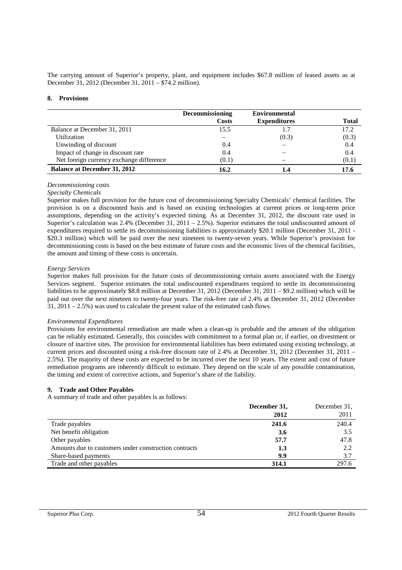The carrying amount of Superior's property, plant, and equipment includes \$67.8 million of leased assets as at December 31, 2012 (December 31, 2011 – \$74.2 million).

#### **8. Provisions**

|                                          | <b>Decommissioning</b> | <b>Environmental</b> |              |
|------------------------------------------|------------------------|----------------------|--------------|
|                                          | Costs                  | <b>Expenditures</b>  | <b>Total</b> |
| Balance at December 31, 2011             | 15.5                   |                      | 17.2         |
| Utilization                              |                        | (0.3)                | (0.3)        |
| Unwinding of discount                    | 0.4                    |                      | 0.4          |
| Impact of change in discount rate        | 0.4                    |                      | 0.4          |
| Net foreign currency exchange difference | (0.1)                  |                      | (0.1)        |
| <b>Balance at December 31, 2012</b>      | 16.2                   |                      | 17.6         |

#### *Decommissioning costs*

#### *Specialty Chemicals*

Superior makes full provision for the future cost of decommissioning Specialty Chemicals' chemical facilities. The provision is on a discounted basis and is based on existing technologies at current prices or long-term price assumptions, depending on the activity's expected timing. As at December 31, 2012, the discount rate used in Superior's calculation was 2.4% (December 31, 2011 – 2.5%). Superior estimates the total undiscounted amount of expenditures required to settle its decommissioning liabilities is approximately \$20.1 million (December 31, 2011 - \$20.3 million) which will be paid over the next nineteen to twenty-seven years. While Superior's provision for decommissioning costs is based on the best estimate of future costs and the economic lives of the chemical facilities, the amount and timing of these costs is uncertain.

#### *Energy Services*

Superior makes full provision for the future costs of decommissioning certain assets associated with the Energy Services segment. Superior estimates the total undiscounted expenditures required to settle its decommissioning liabilities to be approximately \$8.8 million at December 31, 2012 (December 31, 2011 – \$9.2 million) which will be paid out over the next nineteen to twenty-four years. The risk-free rate of 2.4% at December 31, 2012 (December 31, 2011 – 2.5%) was used to calculate the present value of the estimated cash flows.

#### *Environmental Expenditures*

Provisions for environmental remediation are made when a clean-up is probable and the amount of the obligation can be reliably estimated. Generally, this coincides with commitment to a formal plan or, if earlier, on divestment or closure of inactive sites. The provision for environmental liabilities has been estimated using existing technology, at current prices and discounted using a risk-free discount rate of 2.4% at December 31, 2012 (December 31, 2011 – 2.5%). The majority of these costs are expected to be incurred over the next 10 years. The extent and cost of future remediation programs are inherently difficult to estimate. They depend on the scale of any possible contamination, the timing and extent of corrective actions, and Superior's share of the liability.

#### **9. Trade and Other Payables**

A summary of trade and other payables is as follows:

|                                                       | December 31, | December 31. |
|-------------------------------------------------------|--------------|--------------|
|                                                       | 2012         | 2011         |
| Trade payables                                        | 241.6        | 240.4        |
| Net benefit obligation                                | 3.6          | 3.5          |
| Other payables                                        | 57.7         | 47.8         |
| Amounts due to customers under construction contracts | 1.3          | 2.2          |
| Share-based payments                                  | 9.9          | 3.7          |
| Trade and other payables                              | 314.1        | 297.6        |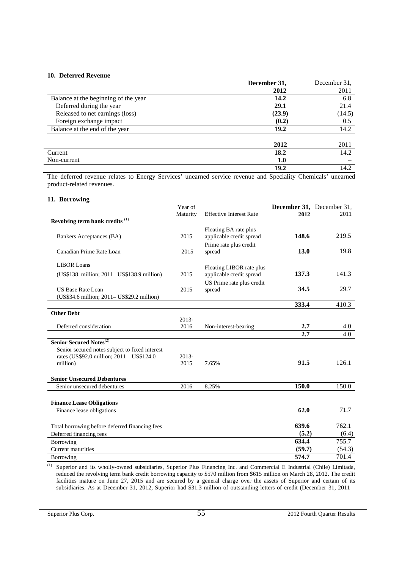#### **10. Deferred Revenue**

|                                      | December 31, | December 31. |
|--------------------------------------|--------------|--------------|
|                                      | 2012         | 2011         |
| Balance at the beginning of the year | 14.2         | 6.8          |
| Deferred during the year             | 29.1         | 21.4         |
| Released to net earnings (loss)      | (23.9)       | (14.5)       |
| Foreign exchange impact              | (0.2)        | 0.5          |
| Balance at the end of the year       | 19.2         | 14.2         |
|                                      | 2012         | 2011         |
| Current                              | 18.2         | 14.2         |
| Non-current                          | 1.0          |              |
|                                      | 19.2         | 14.2         |

The deferred revenue relates to Energy Services' unearned service revenue and Speciality Chemicals' unearned product-related revenues.

#### **11. Borrowing**

|                                                | Year of  |                                                      | December 31, December 31, |        |
|------------------------------------------------|----------|------------------------------------------------------|---------------------------|--------|
|                                                | Maturity | <b>Effective Interest Rate</b>                       | 2012                      | 2011   |
| Revolving term bank credits <sup>(1)</sup>     |          |                                                      |                           |        |
| Bankers Acceptances (BA)                       | 2015     | Floating BA rate plus<br>applicable credit spread    | 148.6                     | 219.5  |
| Canadian Prime Rate Loan                       | 2015     | Prime rate plus credit<br>spread                     | 13.0                      | 19.8   |
| <b>LIBOR Loans</b>                             |          |                                                      |                           |        |
| (US\$138. million; 2011– US\$138.9 million)    | 2015     | Floating LIBOR rate plus<br>applicable credit spread | 137.3                     | 141.3  |
| <b>US Base Rate Loan</b>                       | 2015     | US Prime rate plus credit<br>spread                  | 34.5                      | 29.7   |
| (US\$34.6 million; 2011– US\$29.2 million)     |          |                                                      | 333.4                     | 410.3  |
| <b>Other Debt</b>                              |          |                                                      |                           |        |
|                                                | 2013-    |                                                      |                           |        |
| Deferred consideration                         | 2016     | Non-interest-bearing                                 | 2.7                       | 4.0    |
|                                                |          |                                                      | 2.7                       | 4.0    |
| Senior Secured Notes <sup>(2)</sup>            |          |                                                      |                           |        |
| Senior secured notes subject to fixed interest |          |                                                      |                           |        |
| rates (US\$92.0 million; 2011 - US\$124.0      | 2013-    |                                                      |                           |        |
| million)                                       | 2015     | 7.65%                                                | 91.5                      | 126.1  |
| <b>Senior Unsecured Debentures</b>             |          |                                                      |                           |        |
| Senior unsecured debentures                    | 2016     | 8.25%                                                | 150.0                     | 150.0  |
| <b>Finance Lease Obligations</b>               |          |                                                      |                           |        |
| Finance lease obligations                      |          |                                                      | 62.0                      | 71.7   |
|                                                |          |                                                      | 639.6                     | 762.1  |
| Total borrowing before deferred financing fees |          |                                                      |                           |        |
| Deferred financing fees                        |          |                                                      | (5.2)                     | (6.4)  |
| Borrowing                                      |          |                                                      | 634.4                     | 755.7  |
| <b>Current maturities</b>                      |          |                                                      | (59.7)                    | (54.3) |
| Borrowing                                      |          |                                                      | 574.7                     | 701.4  |

(1) Superior and its wholly-owned subsidiaries, Superior Plus Financing Inc. and Commercial E Industrial (Chile) Limitada, reduced the revolving term bank credit borrowing capacity to \$570 million from \$615 million on March 28, 2012. The credit facilities mature on June 27, 2015 and are secured by a general charge over the assets of Superior and certain of its subsidiaries. As at December 31, 2012, Superior had \$31.3 million of outstanding letters of credit (December 31, 2011 –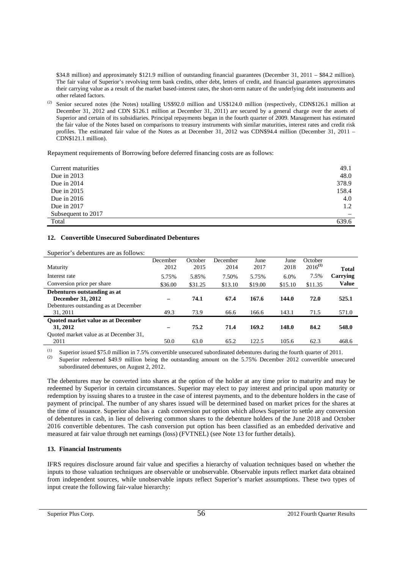\$34.8 million) and approximately \$121.9 million of outstanding financial guarantees (December 31, 2011 – \$84.2 million). The fair value of Superior's revolving term bank credits, other debt, letters of credit, and financial guarantees approximates their carrying value as a result of the market based-interest rates, the short-term nature of the underlying debt instruments and other related factors.

Senior secured notes (the Notes) totalling US\$92.0 million and US\$124.0 million (respectively, CDN\$126.1 million at December 31, 2012 and CDN \$126.1 million at December 31, 2011) are secured by a general charge over the assets of Superior and certain of its subsidiaries. Principal repayments began in the fourth quarter of 2009. Management has estimated the fair value of the Notes based on comparisons to treasury instruments with similar maturities, interest rates and credit risk profiles. The estimated fair value of the Notes as at December 31, 2012 was CDN\$94.4 million (December 31, 2011 – CDN\$121.1 million).

Repayment requirements of Borrowing before deferred financing costs are as follows:

| Current maturities | 49.1  |
|--------------------|-------|
| Due in $2013$      | 48.0  |
| Due in $2014$      | 378.9 |
| Due in $2015$      | 158.4 |
| Due in $2016$      | 4.0   |
| Due in $2017$      | 1.2   |
| Subsequent to 2017 |       |
| Total              | 639.6 |

#### **12. Convertible Unsecured Subordinated Debentures**

Superior's debentures are as follows:

| Maturity                                                 | December<br>2012         | October<br>2015 | December<br>2014 | June<br>2017 | June<br>2018 | October<br>$2016^{(1)}$ | <b>Total</b> |
|----------------------------------------------------------|--------------------------|-----------------|------------------|--------------|--------------|-------------------------|--------------|
| Interest rate                                            | 5.75%                    | 5.85%           | 7.50%            | 5.75%        | 6.0%         | 7.5%                    | Carrying     |
| Conversion price per share                               | \$36.00                  | \$31.25         | \$13.10          | \$19.00      | \$15.10      | \$11.35                 | <b>Value</b> |
| Debentures outstanding as at<br><b>December 31, 2012</b> | $\overline{\phantom{0}}$ | 74.1            | 67.4             | 167.6        | 144.0        | 72.0                    | 525.1        |
| Debentures outstanding as at December<br>31, 2011        | 49.3                     | 73.9            | 66.6             | 166.6        | 143.1        | 71.5                    | 571.0        |
| <b>Ouoted market value as at December</b><br>31, 2012    | -                        | 75.2            | 71.4             | 169.2        | 148.0        | 84.2                    | 548.0        |
| Quoted market value as at December 31,<br>2011           | 50.0                     | 63.0            | 65.2             | 122.5        | 105.6        | 62.3                    | 468.6        |

(1) Superior issued \$75.0 million in 7.5% convertible unsecured subordinated debentures during the fourth quarter of 2011.

Superior redeemed \$49.9 million being the outstanding amount on the 5.75% December 2012 convertible unsecured subordinated debentures, on August 2, 2012.

The debentures may be converted into shares at the option of the holder at any time prior to maturity and may be redeemed by Superior in certain circumstances. Superior may elect to pay interest and principal upon maturity or redemption by issuing shares to a trustee in the case of interest payments, and to the debenture holders in the case of payment of principal. The number of any shares issued will be determined based on market prices for the shares at the time of issuance. Superior also has a cash conversion put option which allows Superior to settle any conversion of debentures in cash, in lieu of delivering common shares to the debenture holders of the June 2018 and October 2016 convertible debentures. The cash conversion put option has been classified as an embedded derivative and measured at fair value through net earnings (loss) (FVTNEL) (see Note 13 for further details).

#### **13. Financial Instruments**

IFRS requires disclosure around fair value and specifies a hierarchy of valuation techniques based on whether the inputs to those valuation techniques are observable or unobservable. Observable inputs reflect market data obtained from independent sources, while unobservable inputs reflect Superior's market assumptions. These two types of input create the following fair-value hierarchy: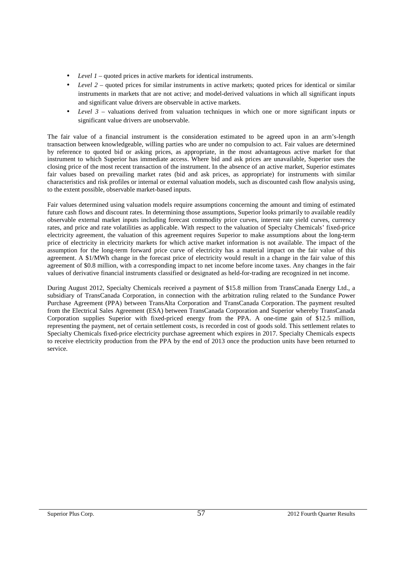- *Level 1* quoted prices in active markets for identical instruments.
- *Level 2* quoted prices for similar instruments in active markets; quoted prices for identical or similar instruments in markets that are not active; and model-derived valuations in which all significant inputs and significant value drivers are observable in active markets.
- *Level 3* valuations derived from valuation techniques in which one or more significant inputs or significant value drivers are unobservable.

The fair value of a financial instrument is the consideration estimated to be agreed upon in an arm's-length transaction between knowledgeable, willing parties who are under no compulsion to act. Fair values are determined by reference to quoted bid or asking prices, as appropriate, in the most advantageous active market for that instrument to which Superior has immediate access. Where bid and ask prices are unavailable, Superior uses the closing price of the most recent transaction of the instrument. In the absence of an active market, Superior estimates fair values based on prevailing market rates (bid and ask prices, as appropriate) for instruments with similar characteristics and risk profiles or internal or external valuation models, such as discounted cash flow analysis using, to the extent possible, observable market-based inputs.

Fair values determined using valuation models require assumptions concerning the amount and timing of estimated future cash flows and discount rates. In determining those assumptions, Superior looks primarily to available readily observable external market inputs including forecast commodity price curves, interest rate yield curves, currency rates, and price and rate volatilities as applicable. With respect to the valuation of Specialty Chemicals' fixed-price electricity agreement, the valuation of this agreement requires Superior to make assumptions about the long-term price of electricity in electricity markets for which active market information is not available. The impact of the assumption for the long-term forward price curve of electricity has a material impact on the fair value of this agreement. A \$1/MWh change in the forecast price of electricity would result in a change in the fair value of this agreement of \$0.8 million, with a corresponding impact to net income before income taxes. Any changes in the fair values of derivative financial instruments classified or designated as held-for-trading are recognized in net income.

During August 2012, Specialty Chemicals received a payment of \$15.8 million from TransCanada Energy Ltd., a subsidiary of TransCanada Corporation, in connection with the arbitration ruling related to the Sundance Power Purchase Agreement (PPA) between TransAlta Corporation and TransCanada Corporation. The payment resulted from the Electrical Sales Agreement (ESA) between TransCanada Corporation and Superior whereby TransCanada Corporation supplies Superior with fixed-priced energy from the PPA. A one-time gain of \$12.5 million, representing the payment, net of certain settlement costs, is recorded in cost of goods sold. This settlement relates to Specialty Chemicals fixed-price electricity purchase agreement which expires in 2017. Specialty Chemicals expects to receive electricity production from the PPA by the end of 2013 once the production units have been returned to service.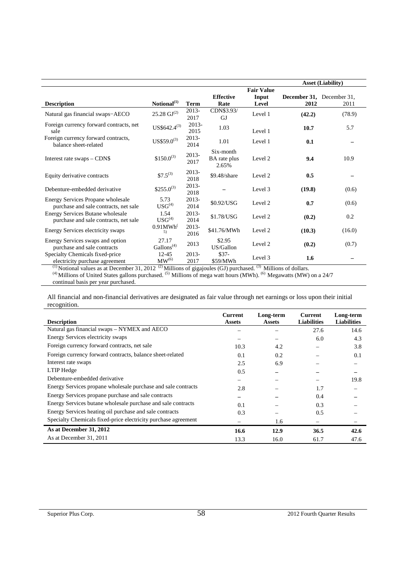|                                                                                   |                                            |               |                                    |                   | <b>Asset (Liability)</b>         |        |  |
|-----------------------------------------------------------------------------------|--------------------------------------------|---------------|------------------------------------|-------------------|----------------------------------|--------|--|
|                                                                                   |                                            |               |                                    | <b>Fair Value</b> |                                  |        |  |
|                                                                                   |                                            |               | <b>Effective</b>                   | Input             | <b>December 31, December 31,</b> |        |  |
| <b>Description</b>                                                                | Notional <sup>(1)</sup>                    | <b>Term</b>   | Rate                               | Level             | 2012                             | 2011   |  |
| Natural gas financial swaps-AECO                                                  | $25.28 \text{ GJ}^{(2)}$                   | 2013-<br>2017 | CDN\$3.93/<br>GJ                   | Level 1           | (42.2)                           | (78.9) |  |
| Foreign currency forward contracts, net<br>sale                                   | US\$642.4(3)                               | 2013-<br>2015 | 1.03                               | Level 1           | 10.7                             | 5.7    |  |
| Foreign currency forward contracts,<br>balance sheet-related                      | $US$59.0^{(3)}$                            | 2013-<br>2014 | 1.01                               | Level 1           | 0.1                              |        |  |
| Interest rate swaps $-$ CDN\$                                                     | $$150.0^{(3)}$                             | 2013-<br>2017 | Six-month<br>BA rate plus<br>2.65% | Level 2           | 9.4                              | 10.9   |  |
| Equity derivative contracts                                                       | $$7.5^{(3)}$                               | 2013-<br>2018 | $$9.48$ /share                     | Level 2           | 0.5                              |        |  |
| Debenture-embedded derivative                                                     | $$255.0^{(3)}$$                            | 2013-<br>2018 |                                    | Level 3           | (19.8)                           | (0.6)  |  |
| <b>Energy Services Propane wholesale</b><br>purchase and sale contracts, net sale | 5.73<br>$USG^{(4)}$                        | 2013-<br>2014 | \$0.92/USG                         | Level 2           | 0.7                              | (0.6)  |  |
| <b>Energy Services Butane wholesale</b><br>purchase and sale contracts, net sale  | 1.54<br>USG <sup>(4)</sup>                 | 2013-<br>2014 | \$1.78/USG                         | Level 2           | (0.2)                            | 0.2    |  |
| Energy Services electricity swaps                                                 | $0.91$ MWh <sup><math>(</math></sup><br>5) | 2013-<br>2016 | \$41.76/MWh                        | Level 2           | (10.3)                           | (16.0) |  |
| Energy Services swaps and option<br>purchase and sale contracts                   | 27.17<br>Gallons <sup>(4)</sup>            | 2013          | \$2.95<br>US/Gallon                | Level 2           | (0.2)                            | (0.7)  |  |
| Specialty Chemicals fixed-price<br>electricity purchase agreement                 | $12 - 45$<br>MW <sup>(6)</sup>             | 2013-<br>2017 | $$37-$<br>\$59/MWh                 | Level 3           | 1.6                              |        |  |

<sup>(1)</sup> Notional values as at December 31, 2012<sup>(2)</sup> Millions of gigajoules (GJ) purchased. <sup>(3)</sup> Millions of dollars.

<sup>(4)</sup> Millions of United States gallons purchased. <sup>(5)</sup> Millions of mega watt hours (MWh). <sup>(6)</sup> Megawatts (MW) on a 24/7 continual basis per year purchased.

All financial and non-financial derivatives are designated as fair value through net earnings or loss upon their initial recognition.

| <b>Description</b>                                             | <b>Current</b><br><b>Assets</b> | Long-term<br><b>Assets</b> | <b>Current</b><br><b>Liabilities</b> | Long-term<br><b>Liabilities</b> |
|----------------------------------------------------------------|---------------------------------|----------------------------|--------------------------------------|---------------------------------|
| Natural gas financial swaps - NYMEX and AECO                   |                                 |                            | 27.6                                 | 14.6                            |
| Energy Services electricity swaps                              |                                 |                            | 6.0                                  | 4.3                             |
| Foreign currency forward contracts, net sale                   | 10.3                            | 4.2                        |                                      | 3.8                             |
| Foreign currency forward contracts, balance sheet-related      | 0.1                             | 0.2                        |                                      | 0.1                             |
| Interest rate swaps                                            | 2.5                             | 6.9                        |                                      |                                 |
| LTIP Hedge                                                     | 0.5                             |                            |                                      |                                 |
| Debenture-embedded derivative                                  |                                 |                            |                                      | 19.8                            |
| Energy Services propane wholesale purchase and sale contracts  | 2.8                             |                            | 1.7                                  |                                 |
| Energy Services propane purchase and sale contracts            |                                 |                            | 0.4                                  |                                 |
| Energy Services butane wholesale purchase and sale contracts   | 0.1                             |                            | 0.3                                  |                                 |
| Energy Services heating oil purchase and sale contracts        | 0.3                             |                            | 0.5                                  |                                 |
| Specialty Chemicals fixed-price electricity purchase agreement |                                 | 1.6                        |                                      |                                 |
| As at December 31, 2012                                        | 16.6                            | 12.9                       | 36.5                                 | 42.6                            |
| As at December 31, 2011                                        | 13.3                            | 16.0                       | 61.7                                 | 47.6                            |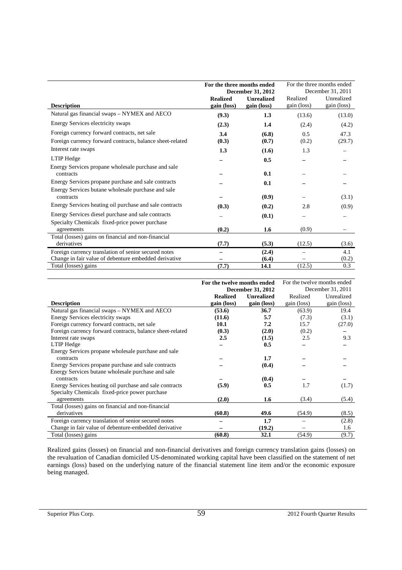|                                                                  | For the three months ended |                          |             | For the three months ended |
|------------------------------------------------------------------|----------------------------|--------------------------|-------------|----------------------------|
|                                                                  |                            | <b>December 31, 2012</b> |             | December 31, 2011          |
|                                                                  | <b>Realized</b>            | <b>Unrealized</b>        | Realized    | Unrealized                 |
| <b>Description</b>                                               | gain (loss)                | gain (loss)              | gain (loss) | gain (loss)                |
| Natural gas financial swaps – NYMEX and AECO                     | (9.3)                      | 1.3                      | (13.6)      | (13.0)                     |
| Energy Services electricity swaps                                | (2.3)                      | 1.4                      | (2.4)       | (4.2)                      |
| Foreign currency forward contracts, net sale                     | 3.4                        | (6.8)                    | 0.5         | 47.3                       |
| Foreign currency forward contracts, balance sheet-related        | (0.3)                      | (0.7)                    | (0.2)       | (29.7)                     |
| Interest rate swaps                                              | 1.3                        | (1.6)                    | 1.3         |                            |
| LTIP Hedge                                                       |                            | 0.5                      |             |                            |
| Energy Services propane wholesale purchase and sale<br>contracts |                            | 0.1                      |             |                            |
| Energy Services propane purchase and sale contracts              |                            | 0.1                      |             |                            |
| Energy Services butane wholesale purchase and sale<br>contracts  |                            | (0.9)                    |             | (3.1)                      |
| Energy Services heating oil purchase and sale contracts          | (0.3)                      | (0.2)                    | 2.8         | (0.9)                      |
| Energy Services diesel purchase and sale contracts               |                            | (0.1)                    |             |                            |
| Specialty Chemicals fixed-price power purchase                   |                            |                          |             |                            |
| agreements                                                       | (0.2)                      | 1.6                      | (0.9)       |                            |
| Total (losses) gains on financial and non-financial              |                            |                          |             |                            |
| derivatives                                                      | (7.7)                      | (5.3)                    | (12.5)      | (3.6)                      |
| Foreign currency translation of senior secured notes             |                            | (2.4)                    |             | 4.1                        |
| Change in fair value of debenture embedded derivative            |                            | (6.4)                    |             | (0.2)                      |
| Total (losses) gains                                             | (7.7)                      | 14.1                     | (12.5)      | 0.3                        |

|                                                           | For the twelve months ended |                   | For the twelve months ended |                   |
|-----------------------------------------------------------|-----------------------------|-------------------|-----------------------------|-------------------|
|                                                           | <b>December 31, 2012</b>    |                   |                             | December 31, 2011 |
|                                                           | <b>Realized</b>             | <b>Unrealized</b> | Realized                    | Unrealized        |
| <b>Description</b>                                        | gain (loss)                 | gain (loss)       | gain (loss)                 | gain (loss)       |
| Natural gas financial swaps - NYMEX and AECO              | (53.6)                      | 36.7              | (63.9)                      | 19.4              |
| Energy Services electricity swaps                         | (11.6)                      | 5.7               | (7.3)                       | (3.1)             |
| Foreign currency forward contracts, net sale              | 10.1                        | 7.2               | 15.7                        | (27.0)            |
| Foreign currency forward contracts, balance sheet-related | (0.3)                       | (2.0)             | (0.2)                       |                   |
| Interest rate swaps                                       | 2.5                         | (1.5)             | 2.5                         | 9.3               |
| LTIP Hedge                                                |                             | 0.5               |                             |                   |
| Energy Services propane wholesale purchase and sale       |                             |                   |                             |                   |
| contracts                                                 |                             | 1.7               |                             |                   |
| Energy Services propane purchase and sale contracts       |                             | (0.4)             |                             |                   |
| Energy Services butane wholesale purchase and sale        |                             |                   |                             |                   |
| contracts                                                 |                             | (0.4)             |                             |                   |
| Energy Services heating oil purchase and sale contracts   | (5.9)                       | 0.5               | 1.7                         | (1.7)             |
| Specialty Chemicals fixed-price power purchase            |                             |                   |                             |                   |
| agreements                                                | (2.0)                       | 1.6               | (3.4)                       | (5.4)             |
| Total (losses) gains on financial and non-financial       |                             |                   |                             |                   |
| derivatives                                               | (60.8)                      | 49.6              | (54.9)                      | (8.5)             |
| Foreign currency translation of senior secured notes      |                             | 1.7               |                             | (2.8)             |
| Change in fair value of debenture-embedded derivative     |                             | (19.2)            |                             | 1.6               |
| Total (losses) gains                                      | (60.8)                      | 32.1              | (54.9)                      | (9.7)             |

Realized gains (losses) on financial and non-financial derivatives and foreign currency translation gains (losses) on the revaluation of Canadian domiciled US-denominated working capital have been classified on the statement of net earnings (loss) based on the underlying nature of the financial statement line item and/or the economic exposure being managed.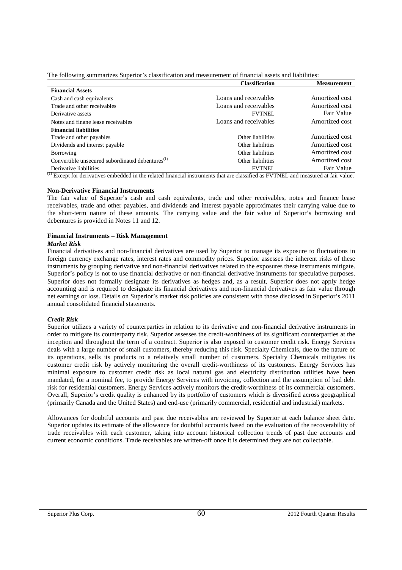|  |  |  | The following summarizes Superior's classification and measurement of financial assets and liabilities: |
|--|--|--|---------------------------------------------------------------------------------------------------------|
|  |  |  |                                                                                                         |

|                                                                                                                                               | <b>Classification</b> | <b>Measurement</b> |
|-----------------------------------------------------------------------------------------------------------------------------------------------|-----------------------|--------------------|
| <b>Financial Assets</b>                                                                                                                       |                       |                    |
| Cash and cash equivalents                                                                                                                     | Loans and receivables | Amortized cost     |
| Trade and other receivables                                                                                                                   | Loans and receivables | Amortized cost     |
| Derivative assets                                                                                                                             | <b>FVTNEL</b>         | Fair Value         |
| Notes and finane lease receivables                                                                                                            | Loans and receivables | Amortized cost     |
| <b>Financial liabilities</b>                                                                                                                  |                       |                    |
| Trade and other payables                                                                                                                      | Other liabilities     | Amortized cost     |
| Dividends and interest payable                                                                                                                | Other liabilities     | Amortized cost     |
| Borrowing                                                                                                                                     | Other liabilities     | Amortized cost     |
| Convertible unsecured subordinated debentures <sup>(1)</sup>                                                                                  | Other liabilities     | Amortized cost     |
| Derivative liabilities                                                                                                                        | <b>FVTNEL</b>         | Fair Value         |
| $\overline{a}$ Execut for derivatives embedded in the related financial instruments that are alsocitied as EVTNEI, and measured at foir value |                       |                    |

Except for derivatives embedded in the related financial instruments that are classified as FVTNEL and measured at fair value.

#### **Non-Derivative Financial Instruments**

The fair value of Superior's cash and cash equivalents, trade and other receivables, notes and finance lease receivables, trade and other payables, and dividends and interest payable approximates their carrying value due to the short-term nature of these amounts. The carrying value and the fair value of Superior's borrowing and debentures is provided in Notes 11 and 12.

#### **Financial Instruments – Risk Management**  *Market Risk*

Financial derivatives and non-financial derivatives are used by Superior to manage its exposure to fluctuations in foreign currency exchange rates, interest rates and commodity prices. Superior assesses the inherent risks of these instruments by grouping derivative and non-financial derivatives related to the exposures these instruments mitigate. Superior's policy is not to use financial derivative or non-financial derivative instruments for speculative purposes. Superior does not formally designate its derivatives as hedges and, as a result, Superior does not apply hedge accounting and is required to designate its financial derivatives and non-financial derivatives as fair value through net earnings or loss. Details on Superior's market risk policies are consistent with those disclosed in Superior's 2011 annual consolidated financial statements.

#### *Credit Risk*

Superior utilizes a variety of counterparties in relation to its derivative and non-financial derivative instruments in order to mitigate its counterparty risk. Superior assesses the credit-worthiness of its significant counterparties at the inception and throughout the term of a contract. Superior is also exposed to customer credit risk. Energy Services deals with a large number of small customers, thereby reducing this risk. Specialty Chemicals, due to the nature of its operations, sells its products to a relatively small number of customers. Specialty Chemicals mitigates its customer credit risk by actively monitoring the overall credit-worthiness of its customers. Energy Services has minimal exposure to customer credit risk as local natural gas and electricity distribution utilities have been mandated, for a nominal fee, to provide Energy Services with invoicing, collection and the assumption of bad debt risk for residential customers. Energy Services actively monitors the credit-worthiness of its commercial customers. Overall, Superior's credit quality is enhanced by its portfolio of customers which is diversified across geographical (primarily Canada and the United States) and end-use (primarily commercial, residential and industrial) markets.

Allowances for doubtful accounts and past due receivables are reviewed by Superior at each balance sheet date. Superior updates its estimate of the allowance for doubtful accounts based on the evaluation of the recoverability of trade receivables with each customer, taking into account historical collection trends of past due accounts and current economic conditions. Trade receivables are written-off once it is determined they are not collectable.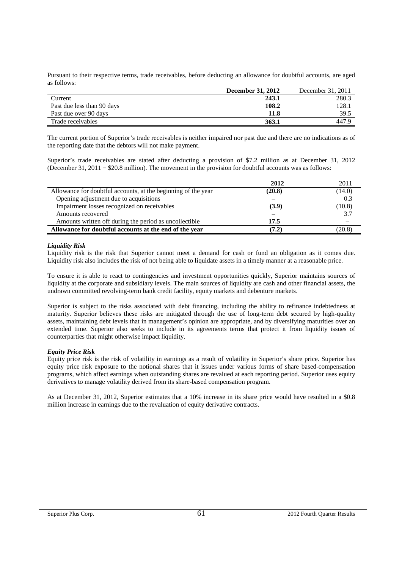Pursuant to their respective terms, trade receivables, before deducting an allowance for doubtful accounts, are aged as follows:

|                            | <b>December 31, 2012</b> | December 31, 2011 |
|----------------------------|--------------------------|-------------------|
| Current                    | 243.1                    | 280.3             |
| Past due less than 90 days | 108.2                    | 128.              |
| Past due over 90 days      | 11.8                     | 39.5              |
| Trade receivables          | 363.1                    | 447.9             |

The current portion of Superior's trade receivables is neither impaired nor past due and there are no indications as of the reporting date that the debtors will not make payment.

Superior's trade receivables are stated after deducting a provision of \$7.2 million as at December 31, 2012 (December 31, 2011 − \$20.8 million). The movement in the provision for doubtful accounts was as follows:

|                                                               | 2012   | 2011   |
|---------------------------------------------------------------|--------|--------|
| Allowance for doubtful accounts, at the beginning of the year | (20.8) | (14.0) |
| Opening adjustment due to acquisitions                        |        | 0.3    |
| Impairment losses recognized on receivables                   | (3.9)  | (10.8) |
| Amounts recovered                                             |        | 3.7    |
| Amounts written off during the period as uncollectible        | 17.5   |        |
| Allowance for doubtful accounts at the end of the year        | (7.2)  | (20.8) |

#### *Liquidity Risk*

Liquidity risk is the risk that Superior cannot meet a demand for cash or fund an obligation as it comes due. Liquidity risk also includes the risk of not being able to liquidate assets in a timely manner at a reasonable price.

To ensure it is able to react to contingencies and investment opportunities quickly, Superior maintains sources of liquidity at the corporate and subsidiary levels. The main sources of liquidity are cash and other financial assets, the undrawn committed revolving-term bank credit facility, equity markets and debenture markets.

Superior is subject to the risks associated with debt financing, including the ability to refinance indebtedness at maturity. Superior believes these risks are mitigated through the use of long-term debt secured by high-quality assets, maintaining debt levels that in management's opinion are appropriate, and by diversifying maturities over an extended time. Superior also seeks to include in its agreements terms that protect it from liquidity issues of counterparties that might otherwise impact liquidity.

#### *Equity Price Risk*

Equity price risk is the risk of volatility in earnings as a result of volatility in Superior's share price. Superior has equity price risk exposure to the notional shares that it issues under various forms of share based-compensation programs, which affect earnings when outstanding shares are revalued at each reporting period. Superior uses equity derivatives to manage volatility derived from its share-based compensation program.

As at December 31, 2012, Superior estimates that a 10% increase in its share price would have resulted in a \$0.8 million increase in earnings due to the revaluation of equity derivative contracts.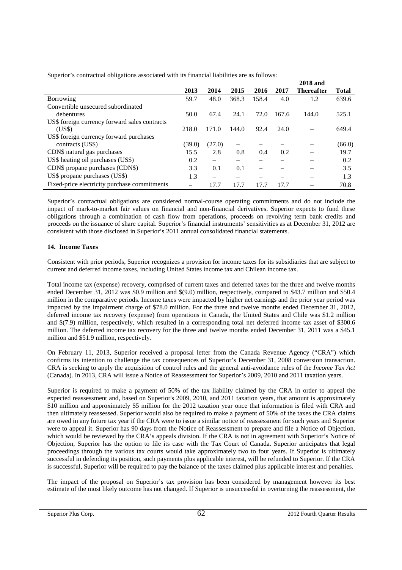|                                               |        |                          |                          |       |       | <b>2018</b> and   |              |
|-----------------------------------------------|--------|--------------------------|--------------------------|-------|-------|-------------------|--------------|
|                                               | 2013   | 2014                     | 2015                     | 2016  | 2017  | <b>Thereafter</b> | <b>Total</b> |
| Borrowing                                     | 59.7   | 48.0                     | 368.3                    | 158.4 | 4.0   | 1.2               | 639.6        |
| Convertible unsecured subordinated            |        |                          |                          |       |       |                   |              |
| debentures                                    | 50.0   | 67.4                     | 24.1                     | 72.0  | 167.6 | 144.0             | 525.1        |
| US\$ foreign currency forward sales contracts |        |                          |                          |       |       |                   |              |
| (US\$)                                        | 218.0  | 171.0                    | 144.0                    | 92.4  | 24.0  |                   | 649.4        |
| US\$ foreign currency forward purchases       |        |                          |                          |       |       |                   |              |
| contracts (US\$)                              | (39.0) | (27.0)                   | $\overline{\phantom{0}}$ |       |       |                   | (66.0)       |
| CDN\$ natural gas purchases                   | 15.5   | 2.8                      | 0.8                      | 0.4   | 0.2   |                   | 19.7         |
| US\$ heating oil purchases (US\$)             | 0.2    | $\overline{\phantom{0}}$ |                          |       |       |                   | 0.2          |
| CDN\$ propane purchases (CDN\$)               | 3.3    | 0.1                      | 0.1                      |       |       |                   | 3.5          |
| US\$ propane purchases (US\$)                 | 1.3    | $\overline{\phantom{m}}$ |                          |       |       |                   | 1.3          |
| Fixed-price electricity purchase commitments  |        | 17.7                     | 17.7                     | 17.7  | 17.7  |                   | 70.8         |

Superior's contractual obligations associated with its financial liabilities are as follows:

Superior's contractual obligations are considered normal-course operating commitments and do not include the impact of mark-to-market fair values on financial and non-financial derivatives. Superior expects to fund these obligations through a combination of cash flow from operations, proceeds on revolving term bank credits and proceeds on the issuance of share capital. Superior's financial instruments' sensitivities as at December 31, 2012 are consistent with those disclosed in Superior's 2011 annual consolidated financial statements.

### **14. Income Taxes**

Consistent with prior periods, Superior recognizes a provision for income taxes for its subsidiaries that are subject to current and deferred income taxes, including United States income tax and Chilean income tax.

Total income tax (expense) recovery, comprised of current taxes and deferred taxes for the three and twelve months ended December 31, 2012 was \$0.9 million and \$(9.0) million, respectively, compared to \$43.7 million and \$50.4 million in the comparative periods. Income taxes were impacted by higher net earnings and the prior year period was impacted by the impairment charge of \$78.0 million. For the three and twelve months ended December 31, 2012, deferred income tax recovery (expense) from operations in Canada, the United States and Chile was \$1.2 million and \$(7.9) million, respectively, which resulted in a corresponding total net deferred income tax asset of \$300.6 million. The deferred income tax recovery for the three and twelve months ended December 31, 2011 was a \$45.1 million and \$51.9 million, respectively.

On February 11, 2013, Superior received a proposal letter from the Canada Revenue Agency ("CRA") which confirms its intention to challenge the tax consequences of Superior's December 31, 2008 conversion transaction. CRA is seeking to apply the acquisition of control rules and the general anti-avoidance rules of the *Income Tax Act*  (Canada). In 2013, CRA will issue a Notice of Reassessment for Superior's 2009, 2010 and 2011 taxation years.

Superior is required to make a payment of 50% of the tax liability claimed by the CRA in order to appeal the expected reassessment and, based on Superior's 2009, 2010, and 2011 taxation years, that amount is approximately \$10 million and approximately \$5 million for the 2012 taxation year once that information is filed with CRA and then ultimately reassessed. Superior would also be required to make a payment of 50% of the taxes the CRA claims are owed in any future tax year if the CRA were to issue a similar notice of reassessment for such years and Superior were to appeal it. Superior has 90 days from the Notice of Reassessment to prepare and file a Notice of Objection, which would be reviewed by the CRA's appeals division. If the CRA is not in agreement with Superior's Notice of Objection, Superior has the option to file its case with the Tax Court of Canada. Superior anticipates that legal proceedings through the various tax courts would take approximately two to four years. If Superior is ultimately successful in defending its position, such payments plus applicable interest, will be refunded to Superior. If the CRA is successful, Superior will be required to pay the balance of the taxes claimed plus applicable interest and penalties.

The impact of the proposal on Superior's tax provision has been considered by management however its best estimate of the most likely outcome has not changed. If Superior is unsuccessful in overturning the reassessment, the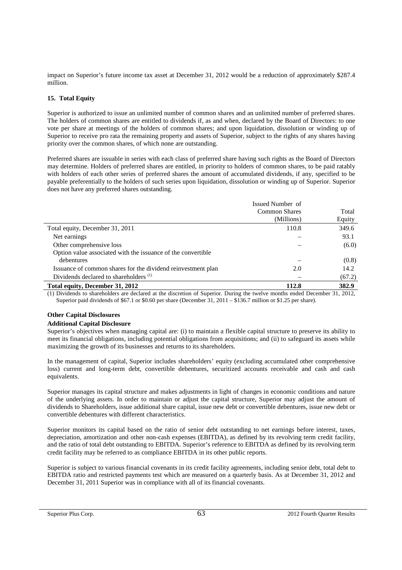impact on Superior's future income tax asset at December 31, 2012 would be a reduction of approximately \$287.4 million.

#### **15. Total Equity**

Superior is authorized to issue an unlimited number of common shares and an unlimited number of preferred shares. The holders of common shares are entitled to dividends if, as and when, declared by the Board of Directors: to one vote per share at meetings of the holders of common shares; and upon liquidation, dissolution or winding up of Superior to receive pro rata the remaining property and assets of Superior, subject to the rights of any shares having priority over the common shares, of which none are outstanding.

Preferred shares are issuable in series with each class of preferred share having such rights as the Board of Directors may determine. Holders of preferred shares are entitled, in priority to holders of common shares, to be paid ratably with holders of each other series of preferred shares the amount of accumulated dividends, if any, specified to be payable preferentially to the holders of such series upon liquidation, dissolution or winding up of Superior. Superior does not have any preferred shares outstanding.

|                                                              | Issued Number of     |        |
|--------------------------------------------------------------|----------------------|--------|
|                                                              | <b>Common Shares</b> | Total  |
|                                                              | (Millions)           | Equity |
| Total equity, December 31, 2011                              | 110.8                | 349.6  |
| Net earnings                                                 |                      | 93.1   |
| Other comprehensive loss                                     |                      | (6.0)  |
| Option value associated with the issuance of the convertible |                      |        |
| debentures                                                   |                      | (0.8)  |
| Issuance of common shares for the dividend reinvestment plan | 2.0                  | 14.2   |
| Dividends declared to shareholders <sup>(1)</sup>            |                      | (67.2) |
| Total equity, December 31, 2012                              | 112.8                | 382.9  |

(1) Dividends to shareholders are declared at the discretion of Superior. During the twelve months ended December 31, 2012, Superior paid dividends of \$67.1 or \$0.60 per share (December 31, 2011 – \$136.7 million or \$1.25 per share).

#### **Other Capital Disclosures**

#### **Additional Capital Disclosure**

Superior's objectives when managing capital are: (i) to maintain a flexible capital structure to preserve its ability to meet its financial obligations, including potential obligations from acquisitions; and (ii) to safeguard its assets while maximizing the growth of its businesses and returns to its shareholders.

In the management of capital, Superior includes shareholders' equity (excluding accumulated other comprehensive loss) current and long-term debt, convertible debentures, securitized accounts receivable and cash and cash equivalents.

Superior manages its capital structure and makes adjustments in light of changes in economic conditions and nature of the underlying assets. In order to maintain or adjust the capital structure, Superior may adjust the amount of dividends to Shareholders, issue additional share capital, issue new debt or convertible debentures, issue new debt or convertible debentures with different characteristics.

Superior monitors its capital based on the ratio of senior debt outstanding to net earnings before interest, taxes, depreciation, amortization and other non-cash expenses (EBITDA), as defined by its revolving term credit facility, and the ratio of total debt outstanding to EBITDA. Superior's reference to EBITDA as defined by its revolving term credit facility may be referred to as compliance EBITDA in its other public reports.

Superior is subject to various financial covenants in its credit facility agreements, including senior debt, total debt to EBITDA ratio and restricted payments test which are measured on a quarterly basis. As at December 31, 2012 and December 31, 2011 Superior was in compliance with all of its financial covenants.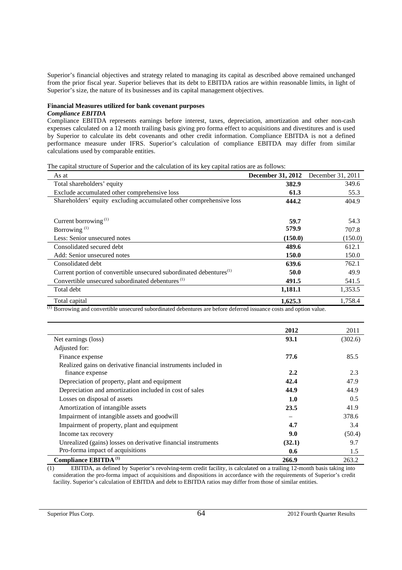Superior's financial objectives and strategy related to managing its capital as described above remained unchanged from the prior fiscal year. Superior believes that its debt to EBITDA ratios are within reasonable limits, in light of Superior's size, the nature of its businesses and its capital management objectives.

#### **Financial Measures utilized for bank covenant purposes** *Compliance EBITDA*

Compliance EBITDA represents earnings before interest, taxes, depreciation, amortization and other non-cash expenses calculated on a 12 month trailing basis giving pro forma effect to acquisitions and divestitures and is used by Superior to calculate its debt covenants and other credit information. Compliance EBITDA is not a defined performance measure under IFRS. Superior's calculation of compliance EBITDA may differ from similar calculations used by comparable entities.

The capital structure of Superior and the calculation of its key capital ratios are as follows:

| As at                                                                           | <b>December 31, 2012</b> | December 31, 2011 |
|---------------------------------------------------------------------------------|--------------------------|-------------------|
| Total shareholders' equity                                                      | 382.9                    | 349.6             |
| Exclude accumulated other comprehensive loss                                    | 61.3                     | 55.3              |
| Shareholders' equity excluding accumulated other comprehensive loss             | 444.2                    | 404.9             |
|                                                                                 |                          |                   |
| Current borrowing $^{(1)}$                                                      | 59.7                     | 54.3              |
| Borrowing <sup>(1)</sup>                                                        | 579.9                    | 707.8             |
| Less: Senior unsecured notes                                                    | (150.0)                  | (150.0)           |
| Consolidated secured debt                                                       | 489.6                    | 612.1             |
| Add: Senior unsecured notes                                                     | 150.0                    | 150.0             |
| Consolidated debt                                                               | 639.6                    | 762.1             |
| Current portion of convertible unsecured subordinated debentures <sup>(1)</sup> | 50.0                     | 49.9              |
| Convertible unsecured subordinated debentures <sup>(1)</sup>                    | 491.5                    | 541.5             |
| Total debt                                                                      | 1,181.1                  | 1,353.5           |
| Total capital                                                                   | 1,625.3                  | 1,758.4           |

(1) Borrowing and convertible unsecured subordinated debentures are before deferred issuance costs and option value.

|                                                                | 2012          | 2011    |
|----------------------------------------------------------------|---------------|---------|
| Net earnings (loss)                                            | 93.1          | (302.6) |
| Adjusted for:                                                  |               |         |
| Finance expense                                                | 77.6          | 85.5    |
| Realized gains on derivative financial instruments included in |               |         |
| finance expense                                                | $2.2^{\circ}$ | 2.3     |
| Depreciation of property, plant and equipment                  | 42.4          | 47.9    |
| Depreciation and amortization included in cost of sales        | 44.9          | 44.9    |
| Losses on disposal of assets                                   | 1.0           | 0.5     |
| Amortization of intangible assets                              | 23.5          | 41.9    |
| Impairment of intangible assets and goodwill                   | —             | 378.6   |
| Impairment of property, plant and equipment                    | 4.7           | 3.4     |
| Income tax recovery                                            | 9.0           | (50.4)  |
| Unrealized (gains) losses on derivative financial instruments  | (32.1)        | 9.7     |
| Pro-forma impact of acquisitions                               | 0.6           | 1.5     |
| Compliance EBITDA <sup>(1)</sup>                               | 266.9         | 263.2   |

(1) EBITDA, as defined by Superior's revolving-term credit facility, is calculated on a trailing 12-month basis taking into consideration the pro-forma impact of acquisitions and dispositions in accordance with the requirements of Superior's credit facility. Superior's calculation of EBITDA and debt to EBITDA ratios may differ from those of similar entities.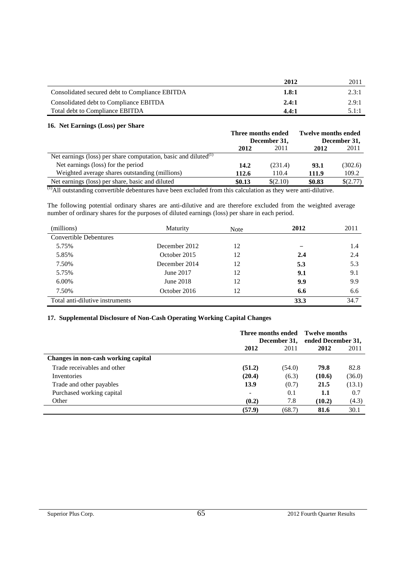|                                                | 2012  | 2011  |
|------------------------------------------------|-------|-------|
| Consolidated secured debt to Compliance EBITDA | 1.8:1 | 2.3:1 |
| Consolidated debt to Compliance EBITDA         | 2.4:1 | 2.9:1 |
| Total debt to Compliance EBITDA                | 4.4:1 | 5.1:1 |

#### **16. Net Earnings (Loss) per Share**

|                                                                    | Three months ended<br>December 31, |          | <b>Twelve months ended</b><br>December 31, |          |
|--------------------------------------------------------------------|------------------------------------|----------|--------------------------------------------|----------|
|                                                                    | 2012                               | 2011     | 2012                                       | 2011     |
| Net earnings (loss) per share computation, basic and diluted $(1)$ |                                    |          |                                            |          |
| Net earnings (loss) for the period                                 | 14.2                               | (231.4)  | 93.1                                       | (302.6)  |
| Weighted average shares outstanding (millions)                     | 112.6                              | 110.4    | 111.9                                      | 109.2    |
| Net earnings (loss) per share, basic and diluted<br>$\overline{}$  | \$0.13                             | \$(2,10) | \$0.83                                     | \$(2.77) |

 $<sup>(1)</sup>$ All outstanding convertible debentures have been excluded from this calculation as they were anti-dilutive.</sup>

The following potential ordinary shares are anti-dilutive and are therefore excluded from the weighted average number of ordinary shares for the purposes of diluted earnings (loss) per share in each period.

| (millions)                      | Maturity      | <b>Note</b> | 2012 | 2011 |
|---------------------------------|---------------|-------------|------|------|
| Convertible Debentures          |               |             |      |      |
| 5.75%                           | December 2012 | 12          |      | 1.4  |
| 5.85%                           | October 2015  | 12          | 2.4  | 2.4  |
| 7.50%                           | December 2014 | 12          | 5.3  | 5.3  |
| 5.75%                           | June 2017     | 12          | 9.1  | 9.1  |
| 6.00%                           | June 2018     | 12          | 9.9  | 9.9  |
| 7.50%                           | October 2016  | 12          | 6.6  | 6.6  |
| Total anti-dilutive instruments |               |             | 33.3 | 34.7 |

### **17. Supplemental Disclosure of Non-Cash Operating Working Capital Changes**

|                                     | Three months ended Twelve months<br>December 31, |        | ended December 31, |        |
|-------------------------------------|--------------------------------------------------|--------|--------------------|--------|
|                                     | 2012                                             | 2011   | 2012               | 2011   |
| Changes in non-cash working capital |                                                  |        |                    |        |
| Trade receivables and other         | (51.2)                                           | (54.0) | 79.8               | 82.8   |
| Inventories                         | (20.4)                                           | (6.3)  | (10.6)             | (36.0) |
| Trade and other payables            | 13.9                                             | (0.7)  | 21.5               | (13.1) |
| Purchased working capital           |                                                  | 0.1    | 1.1                | 0.7    |
| Other                               | (0.2)                                            | 7.8    | (10.2)             | (4.3)  |
|                                     | (57.9)                                           | (68.7) | 81.6               | 30.1   |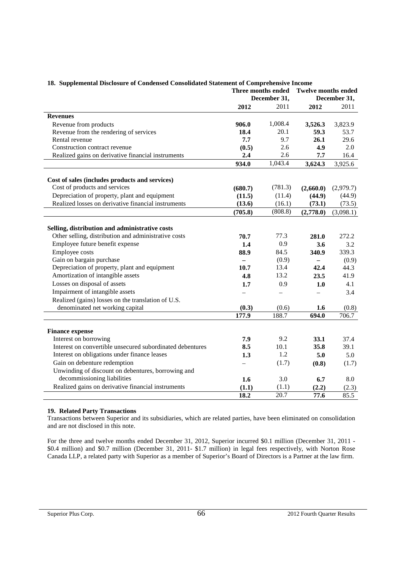|                                                                                   | Three months ended<br>December 31, |             | <b>Twelve months ended</b> | December 31,        |
|-----------------------------------------------------------------------------------|------------------------------------|-------------|----------------------------|---------------------|
|                                                                                   | 2012                               | 2011        | 2012                       | 2011                |
| <b>Revenues</b>                                                                   |                                    |             |                            |                     |
| Revenue from products                                                             | 906.0                              | 1,008.4     | 3,526.3                    | 3,823.9             |
| Revenue from the rendering of services                                            | 18.4                               | 20.1        | 59.3                       | 53.7                |
| Rental revenue                                                                    | 7.7                                | 9.7         | 26.1                       | 29.6                |
| Construction contract revenue                                                     | (0.5)                              | 2.6         | 4.9                        | 2.0                 |
| Realized gains on derivative financial instruments                                | 2.4                                | 2.6         | 7.7                        | 16.4                |
|                                                                                   | 934.0                              | 1,043.4     | 3,624.3                    | 3,925.6             |
| Cost of sales (includes products and services)                                    |                                    |             |                            |                     |
| Cost of products and services                                                     |                                    | (781.3)     |                            |                     |
| Depreciation of property, plant and equipment                                     | (680.7)                            | (11.4)      | (2,660.0)<br>(44.9)        | (2,979.7)<br>(44.9) |
| Realized losses on derivative financial instruments                               | (11.5)<br>(13.6)                   | (16.1)      | (73.1)                     | (73.5)              |
|                                                                                   |                                    | (808.8)     |                            |                     |
|                                                                                   | (705.8)                            |             | (2,778.0)                  | (3,098.1)           |
| Selling, distribution and administrative costs                                    |                                    |             |                            |                     |
| Other selling, distribution and administrative costs                              | 70.7                               | 77.3        | 281.0                      | 272.2               |
| Employee future benefit expense                                                   | 1.4                                | 0.9         | 3.6                        | 3.2                 |
| Employee costs                                                                    | 88.9                               | 84.5        | 340.9                      | 339.3               |
| Gain on bargain purchase                                                          | $\overline{\phantom{0}}$           | (0.9)       | $\overline{\phantom{0}}$   | (0.9)               |
| Depreciation of property, plant and equipment                                     | 10.7                               | 13.4        | 42.4                       | 44.3                |
| Amortization of intangible assets                                                 | 4.8                                | 13.2        | 23.5                       | 41.9                |
| Losses on disposal of assets                                                      | 1.7                                | 0.9         | 1.0                        | 4.1                 |
| Impairment of intangible assets                                                   |                                    |             |                            | 3.4                 |
| Realized (gains) losses on the translation of U.S.                                |                                    |             |                            |                     |
| denominated net working capital                                                   | (0.3)                              | (0.6)       | 1.6                        | (0.8)               |
|                                                                                   | 177.9                              | 188.7       | 694.0                      | 706.7               |
|                                                                                   |                                    |             |                            |                     |
| <b>Finance expense</b>                                                            |                                    |             |                            |                     |
| Interest on borrowing                                                             | 7.9                                | 9.2         | 33.1                       | 37.4                |
| Interest on convertible unsecured subordinated debentures                         | 8.5                                | 10.1<br>1.2 | 35.8                       | 39.1                |
| Interest on obligations under finance leases                                      | 1.3                                |             | 5.0                        | 5.0                 |
| Gain on debenture redemption                                                      |                                    | (1.7)       | (0.8)                      | (1.7)               |
| Unwinding of discount on debentures, borrowing and<br>decommissioning liabilities |                                    |             |                            |                     |
|                                                                                   | 1.6                                | 3.0         | 6.7                        | 8.0                 |
| Realized gains on derivative financial instruments                                | (1.1)                              | (1.1)       | (2.2)                      | (2.3)               |
|                                                                                   | 18.2                               | 20.7        | 77.6                       | 85.5                |

#### **18. Supplemental Disclosure of Condensed Consolidated Statement of Comprehensive Income**

#### **19. Related Party Transactions**

Transactions between Superior and its subsidiaries, which are related parties, have been eliminated on consolidation and are not disclosed in this note.

For the three and twelve months ended December 31, 2012, Superior incurred \$0.1 million (December 31, 2011 - \$0.4 million) and \$0.7 million (December 31, 2011- \$1.7 million) in legal fees respectively, with Norton Rose Canada LLP, a related party with Superior as a member of Superior's Board of Directors is a Partner at the law firm.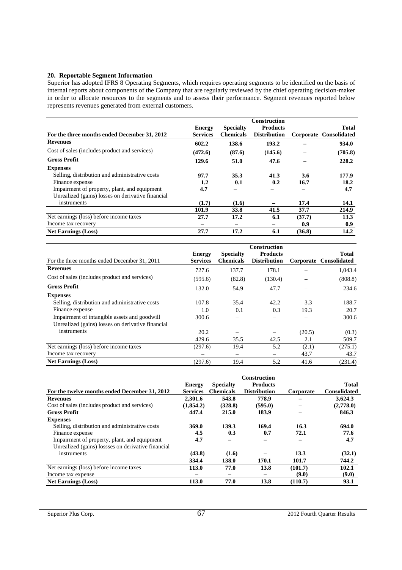#### **20. Reportable Segment Information**

Superior has adopted IFRS 8 Operating Segments, which requires operating segments to be identified on the basis of internal reports about components of the Company that are regularly reviewed by the chief operating decision-maker in order to allocate resources to the segments and to assess their performance. Segment revenues reported below represents revenues generated from external customers.

| For the three months ended December 31, 2012                                                                                                                                                             | <b>Energy</b><br><b>Services</b> | <b>Specialty</b><br>Chemicals | <b>Construction</b><br><b>Products</b><br><b>Distribution</b> |                     | <b>Total</b><br>Corporate Consolidated |
|----------------------------------------------------------------------------------------------------------------------------------------------------------------------------------------------------------|----------------------------------|-------------------------------|---------------------------------------------------------------|---------------------|----------------------------------------|
| <b>Revenues</b>                                                                                                                                                                                          | 602.2                            | 138.6                         | 193.2                                                         |                     | 934.0                                  |
| Cost of sales (includes product and services)                                                                                                                                                            | (472.6)                          | (87.6)                        | (145.6)                                                       |                     | (705.8)                                |
| <b>Gross Profit</b>                                                                                                                                                                                      | 129.6                            | 51.0                          | 47.6                                                          |                     | 228.2                                  |
| <b>Expenses</b><br>Selling, distribution and administrative costs<br>Finance expense<br>Impairment of property, plant, and equipment<br>Unrealized (gains) losses on derivative financial<br>instruments | 97.7<br>$1.2\,$<br>4.7<br>(1.7)  | 35.3<br>0.1<br>(1.6)          | 41.3<br>0.2                                                   | 3.6<br>16.7<br>17.4 | 177.9<br>18.2<br>4.7<br>14.1           |
|                                                                                                                                                                                                          | 101.9                            | 33.8                          | 41.5                                                          | 37.7                | 214.9                                  |
| Net earnings (loss) before income taxes                                                                                                                                                                  | 27.7                             | 17.2                          | 6.1                                                           | (37.7)              | 13.3                                   |
| Income tax recovery                                                                                                                                                                                      | $\overline{\phantom{0}}$         |                               | -                                                             | 0.9                 | 0.9                                    |
| <b>Net Earnings (Loss)</b>                                                                                                                                                                               | 27.7                             | 17.2                          | 6.1                                                           | (36.8)              | 14.2                                   |

|                                                   | <b>Energy</b>   | <b>Specialty</b>               | <b>Products</b>     |        | <b>Total</b>           |
|---------------------------------------------------|-----------------|--------------------------------|---------------------|--------|------------------------|
| For the three months ended December 31, 2011      | <b>Services</b> | <b>Chemicals</b>               | <b>Distribution</b> |        | Corporate Consolidated |
| <b>Revenues</b>                                   | 727.6           | 137.7                          | 178.1               |        | 1,043.4                |
| Cost of sales (includes product and services)     | (595.6)         | (82.8)                         | (130.4)             |        | (808.8)                |
| <b>Gross Profit</b>                               | 132.0           | 54.9                           | 47.7                |        | 234.6                  |
| <b>Expenses</b>                                   |                 |                                |                     |        |                        |
| Selling, distribution and administrative costs    | 107.8           | 35.4                           | 42.2                | 3.3    | 188.7                  |
| Finance expense                                   | 1.0             | 0.1                            | 0.3                 | 19.3   | 20.7                   |
| Impairment of intangible assets and goodwill      | 300.6           |                                |                     |        | 300.6                  |
| Unrealized (gains) losses on derivative financial |                 |                                |                     |        |                        |
| instruments                                       | 20.2            |                                |                     | (20.5) | (0.3)                  |
|                                                   | 429.6           | 35.5                           | 42.5                | 2.1    | 509.7                  |
| Net earnings (loss) before income taxes           | (297.6)         | 19.4                           | 5.2                 | (2.1)  | (275.1)                |
| Income tax recovery                               |                 | $\qquad \qquad \longleftarrow$ | -                   | 43.7   | 43.7                   |
| <b>Net Earnings (Loss)</b>                        | (297.6)         | 19.4                           | 5.2                 | 41.6   | (231.4)                |

|                                                   |                 |                  | <b>Construction</b> |           |                     |
|---------------------------------------------------|-----------------|------------------|---------------------|-----------|---------------------|
|                                                   | <b>Energy</b>   | <b>Specialty</b> | <b>Products</b>     |           | <b>Total</b>        |
| For the twelve months ended December 31, 2012     | <b>Services</b> | <b>Chemicals</b> | <b>Distribution</b> | Corporate | <b>Consolidated</b> |
| <b>Revenues</b>                                   | 2.301.6         | 543.8            | 778.9               |           | 3.624.3             |
| Cost of sales (includes product and services)     | (1,854,2)       | (328.8)          | (595.0)             |           | (2,778.0)           |
| <b>Gross Profit</b>                               | 447.4           | 215.0            | 183.9               |           | 846.3               |
| <b>Expenses</b>                                   |                 |                  |                     |           |                     |
| Selling, distribution and administrative costs    | 369.0           | 139.3            | 169.4               | 16.3      | 694.0               |
| Finance expense                                   | 4.5             | 0.3              | 0.7                 | 72.1      | 77.6                |
| Impairment of property, plant, and equipment      | 4.7             |                  |                     |           | 4.7                 |
| Unrealized (gains) losses on derivative financial |                 |                  |                     |           |                     |
| instruments                                       | (43.8)          | (1.6)            |                     | 13.3      | (32.1)              |
|                                                   | 334.4           | 138.0            | 170.1               | 101.7     | 744.2               |
| Net earnings (loss) before income taxes           | 113.0           | 77.0             | 13.8                | (101.7)   | 102.1               |
| Income tax expense                                |                 | -                | -                   | (9.0)     | (9.0)               |
| <b>Net Earnings (Loss)</b>                        | 113.0           | 77.0             | 13.8                | (110.7)   | 93.1                |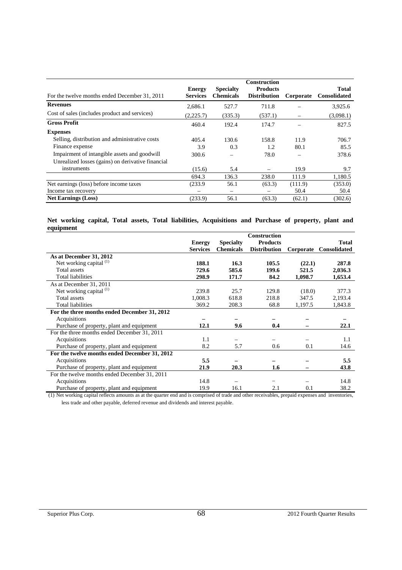|                                                   |                 |                  | <b>Construction</b> |           |                     |
|---------------------------------------------------|-----------------|------------------|---------------------|-----------|---------------------|
|                                                   | <b>Energy</b>   | <b>Specialty</b> | <b>Products</b>     |           | Total               |
| For the twelve months ended December 31, 2011     | <b>Services</b> | <b>Chemicals</b> | <b>Distribution</b> | Corporate | <b>Consolidated</b> |
| <b>Revenues</b>                                   | 2,686.1         | 527.7            | 711.8               |           | 3,925.6             |
| Cost of sales (includes product and services)     | (2,225.7)       | (335.3)          | (537.1)             |           | (3,098.1)           |
| <b>Gross Profit</b>                               | 460.4           | 192.4            | 174.7               |           | 827.5               |
| <b>Expenses</b>                                   |                 |                  |                     |           |                     |
| Selling, distribution and administrative costs    | 405.4           | 130.6            | 158.8               | 11.9      | 706.7               |
| Finance expense                                   | 3.9             | 0.3              | 1.2                 | 80.1      | 85.5                |
| Impairment of intangible assets and goodwill      | 300.6           |                  | 78.0                |           | 378.6               |
| Unrealized losses (gains) on derivative financial |                 |                  |                     |           |                     |
| instruments                                       | (15.6)          | 5.4              |                     | 19.9      | 9.7                 |
|                                                   | 694.3           | 136.3            | 238.0               | 111.9     | 1,180.5             |
| Net earnings (loss) before income taxes           | (233.9)         | 56.1             | (63.3)              | (111.9)   | (353.0)             |
| Income tax recovery                               |                 | -                |                     | 50.4      | 50.4                |
| <b>Net Earnings (Loss)</b>                        | (233.9)         | 56.1             | (63.3)              | (62.1)    | (302.6)             |

### **Net working capital, Total assets, Total liabilities, Acquisitions and Purchase of property, plant and equipment**

|                                               |                 |                  | <b>Construction</b> |           |                     |
|-----------------------------------------------|-----------------|------------------|---------------------|-----------|---------------------|
|                                               | <b>Energy</b>   | <b>Specialty</b> | <b>Products</b>     |           | <b>Total</b>        |
|                                               | <b>Services</b> | <b>Chemicals</b> | <b>Distribution</b> | Corporate | <b>Consolidated</b> |
| As at December 31, 2012                       |                 |                  |                     |           |                     |
| Net working capital <sup>(1)</sup>            | 188.1           | 16.3             | 105.5               | (22.1)    | 287.8               |
| Total assets                                  | 729.6           | 585.6            | 199.6               | 521.5     | 2,036.3             |
| <b>Total liabilities</b>                      | 298.9           | 171.7            | 84.2                | 1,098.7   | 1,653.4             |
| As at December 31, 2011                       |                 |                  |                     |           |                     |
| Net working capital $(1)$                     | 239.8           | 25.7             | 129.8               | (18.0)    | 377.3               |
| Total assets                                  | 1,008.3         | 618.8            | 218.8               | 347.5     | 2,193.4             |
| <b>Total liabilities</b>                      | 369.2           | 208.3            | 68.8                | 1,197.5   | 1,843.8             |
| For the three months ended December 31, 2012  |                 |                  |                     |           |                     |
| Acquisitions                                  |                 |                  |                     |           |                     |
| Purchase of property, plant and equipment     | 12.1            | 9.6              | 0.4                 |           | 22.1                |
| For the three months ended December 31, 2011  |                 |                  |                     |           |                     |
| Acquisitions                                  | 1.1             |                  |                     |           | 1.1                 |
| Purchase of property, plant and equipment     | 8.2             | 5.7              | 0.6                 | 0.1       | 14.6                |
| For the twelve months ended December 31, 2012 |                 |                  |                     |           |                     |
| Acquisitions                                  | 5.5             |                  |                     |           | 5.5                 |
| Purchase of property, plant and equipment     | 21.9            | 20.3             | 1.6                 |           | 43.8                |
| For the twelve months ended December 31, 2011 |                 |                  |                     |           |                     |
| Acquisitions                                  | 14.8            |                  |                     |           | 14.8                |
| Purchase of property, plant and equipment     | 19.9            | 16.1             | 2.1                 | 0.1       | 38.2                |

(1) Net working capital reflects amounts as at the quarter end and is comprised of trade and other receivables, prepaid expenses and inventories, less trade and other payable, deferred revenue and dividends and interest payable.